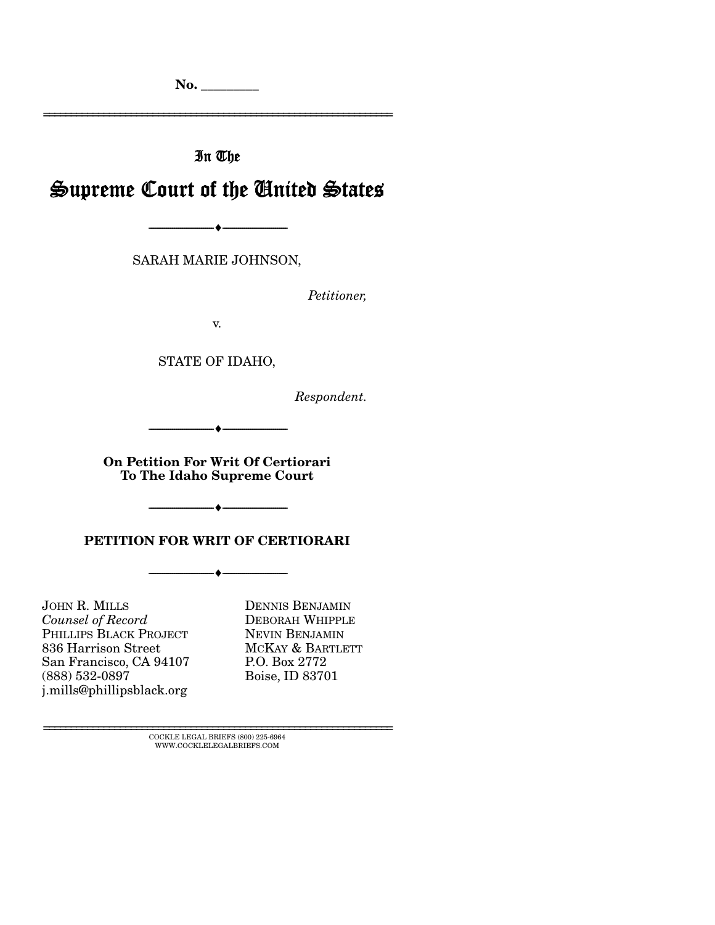No. \_\_\_\_\_\_\_\_\_

================================================================

In The

# Supreme Court of the United States

--------------------------------- ---------------------------------

SARAH MARIE JOHNSON,

*Petitioner,* 

v.

STATE OF IDAHO,

*Respondent.* 

--------------------------------- ---------------------------------

On Petition For Writ Of Certiorari To The Idaho Supreme Court

 $\leftarrow$   $-$ 

PETITION FOR WRIT OF CERTIORARI

--------------------------------- ---------------------------------

JOHN R. MILLS *Counsel of Record*  PHILLIPS BLACK PROJECT 836 Harrison Street San Francisco, CA 94107 (888) 532-0897 j.mills@phillipsblack.org

DENNIS BENJAMIN DEBORAH WHIPPLE NEVIN BENJAMIN MCKAY & BARTLETT P.O. Box 2772 Boise, ID 83701

 ${\rm COCKLE\;LEGAL\;BRIES}\; (800)\; 225\text{-}6964 \\ {\text{WWW.COCKLELEGALBRIES}\; \text{COM}}$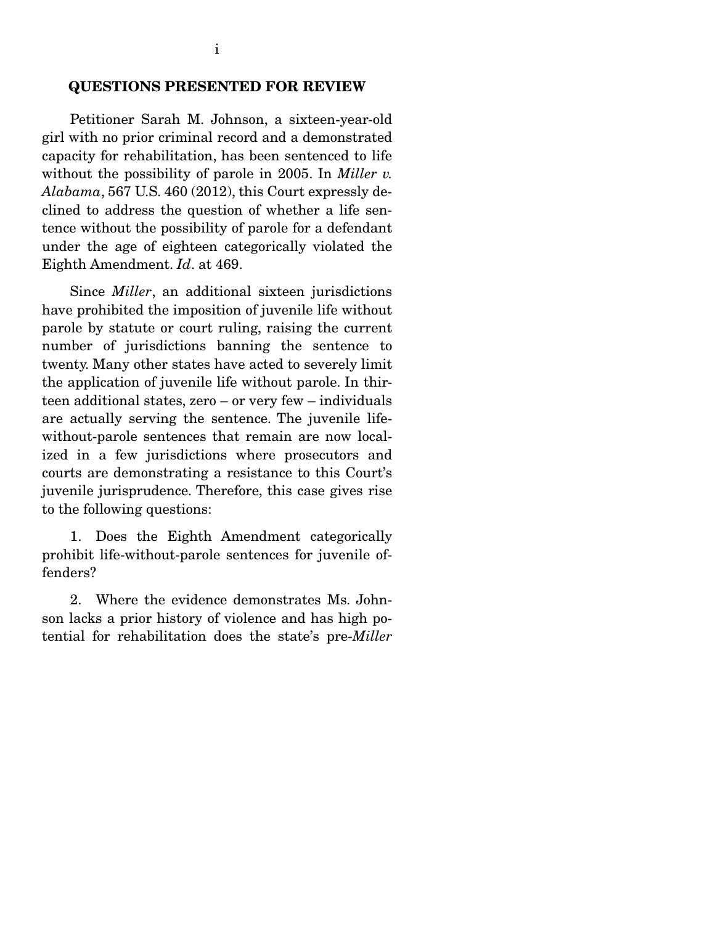#### QUESTIONS PRESENTED FOR REVIEW

 Petitioner Sarah M. Johnson, a sixteen-year-old girl with no prior criminal record and a demonstrated capacity for rehabilitation, has been sentenced to life without the possibility of parole in 2005. In *Miller v. Alabama*, 567 U.S. 460 (2012), this Court expressly declined to address the question of whether a life sentence without the possibility of parole for a defendant under the age of eighteen categorically violated the Eighth Amendment. *Id*. at 469.

 Since *Miller*, an additional sixteen jurisdictions have prohibited the imposition of juvenile life without parole by statute or court ruling, raising the current number of jurisdictions banning the sentence to twenty. Many other states have acted to severely limit the application of juvenile life without parole. In thirteen additional states, zero – or very few – individuals are actually serving the sentence. The juvenile lifewithout-parole sentences that remain are now localized in a few jurisdictions where prosecutors and courts are demonstrating a resistance to this Court's juvenile jurisprudence. Therefore, this case gives rise to the following questions:

 1. Does the Eighth Amendment categorically prohibit life-without-parole sentences for juvenile offenders?

 2. Where the evidence demonstrates Ms. Johnson lacks a prior history of violence and has high potential for rehabilitation does the state's pre-*Miller*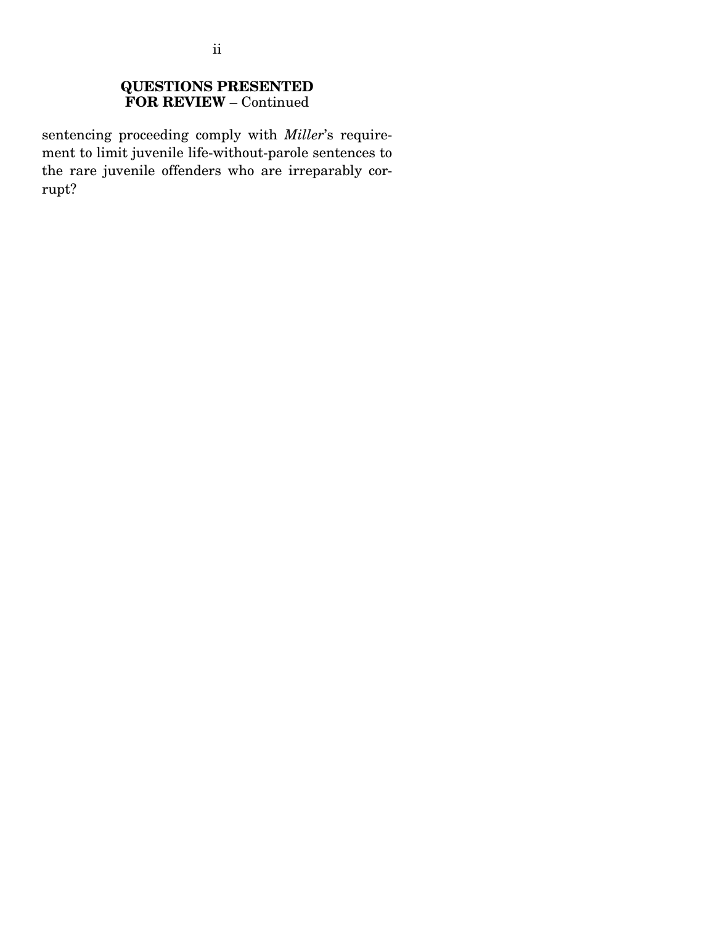#### QUESTIONS PRESENTED FOR REVIEW – Continued

sentencing proceeding comply with *Miller*'s requirement to limit juvenile life-without-parole sentences to the rare juvenile offenders who are irreparably corrupt?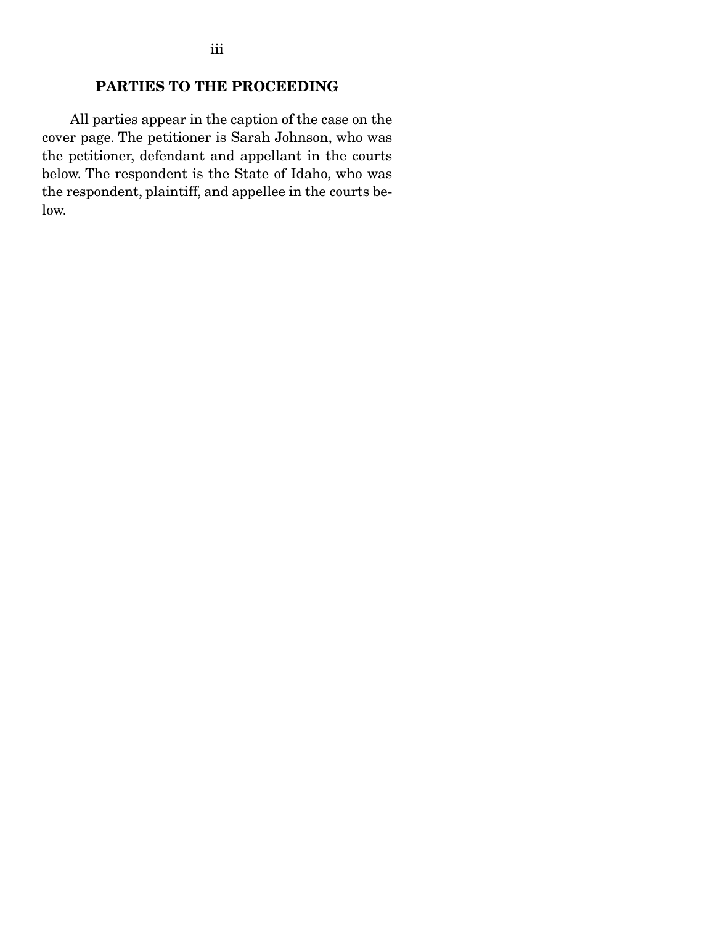## PARTIES TO THE PROCEEDING

 All parties appear in the caption of the case on the cover page. The petitioner is Sarah Johnson, who was the petitioner, defendant and appellant in the courts below. The respondent is the State of Idaho, who was the respondent, plaintiff, and appellee in the courts below.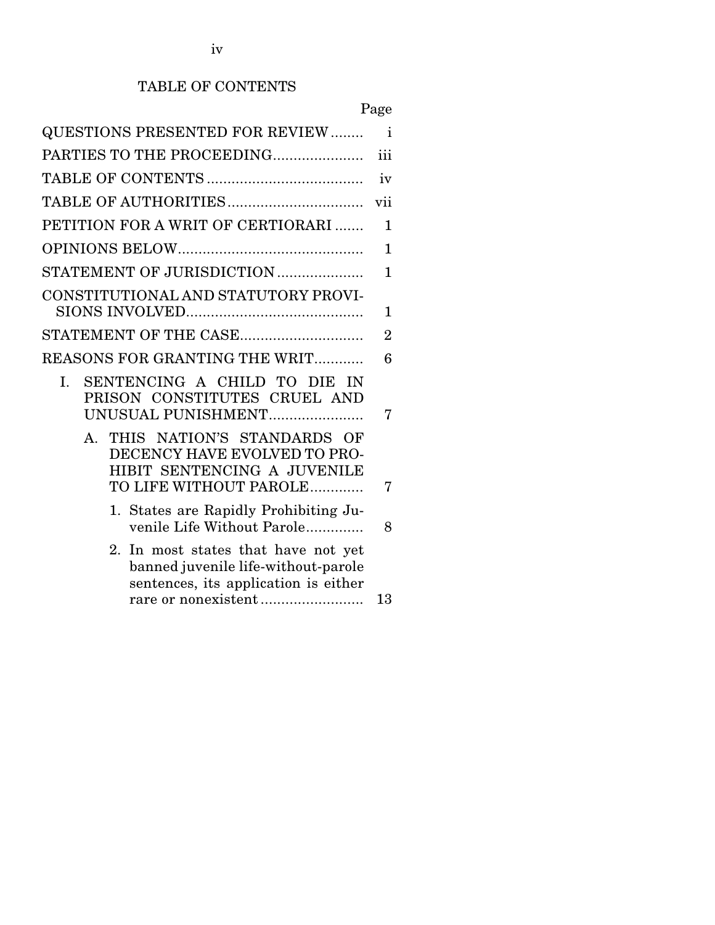## TABLE OF CONTENTS

|                                                                                                                                | Page           |
|--------------------------------------------------------------------------------------------------------------------------------|----------------|
| <b>QUESTIONS PRESENTED FOR REVIEW </b>                                                                                         | $\mathbf{i}$   |
| PARTIES TO THE PROCEEDING                                                                                                      | iii            |
|                                                                                                                                | iv             |
|                                                                                                                                | vii            |
| PETITION FOR A WRIT OF CERTIORARI                                                                                              | 1              |
|                                                                                                                                | $\mathbf{1}$   |
| STATEMENT OF JURISDICTION                                                                                                      | 1              |
| CONSTITUTIONAL AND STATUTORY PROVI-                                                                                            | 1              |
| STATEMENT OF THE CASE                                                                                                          | $\overline{2}$ |
| REASONS FOR GRANTING THE WRIT                                                                                                  | 6              |
| SENTENCING A CHILD TO DIE IN<br>I.<br>PRISON CONSTITUTES CRUEL AND<br>UNUSUAL PUNISHMENT                                       | 7              |
| THIS NATION'S STANDARDS OF<br>$A_{-}$<br>DECENCY HAVE EVOLVED TO PRO-<br>HIBIT SENTENCING A JUVENILE<br>TO LIFE WITHOUT PAROLE | 7              |
| 1. States are Rapidly Prohibiting Ju-<br>venile Life Without Parole                                                            | 8              |
| 2. In most states that have not yet<br>banned juvenile life-without-parole<br>sentences, its application is either             | 13             |
|                                                                                                                                |                |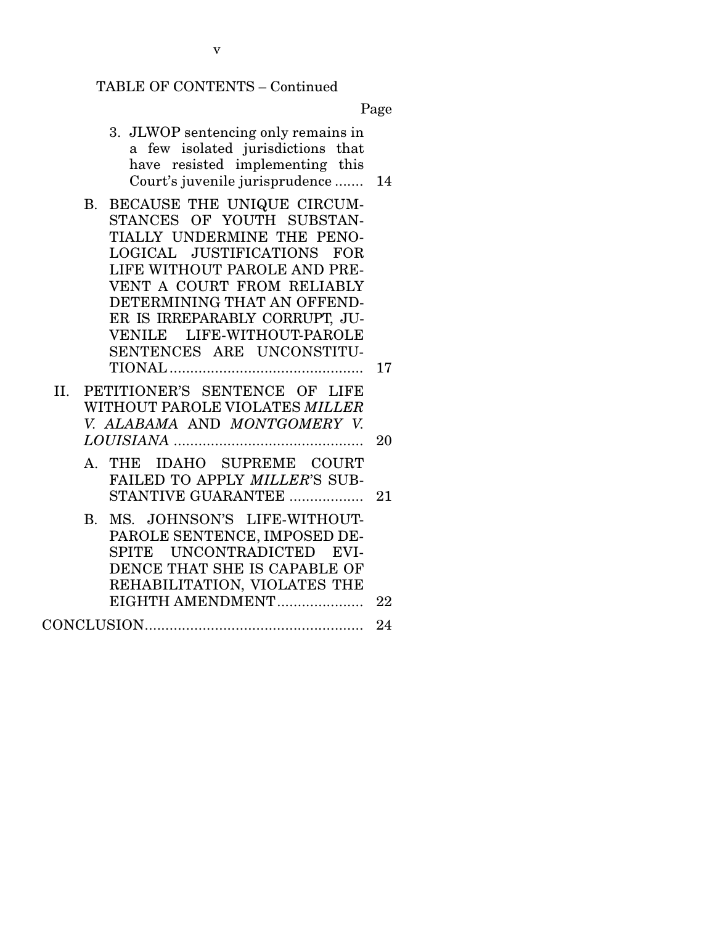# TABLE OF CONTENTS – Continued

Page

| 3. JLWOP sentencing only remains in<br>a few isolated jurisdictions that<br>have resisted implementing this<br>Court's juvenile jurisprudence                                                                                                                                                                                           | 14 |
|-----------------------------------------------------------------------------------------------------------------------------------------------------------------------------------------------------------------------------------------------------------------------------------------------------------------------------------------|----|
| BECAUSE THE UNIQUE CIRCUM-<br><b>B.</b><br>STANCES OF YOUTH SUBSTAN-<br>TIALLY UNDERMINE THE PENO-<br>LOGICAL JUSTIFICATIONS<br><b>FOR</b><br>LIFE WITHOUT PAROLE AND PRE-<br>VENT A COURT FROM RELIABLY<br>DETERMINING THAT AN OFFEND-<br>ER IS IRREPARABLY CORRUPT, JU-<br>LIFE-WITHOUT-PAROLE<br>VENILE<br>SENTENCES ARE UNCONSTITU- |    |
|                                                                                                                                                                                                                                                                                                                                         | 17 |
| II. PETITIONER'S SENTENCE OF LIFE<br>WITHOUT PAROLE VIOLATES MILLER<br>V. ALABAMA AND MONTGOMERY V.                                                                                                                                                                                                                                     | 20 |
| IDAHO SUPREME COURT<br>THE<br>А.<br>FAILED TO APPLY MILLER'S SUB-<br>STANTIVE GUARANTEE                                                                                                                                                                                                                                                 | 21 |
| MS. JOHNSON'S LIFE-WITHOUT-<br>B.<br>PAROLE SENTENCE, IMPOSED DE-<br>SPITE UNCONTRADICTED EVI-<br>DENCE THAT SHE IS CAPABLE OF<br>REHABILITATION, VIOLATES THE                                                                                                                                                                          |    |
| EIGHTH AMENDMENT                                                                                                                                                                                                                                                                                                                        | 22 |
|                                                                                                                                                                                                                                                                                                                                         | 24 |

v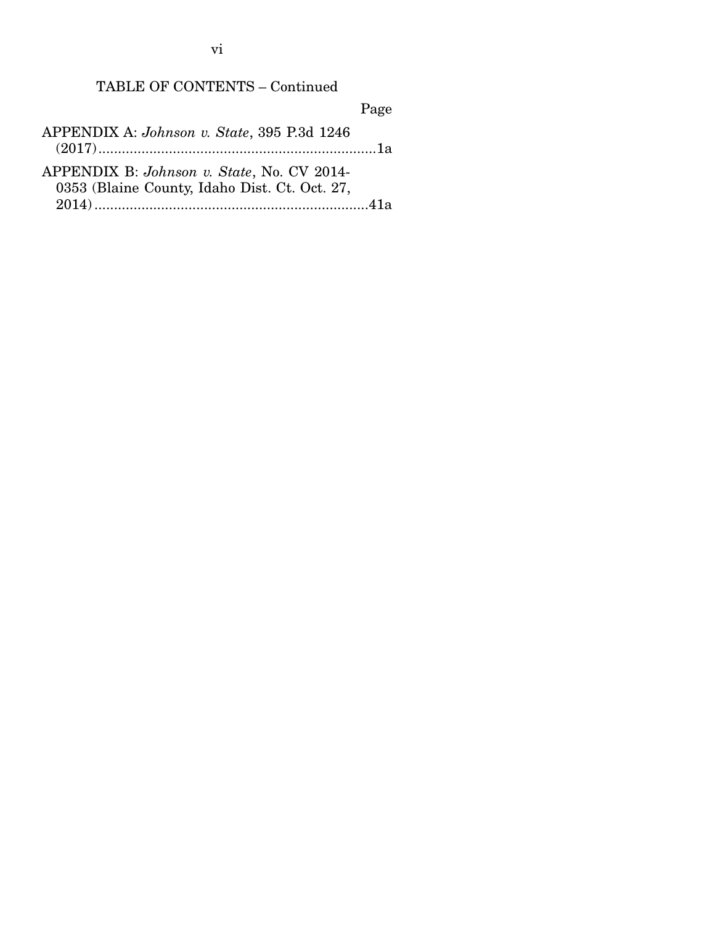vi

## TABLE OF CONTENTS – Continued

Page

APPENDIX A: *Johnson v. State*, 395 P.3d 1246 (2017) ....................................................................... 1a APPENDIX B: *Johnson v. State*, No. CV 2014- 0353 (Blaine County, Idaho Dist. Ct. Oct. 27,

2014) ...................................................................... 41a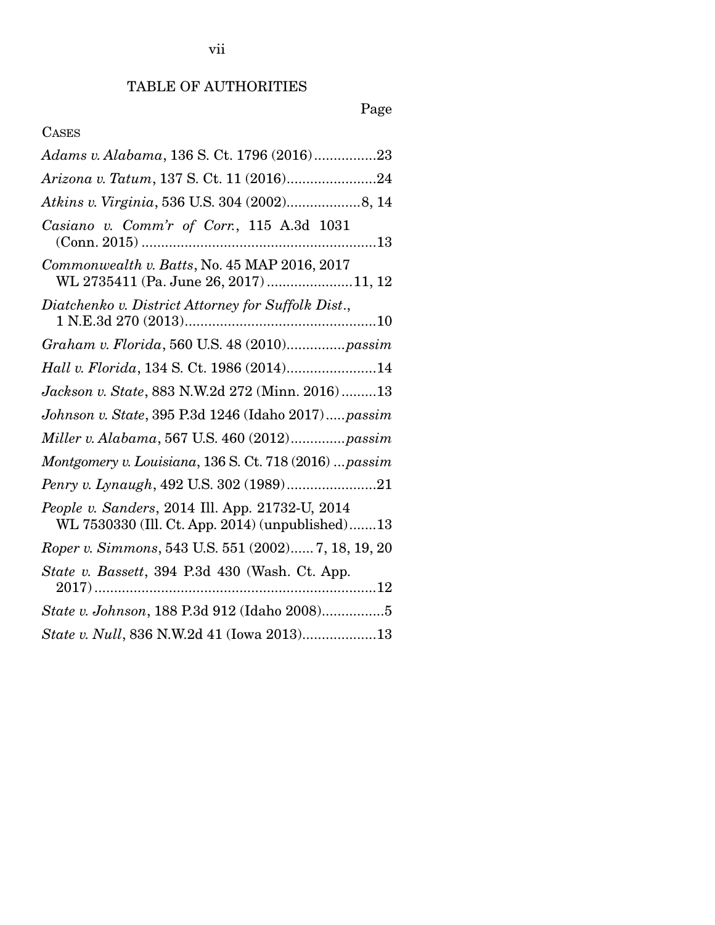# Page

## CASES

| Adams v. Alabama, 136 S. Ct. 1796 (2016)23                                                         |
|----------------------------------------------------------------------------------------------------|
|                                                                                                    |
|                                                                                                    |
| Casiano v. Comm'r of Corr., 115 A.3d 1031<br>$(Conn. 2015)$                                        |
| Commonwealth v. Batts, No. 45 MAP 2016, 2017<br>WL 2735411 (Pa. June 26, 2017) 11, 12              |
| Diatchenko v. District Attorney for Suffolk Dist.,                                                 |
| Graham v. Florida, 560 U.S. 48 (2010)passim                                                        |
| Hall v. Florida, 134 S. Ct. 1986 (2014)14                                                          |
| Jackson v. State, 883 N.W.2d 272 (Minn. 2016)13                                                    |
| Johnson v. State, 395 P.3d 1246 (Idaho 2017)passim                                                 |
| Miller v. Alabama, 567 U.S. 460 (2012)passim                                                       |
| Montgomery v. Louisiana, 136 S. Ct. 718 (2016)  passim                                             |
|                                                                                                    |
| People v. Sanders, 2014 Ill. App. 21732-U, 2014<br>WL 7530330 (Ill. Ct. App. 2014) (unpublished)13 |
| Roper v. Simmons, 543 U.S. 551 (2002) 7, 18, 19, 20                                                |
| State v. Bassett, 394 P.3d 430 (Wash. Ct. App.                                                     |
| State v. Johnson, 188 P.3d 912 (Idaho 2008)5                                                       |
| State v. Null, 836 N.W.2d 41 (Iowa 2013)13                                                         |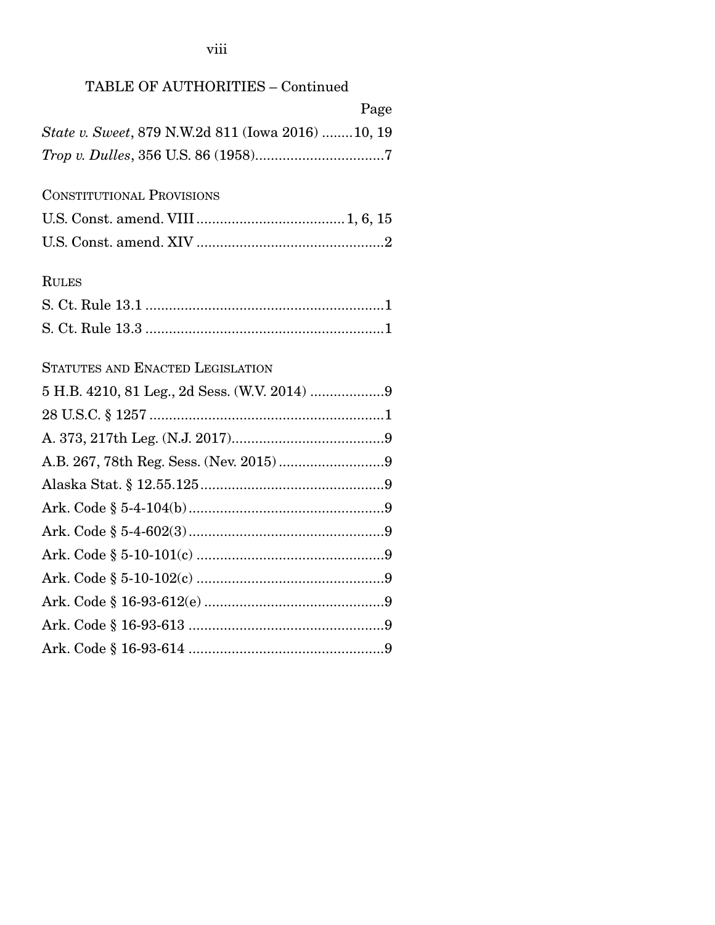viii

|  | TABLE OF AUTHORITIES - Continued |  |
|--|----------------------------------|--|
|--|----------------------------------|--|

|                                                   | Page |
|---------------------------------------------------|------|
| State v. Sweet, 879 N.W.2d 811 (Iowa 2016) 10, 19 |      |
|                                                   |      |
| <b>CONSTITUTIONAL PROVISIONS</b>                  |      |
|                                                   |      |
|                                                   |      |
| <b>RULES</b>                                      |      |
|                                                   |      |
|                                                   |      |
| STATUTES AND ENACTED LEGISLATION                  |      |
|                                                   |      |
|                                                   |      |
|                                                   |      |
|                                                   |      |
|                                                   |      |
|                                                   |      |
|                                                   |      |
|                                                   |      |
|                                                   |      |
|                                                   |      |
|                                                   |      |
|                                                   |      |
|                                                   |      |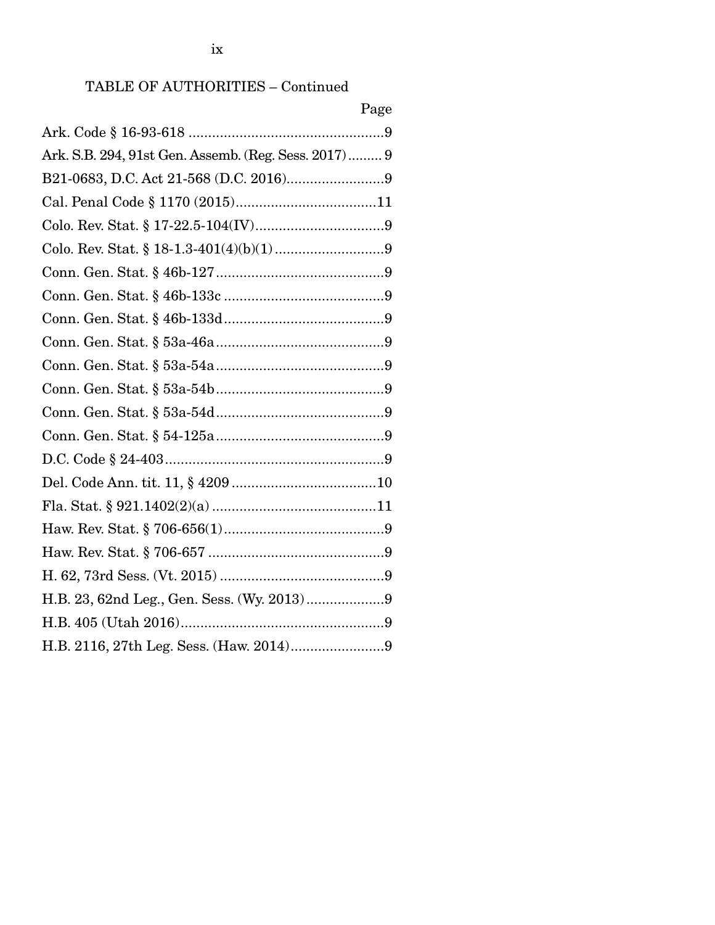# TABLE OF AUTHORITIES – Continued

| Page                                                 |
|------------------------------------------------------|
|                                                      |
| Ark. S.B. 294, 91st Gen. Assemb. (Reg. Sess. 2017) 9 |
|                                                      |
|                                                      |
|                                                      |
|                                                      |
|                                                      |
|                                                      |
|                                                      |
|                                                      |
|                                                      |
|                                                      |
|                                                      |
|                                                      |
|                                                      |
|                                                      |
|                                                      |
|                                                      |
|                                                      |
|                                                      |
|                                                      |
|                                                      |
|                                                      |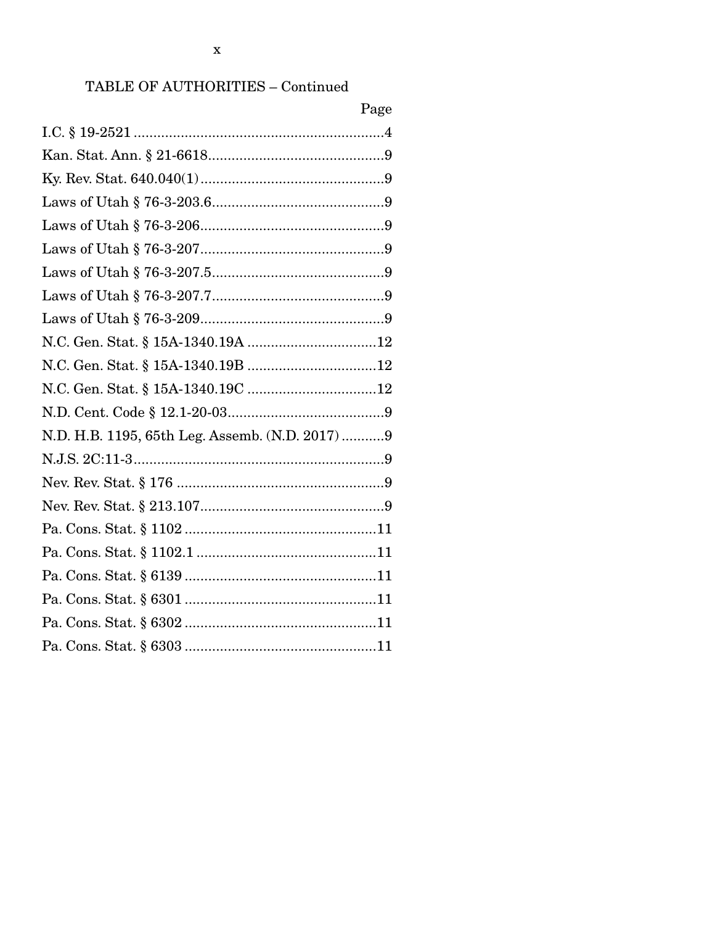## TABLE OF AUTHORITIES - Continued

| Page                                            |
|-------------------------------------------------|
|                                                 |
|                                                 |
|                                                 |
|                                                 |
|                                                 |
|                                                 |
|                                                 |
|                                                 |
|                                                 |
|                                                 |
|                                                 |
|                                                 |
|                                                 |
| N.D. H.B. 1195, 65th Leg. Assemb. (N.D. 2017) 9 |
|                                                 |
|                                                 |
|                                                 |
|                                                 |
|                                                 |
|                                                 |
|                                                 |
|                                                 |
|                                                 |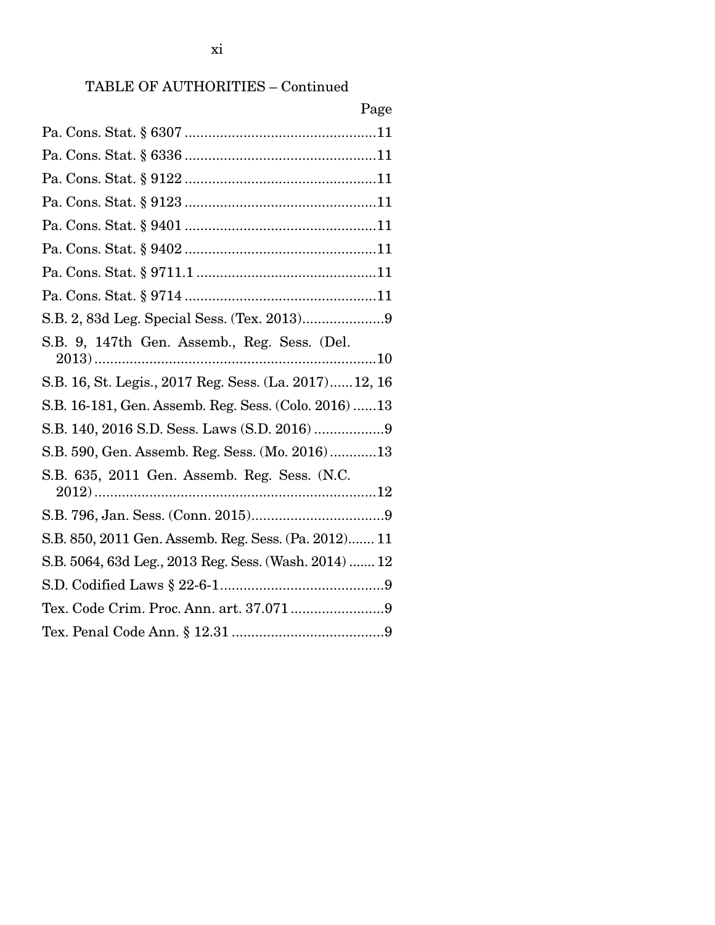## TABLE OF AUTHORITIES – Continued

| Page                                                  |
|-------------------------------------------------------|
|                                                       |
|                                                       |
|                                                       |
|                                                       |
|                                                       |
|                                                       |
|                                                       |
|                                                       |
|                                                       |
| S.B. 9, 147th Gen. Assemb., Reg. Sess. (Del.          |
| S.B. 16, St. Legis., 2017 Reg. Sess. (La. 2017)12, 16 |
| S.B. 16-181, Gen. Assemb. Reg. Sess. (Colo. 2016) 13  |
| S.B. 140, 2016 S.D. Sess. Laws (S.D. 2016) 9          |
| S.B. 590, Gen. Assemb. Reg. Sess. (Mo. 2016)13        |
| S.B. 635, 2011 Gen. Assemb. Reg. Sess. (N.C.          |
|                                                       |
| S.B. 850, 2011 Gen. Assemb. Reg. Sess. (Pa. 2012) 11  |
| S.B. 5064, 63d Leg., 2013 Reg. Sess. (Wash. 2014)  12 |
|                                                       |
| Tex. Code Crim. Proc. Ann. art. 37.0719               |
|                                                       |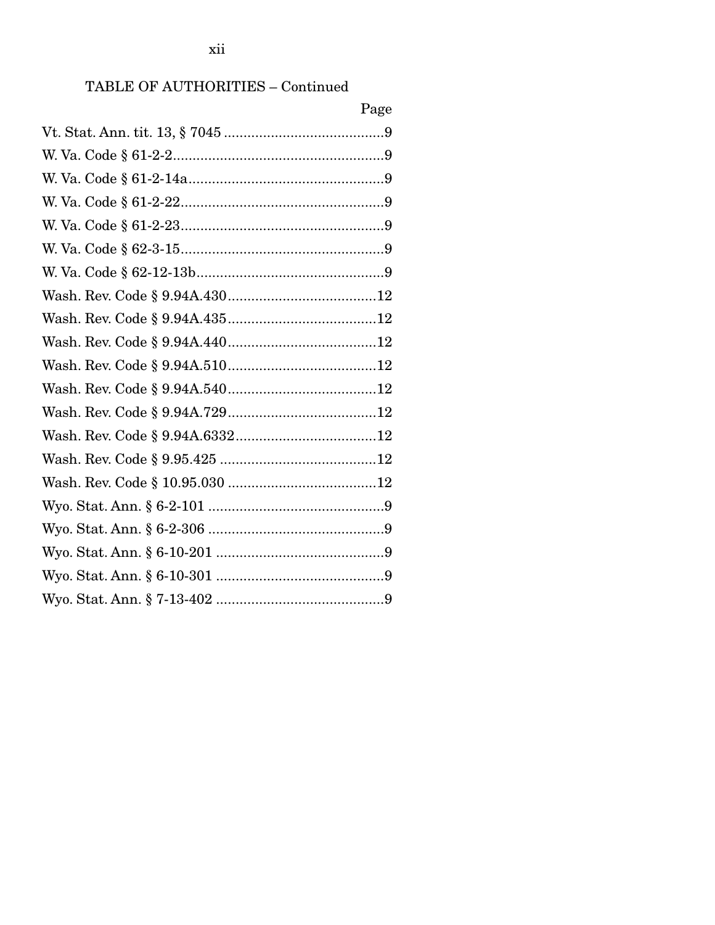## ${\bf TABLE~OF~AUTHORITIES-Continued}$

| Page |
|------|
|      |
|      |
|      |
|      |
|      |
|      |
|      |
|      |
|      |
|      |
|      |
|      |
|      |
|      |
|      |
|      |
|      |
|      |
|      |
|      |
|      |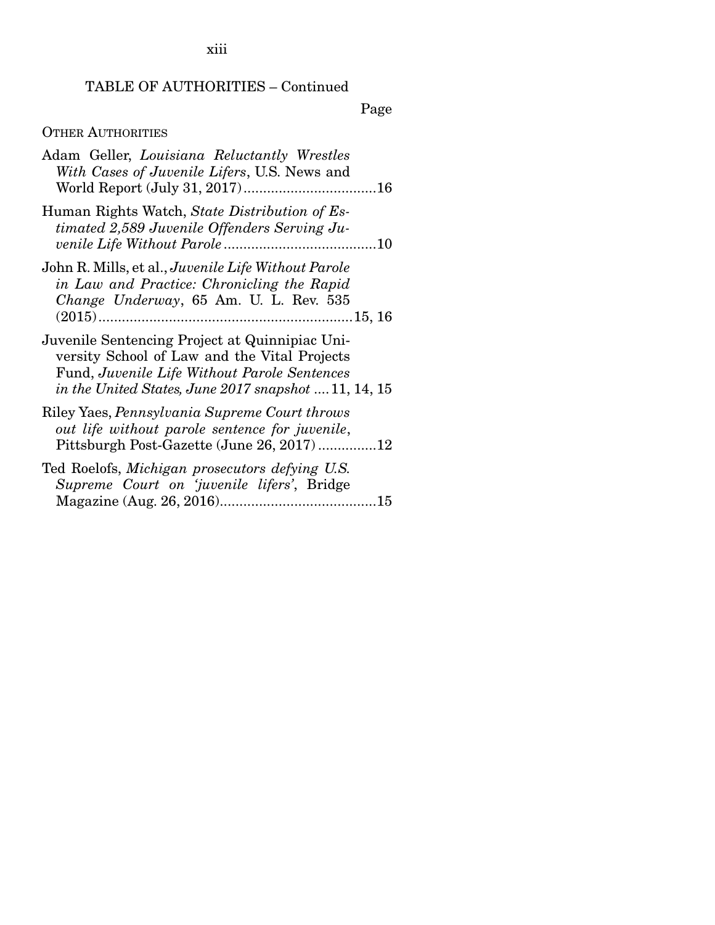xiii

## TABLE OF AUTHORITIES – Continued

Page

## OTHER AUTHORITIES

| Adam Geller, Louisiana Reluctantly Wrestles<br>With Cases of Juvenile Lifers, U.S. News and                                                                                                             |  |
|---------------------------------------------------------------------------------------------------------------------------------------------------------------------------------------------------------|--|
| Human Rights Watch, State Distribution of Es-<br>timated 2,589 Juvenile Offenders Serving Ju-                                                                                                           |  |
| John R. Mills, et al., Juvenile Life Without Parole<br>in Law and Practice: Chronicling the Rapid<br>Change Underway, 65 Am. U. L. Rev. 535                                                             |  |
| Juvenile Sentencing Project at Quinnipiac Uni-<br>versity School of Law and the Vital Projects<br>Fund, Juvenile Life Without Parole Sentences<br>in the United States, June 2017 snapshot $11, 14, 15$ |  |
| Riley Yaes, Pennsylvania Supreme Court throws<br>out life without parole sentence for juvenile,<br>Pittsburgh Post-Gazette (June 26, 2017)12                                                            |  |
| Ted Roelofs, Michigan prosecutors defying U.S.<br>Supreme Court on 'juvenile lifers', Bridge                                                                                                            |  |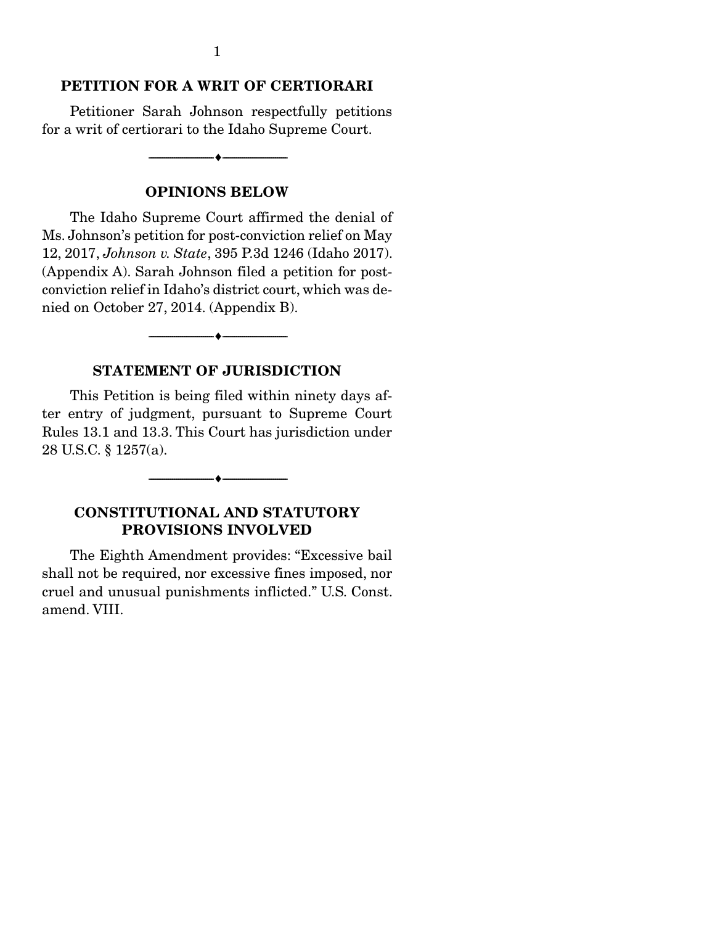#### PETITION FOR A WRIT OF CERTIORARI

 Petitioner Sarah Johnson respectfully petitions for a writ of certiorari to the Idaho Supreme Court.

--------------------------------- ---------------------------------

OPINIONS BELOW

 The Idaho Supreme Court affirmed the denial of Ms. Johnson's petition for post-conviction relief on May 12, 2017, *Johnson v. State*, 395 P.3d 1246 (Idaho 2017). (Appendix A). Sarah Johnson filed a petition for postconviction relief in Idaho's district court, which was denied on October 27, 2014. (Appendix B).

#### STATEMENT OF JURISDICTION

--------------------------------- ---------------------------------

 This Petition is being filed within ninety days after entry of judgment, pursuant to Supreme Court Rules 13.1 and 13.3. This Court has jurisdiction under 28 U.S.C. § 1257(a).

--------------------------------- ---------------------------------

#### CONSTITUTIONAL AND STATUTORY PROVISIONS INVOLVED

 The Eighth Amendment provides: "Excessive bail shall not be required, nor excessive fines imposed, nor cruel and unusual punishments inflicted." U.S. Const. amend. VIII.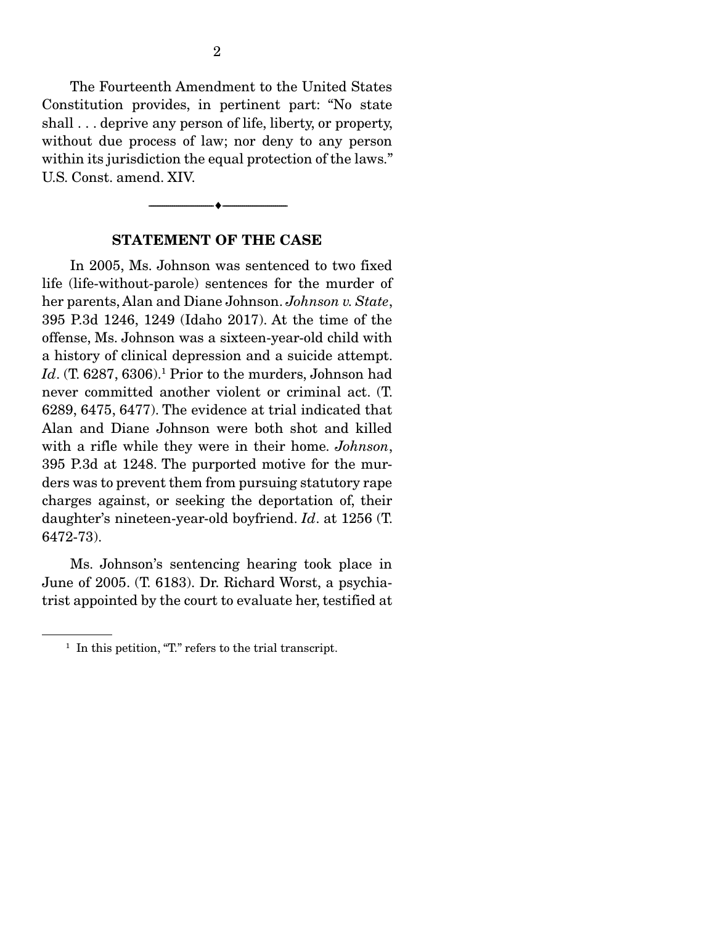The Fourteenth Amendment to the United States Constitution provides, in pertinent part: "No state shall ... deprive any person of life, liberty, or property, without due process of law; nor deny to any person within its jurisdiction the equal protection of the laws." U.S. Const. amend. XIV.

#### STATEMENT OF THE CASE

--------------------------------- ---------------------------------

 In 2005, Ms. Johnson was sentenced to two fixed life (life-without-parole) sentences for the murder of her parents, Alan and Diane Johnson. *Johnson v. State*, 395 P.3d 1246, 1249 (Idaho 2017). At the time of the offense, Ms. Johnson was a sixteen-year-old child with a history of clinical depression and a suicide attempt. Id. (T. 6287, 6306).<sup>1</sup> Prior to the murders, Johnson had never committed another violent or criminal act. (T. 6289, 6475, 6477). The evidence at trial indicated that Alan and Diane Johnson were both shot and killed with a rifle while they were in their home. *Johnson*, 395 P.3d at 1248. The purported motive for the murders was to prevent them from pursuing statutory rape charges against, or seeking the deportation of, their daughter's nineteen-year-old boyfriend. *Id*. at 1256 (T. 6472-73).

 Ms. Johnson's sentencing hearing took place in June of 2005. (T. 6183). Dr. Richard Worst, a psychiatrist appointed by the court to evaluate her, testified at

<sup>&</sup>lt;sup>1</sup> In this petition, "T." refers to the trial transcript.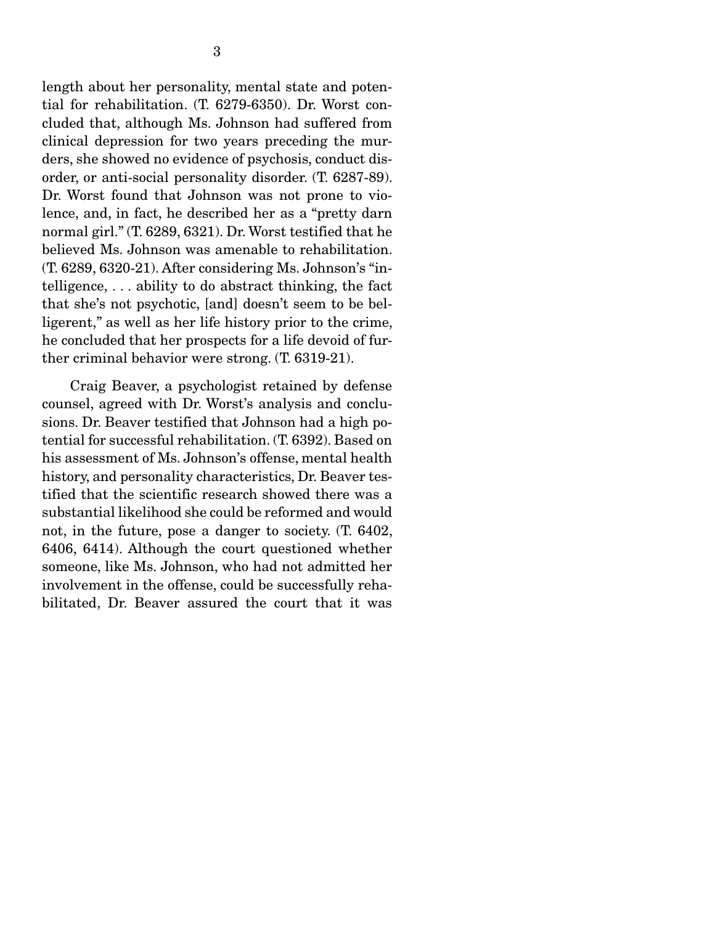length about her personality, mental state and potential for rehabilitation. (T. 6279-6350). Dr. Worst concluded that, although Ms. Johnson had suffered from clinical depression for two years preceding the murders, she showed no evidence of psychosis, conduct disorder, or anti-social personality disorder. (T. 6287-89). Dr. Worst found that Johnson was not prone to violence, and, in fact, he described her as a "pretty darn normal girl." (T. 6289, 6321). Dr. Worst testified that he believed Ms. Johnson was amenable to rehabilitation. (T. 6289, 6320-21). After considering Ms. Johnson's "intelligence, . . . ability to do abstract thinking, the fact that she's not psychotic, [and] doesn't seem to be belligerent," as well as her life history prior to the crime, he concluded that her prospects for a life devoid of further criminal behavior were strong. (T. 6319-21).

 Craig Beaver, a psychologist retained by defense counsel, agreed with Dr. Worst's analysis and conclusions. Dr. Beaver testified that Johnson had a high potential for successful rehabilitation. (T. 6392). Based on his assessment of Ms. Johnson's offense, mental health history, and personality characteristics, Dr. Beaver testified that the scientific research showed there was a substantial likelihood she could be reformed and would not, in the future, pose a danger to society. (T. 6402, 6406, 6414). Although the court questioned whether someone, like Ms. Johnson, who had not admitted her involvement in the offense, could be successfully rehabilitated, Dr. Beaver assured the court that it was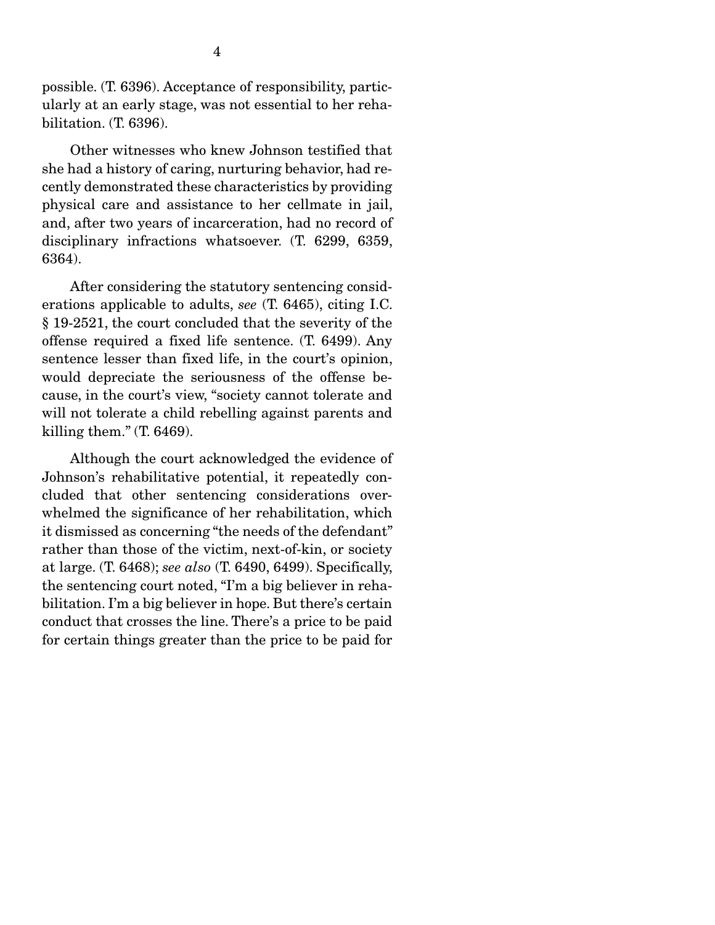possible. (T. 6396). Acceptance of responsibility, particularly at an early stage, was not essential to her rehabilitation. (T. 6396).

 Other witnesses who knew Johnson testified that she had a history of caring, nurturing behavior, had recently demonstrated these characteristics by providing physical care and assistance to her cellmate in jail, and, after two years of incarceration, had no record of disciplinary infractions whatsoever. (T. 6299, 6359, 6364).

 After considering the statutory sentencing considerations applicable to adults, *see* (T. 6465), citing I.C. § 19-2521, the court concluded that the severity of the offense required a fixed life sentence. (T. 6499). Any sentence lesser than fixed life, in the court's opinion, would depreciate the seriousness of the offense because, in the court's view, "society cannot tolerate and will not tolerate a child rebelling against parents and killing them." (T. 6469).

 Although the court acknowledged the evidence of Johnson's rehabilitative potential, it repeatedly concluded that other sentencing considerations overwhelmed the significance of her rehabilitation, which it dismissed as concerning "the needs of the defendant" rather than those of the victim, next-of-kin, or society at large. (T. 6468); *see also* (T. 6490, 6499). Specifically, the sentencing court noted, "I'm a big believer in rehabilitation. I'm a big believer in hope. But there's certain conduct that crosses the line. There's a price to be paid for certain things greater than the price to be paid for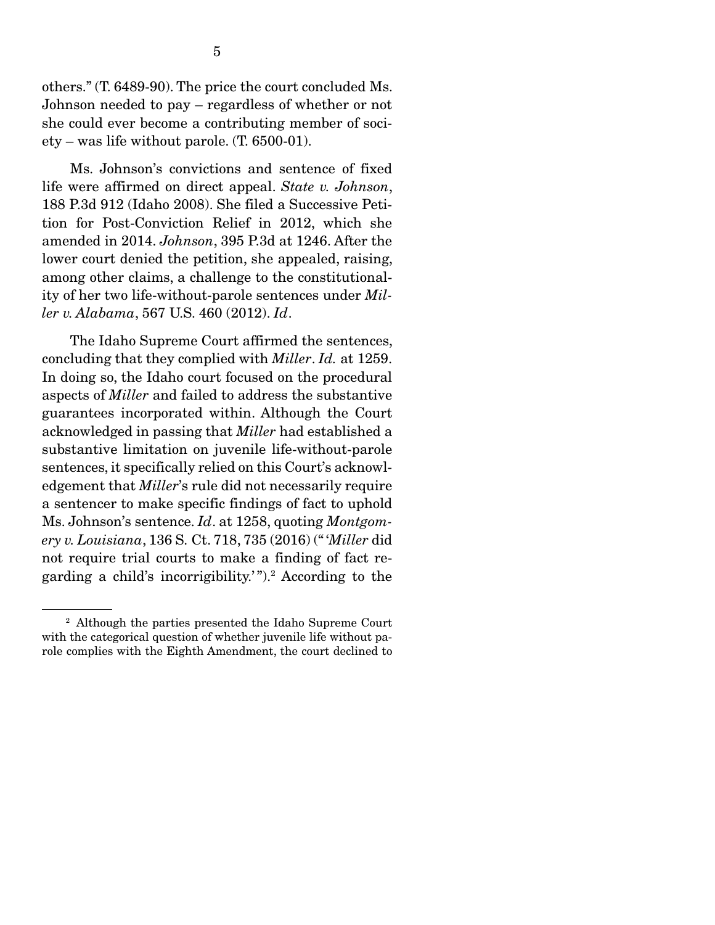others." (T. 6489-90). The price the court concluded Ms. Johnson needed to pay – regardless of whether or not she could ever become a contributing member of society – was life without parole. (T. 6500-01).

 Ms. Johnson's convictions and sentence of fixed life were affirmed on direct appeal. *State v. Johnson*, 188 P.3d 912 (Idaho 2008). She filed a Successive Petition for Post-Conviction Relief in 2012, which she amended in 2014. *Johnson*, 395 P.3d at 1246. After the lower court denied the petition, she appealed, raising, among other claims, a challenge to the constitutionality of her two life-without-parole sentences under *Miller v. Alabama*, 567 U.S. 460 (2012). *Id*.

 The Idaho Supreme Court affirmed the sentences, concluding that they complied with *Miller*. *Id.* at 1259. In doing so, the Idaho court focused on the procedural aspects of *Miller* and failed to address the substantive guarantees incorporated within. Although the Court acknowledged in passing that *Miller* had established a substantive limitation on juvenile life-without-parole sentences, it specifically relied on this Court's acknowledgement that *Miller*'s rule did not necessarily require a sentencer to make specific findings of fact to uphold Ms. Johnson's sentence. *Id*. at 1258, quoting *Montgomery v. Louisiana*, 136 S. Ct. 718, 735 (2016) (" '*Miller* did not require trial courts to make a finding of fact regarding a child's incorrigibility.' ").2 According to the

<sup>2</sup> Although the parties presented the Idaho Supreme Court with the categorical question of whether juvenile life without parole complies with the Eighth Amendment, the court declined to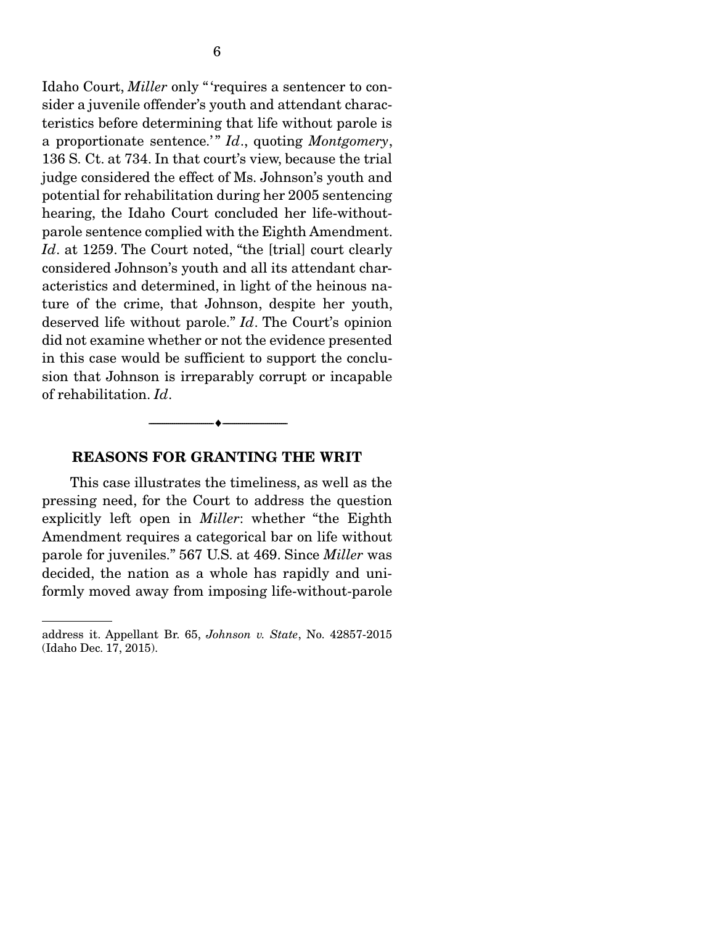Idaho Court, *Miller* only " 'requires a sentencer to consider a juvenile offender's youth and attendant characteristics before determining that life without parole is a proportionate sentence.'" *Id.*, quoting *Montgomery*, 136 S. Ct. at 734. In that court's view, because the trial judge considered the effect of Ms. Johnson's youth and potential for rehabilitation during her 2005 sentencing hearing, the Idaho Court concluded her life-withoutparole sentence complied with the Eighth Amendment. *Id*. at 1259. The Court noted, "the [trial] court clearly considered Johnson's youth and all its attendant characteristics and determined, in light of the heinous nature of the crime, that Johnson, despite her youth, deserved life without parole." *Id*. The Court's opinion did not examine whether or not the evidence presented in this case would be sufficient to support the conclusion that Johnson is irreparably corrupt or incapable of rehabilitation. *Id*.

#### REASONS FOR GRANTING THE WRIT

--------------------------------- ---------------------------------

 This case illustrates the timeliness, as well as the pressing need, for the Court to address the question explicitly left open in *Miller*: whether "the Eighth Amendment requires a categorical bar on life without parole for juveniles." 567 U.S. at 469. Since *Miller* was decided, the nation as a whole has rapidly and uniformly moved away from imposing life-without-parole

address it. Appellant Br. 65, *Johnson v. State*, No. 42857-2015 (Idaho Dec. 17, 2015).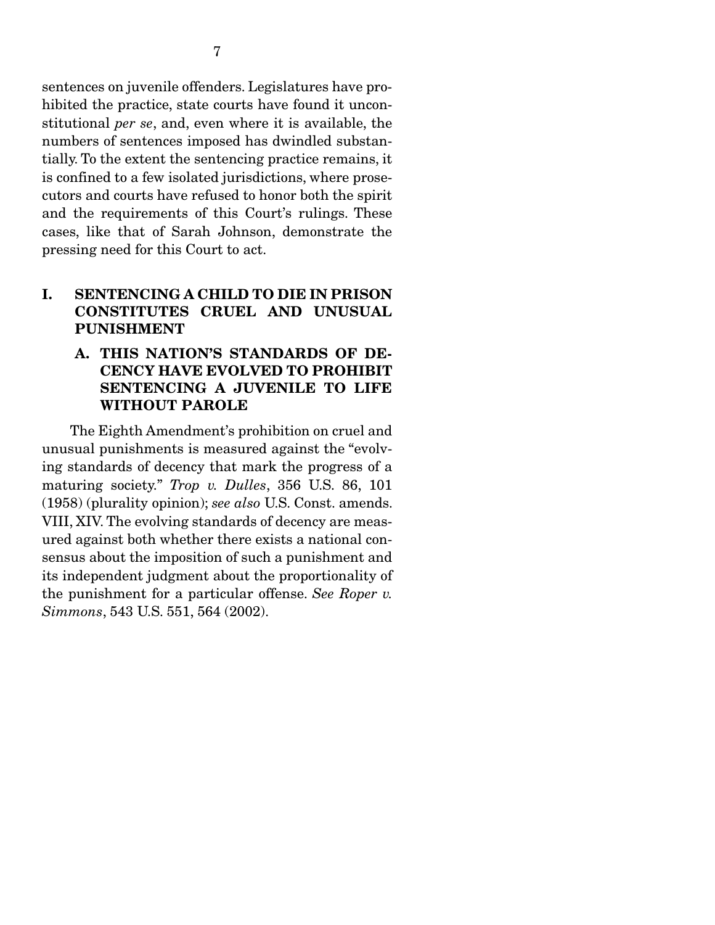sentences on juvenile offenders. Legislatures have prohibited the practice, state courts have found it unconstitutional *per se*, and, even where it is available, the numbers of sentences imposed has dwindled substantially. To the extent the sentencing practice remains, it is confined to a few isolated jurisdictions, where prosecutors and courts have refused to honor both the spirit and the requirements of this Court's rulings. These cases, like that of Sarah Johnson, demonstrate the pressing need for this Court to act.

## I. SENTENCING A CHILD TO DIE IN PRISON CONSTITUTES CRUEL AND UNUSUAL PUNISHMENT

## A. THIS NATION'S STANDARDS OF DE-CENCY HAVE EVOLVED TO PROHIBIT SENTENCING A JUVENILE TO LIFE WITHOUT PAROLE

 The Eighth Amendment's prohibition on cruel and unusual punishments is measured against the "evolving standards of decency that mark the progress of a maturing society." *Trop v. Dulles*, 356 U.S. 86, 101 (1958) (plurality opinion); *see also* U.S. Const. amends. VIII, XIV. The evolving standards of decency are measured against both whether there exists a national consensus about the imposition of such a punishment and its independent judgment about the proportionality of the punishment for a particular offense. *See Roper v. Simmons*, 543 U.S. 551, 564 (2002).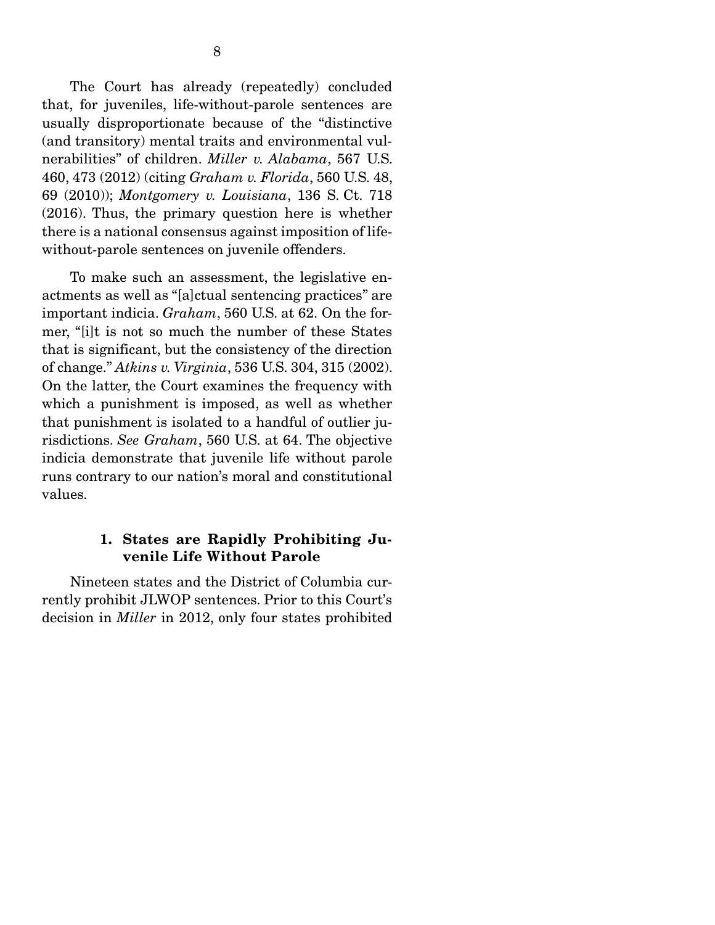The Court has already (repeatedly) concluded that, for juveniles, life-without-parole sentences are usually disproportionate because of the "distinctive (and transitory) mental traits and environmental vulnerabilities" of children. *Miller v. Alabama*, 567 U.S. 460, 473 (2012) (citing *Graham v. Florida*, 560 U.S. 48, 69 (2010)); *Montgomery v. Louisiana*, 136 S. Ct. 718 (2016). Thus, the primary question here is whether there is a national consensus against imposition of lifewithout-parole sentences on juvenile offenders.

 To make such an assessment, the legislative enactments as well as "[a]ctual sentencing practices" are important indicia. *Graham*, 560 U.S. at 62. On the former, "[i]t is not so much the number of these States that is significant, but the consistency of the direction of change." *Atkins v. Virginia*, 536 U.S. 304, 315 (2002). On the latter, the Court examines the frequency with which a punishment is imposed, as well as whether that punishment is isolated to a handful of outlier jurisdictions. *See Graham*, 560 U.S. at 64. The objective indicia demonstrate that juvenile life without parole runs contrary to our nation's moral and constitutional values.

### 1. States are Rapidly Prohibiting Juvenile Life Without Parole

 Nineteen states and the District of Columbia currently prohibit JLWOP sentences. Prior to this Court's decision in *Miller* in 2012, only four states prohibited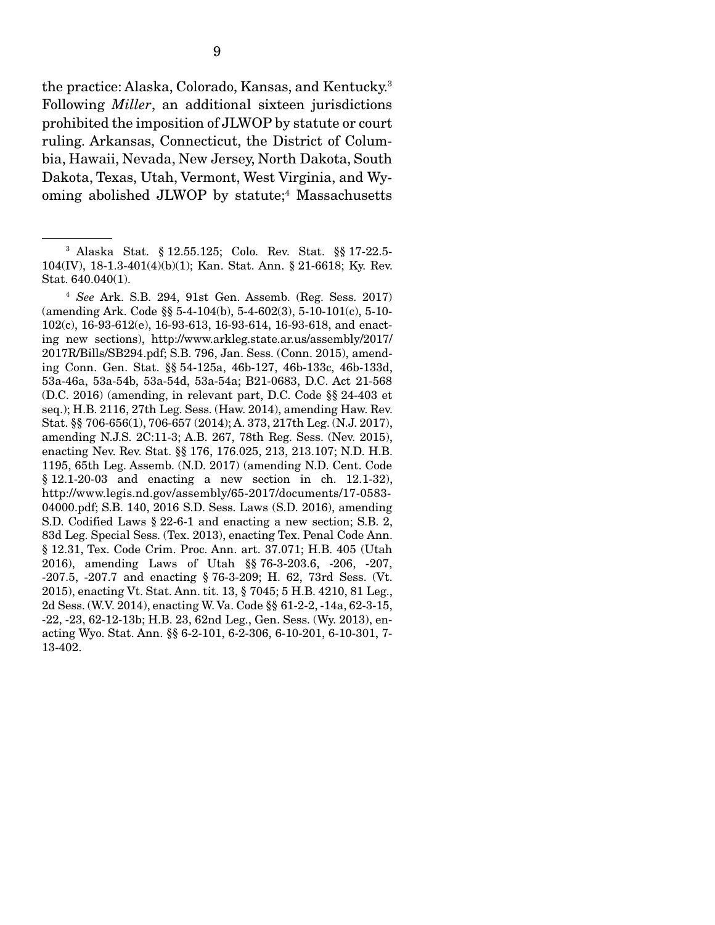the practice: Alaska, Colorado, Kansas, and Kentucky.3 Following *Miller*, an additional sixteen jurisdictions prohibited the imposition of JLWOP by statute or court ruling. Arkansas, Connecticut, the District of Columbia, Hawaii, Nevada, New Jersey, North Dakota, South Dakota, Texas, Utah, Vermont, West Virginia, and Wyoming abolished JLWOP by statute;<sup>4</sup> Massachusetts

<sup>3</sup> Alaska Stat. § 12.55.125; Colo. Rev. Stat. §§ 17-22.5- 104(IV), 18-1.3-401(4)(b)(1); Kan. Stat. Ann. § 21-6618; Ky. Rev. Stat. 640.040(1).

<sup>4</sup> *See* Ark. S.B. 294, 91st Gen. Assemb. (Reg. Sess. 2017) (amending Ark. Code §§ 5-4-104(b), 5-4-602(3), 5-10-101(c), 5-10- 102(c), 16-93-612(e), 16-93-613, 16-93-614, 16-93-618, and enacting new sections), http://www.arkleg.state.ar.us/assembly/2017/ 2017R/Bills/SB294.pdf; S.B. 796, Jan. Sess. (Conn. 2015), amending Conn. Gen. Stat. §§ 54-125a, 46b-127, 46b-133c, 46b-133d, 53a-46a, 53a-54b, 53a-54d, 53a-54a; B21-0683, D.C. Act 21-568 (D.C. 2016) (amending, in relevant part, D.C. Code §§ 24-403 et seq.); H.B. 2116, 27th Leg. Sess. (Haw. 2014), amending Haw. Rev. Stat. §§ 706-656(1), 706-657 (2014); A. 373, 217th Leg. (N.J. 2017), amending N.J.S. 2C:11-3; A.B. 267, 78th Reg. Sess. (Nev. 2015), enacting Nev. Rev. Stat. §§ 176, 176.025, 213, 213.107; N.D. H.B. 1195, 65th Leg. Assemb. (N.D. 2017) (amending N.D. Cent. Code § 12.1-20-03 and enacting a new section in ch. 12.1-32), http://www.legis.nd.gov/assembly/65-2017/documents/17-0583- 04000.pdf; S.B. 140, 2016 S.D. Sess. Laws (S.D. 2016), amending S.D. Codified Laws § 22-6-1 and enacting a new section; S.B. 2, 83d Leg. Special Sess. (Tex. 2013), enacting Tex. Penal Code Ann. § 12.31, Tex. Code Crim. Proc. Ann. art. 37.071; H.B. 405 (Utah 2016), amending Laws of Utah §§ 76-3-203.6, -206, -207, -207.5, -207.7 and enacting § 76-3-209; H. 62, 73rd Sess. (Vt. 2015), enacting Vt. Stat. Ann. tit. 13, § 7045; 5 H.B. 4210, 81 Leg., 2d Sess. (W.V. 2014), enacting W. Va. Code §§ 61-2-2, -14a, 62-3-15, -22, -23, 62-12-13b; H.B. 23, 62nd Leg., Gen. Sess. (Wy. 2013), enacting Wyo. Stat. Ann. §§ 6-2-101, 6-2-306, 6-10-201, 6-10-301, 7- 13-402.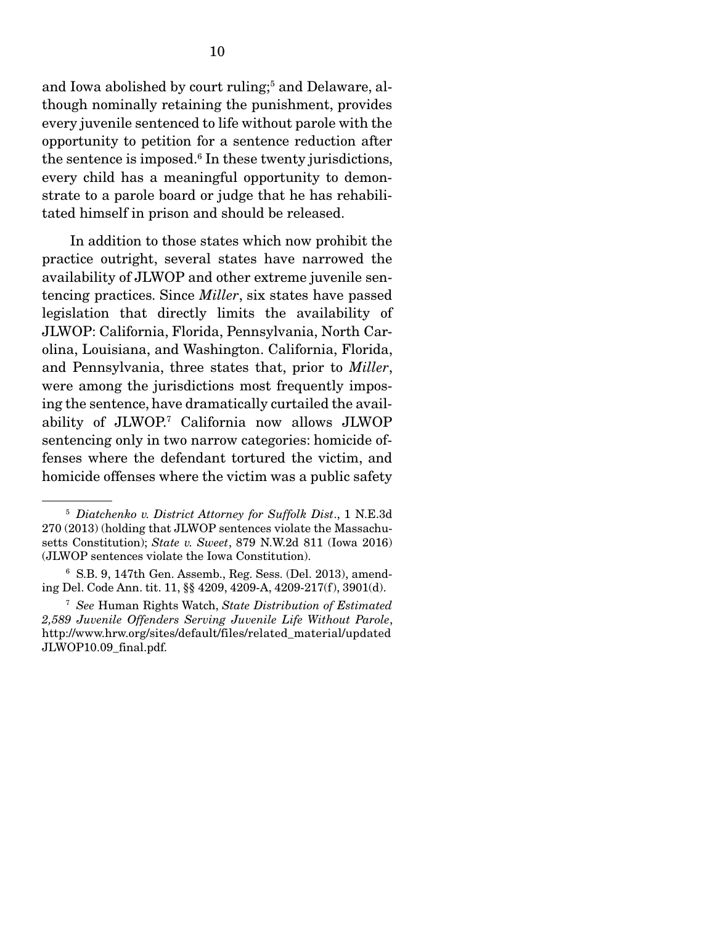and Iowa abolished by court ruling;<sup>5</sup> and Delaware, although nominally retaining the punishment, provides every juvenile sentenced to life without parole with the opportunity to petition for a sentence reduction after the sentence is imposed.<sup>6</sup> In these twenty jurisdictions, every child has a meaningful opportunity to demonstrate to a parole board or judge that he has rehabilitated himself in prison and should be released.

 In addition to those states which now prohibit the practice outright, several states have narrowed the availability of JLWOP and other extreme juvenile sentencing practices. Since *Miller*, six states have passed legislation that directly limits the availability of JLWOP: California, Florida, Pennsylvania, North Carolina, Louisiana, and Washington. California, Florida, and Pennsylvania, three states that, prior to *Miller*, were among the jurisdictions most frequently imposing the sentence, have dramatically curtailed the availability of JLWOP.7 California now allows JLWOP sentencing only in two narrow categories: homicide offenses where the defendant tortured the victim, and homicide offenses where the victim was a public safety

<sup>5</sup> *Diatchenko v. District Attorney for Suffolk Dist*., 1 N.E.3d 270 (2013) (holding that JLWOP sentences violate the Massachusetts Constitution); *State v. Sweet*, 879 N.W.2d 811 (Iowa 2016) (JLWOP sentences violate the Iowa Constitution).

<sup>6</sup> S.B. 9, 147th Gen. Assemb., Reg. Sess. (Del. 2013), amending Del. Code Ann. tit. 11, §§ 4209, 4209-A, 4209-217(f), 3901(d).

<sup>7</sup> *See* Human Rights Watch, *State Distribution of Estimated 2,589 Juvenile Offenders Serving Juvenile Life Without Parole*, http://www.hrw.org/sites/default/files/related\_material/updated JLWOP10.09\_final.pdf.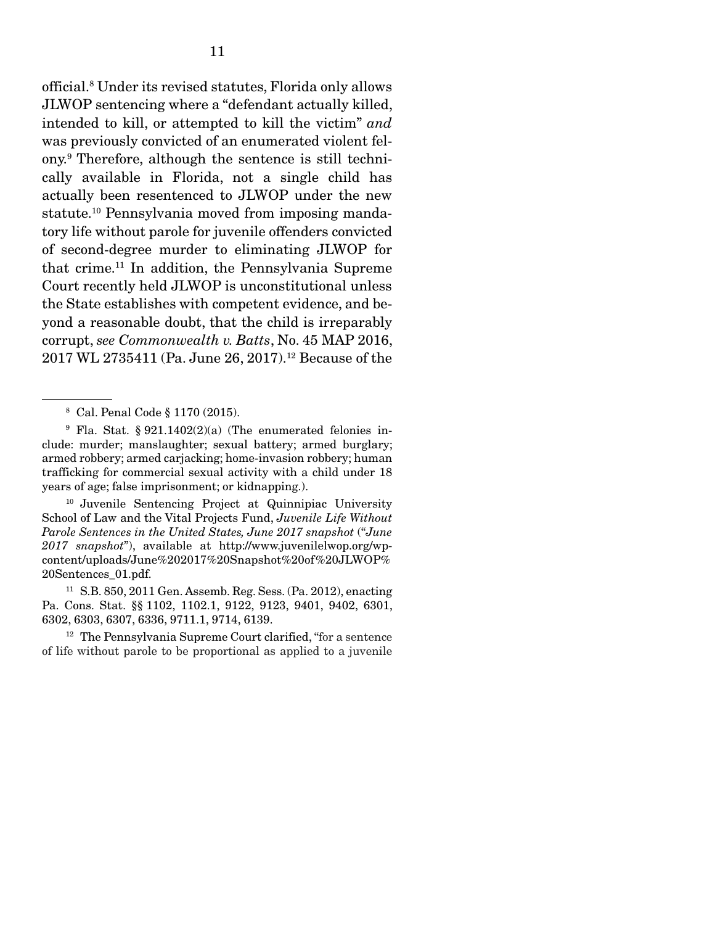official.8 Under its revised statutes, Florida only allows JLWOP sentencing where a "defendant actually killed, intended to kill, or attempted to kill the victim" *and* was previously convicted of an enumerated violent felony.9 Therefore, although the sentence is still technically available in Florida, not a single child has actually been resentenced to JLWOP under the new statute.10 Pennsylvania moved from imposing mandatory life without parole for juvenile offenders convicted of second-degree murder to eliminating JLWOP for that crime.11 In addition, the Pennsylvania Supreme Court recently held JLWOP is unconstitutional unless the State establishes with competent evidence, and beyond a reasonable doubt, that the child is irreparably corrupt, *see Commonwealth v. Batts*, No. 45 MAP 2016, 2017 WL 2735411 (Pa. June 26, 2017).12 Because of the

10 Juvenile Sentencing Project at Quinnipiac University School of Law and the Vital Projects Fund, *Juvenile Life Without Parole Sentences in the United States, June 2017 snapshot* ("*June 2017 snapshot*"), available at http://www.juvenilelwop.org/wpcontent/uploads/June%202017%20Snapshot%20of%20JLWOP% 20Sentences\_01.pdf.

11 S.B. 850, 2011 Gen. Assemb. Reg. Sess. (Pa. 2012), enacting Pa. Cons. Stat. §§ 1102, 1102.1, 9122, 9123, 9401, 9402, 6301, 6302, 6303, 6307, 6336, 9711.1, 9714, 6139.

<sup>12</sup> The Pennsylvania Supreme Court clarified, "for a sentence" of life without parole to be proportional as applied to a juvenile

<sup>8</sup> Cal. Penal Code § 1170 (2015).

<sup>9</sup> Fla. Stat. § 921.1402(2)(a) (The enumerated felonies include: murder; manslaughter; sexual battery; armed burglary; armed robbery; armed carjacking; home-invasion robbery; human trafficking for commercial sexual activity with a child under 18 years of age; false imprisonment; or kidnapping.).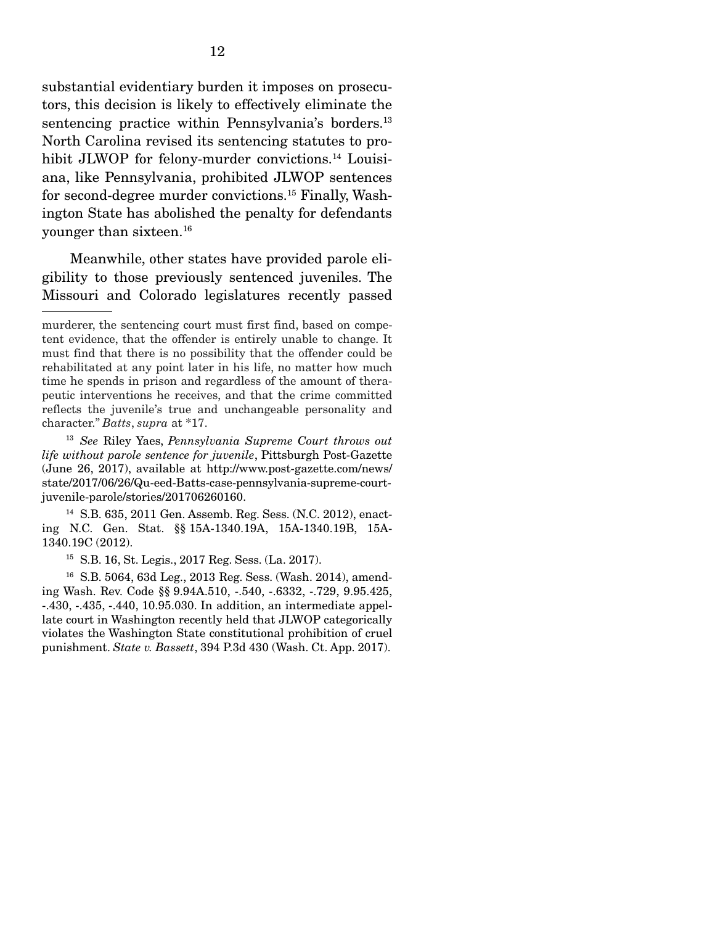substantial evidentiary burden it imposes on prosecutors, this decision is likely to effectively eliminate the sentencing practice within Pennsylvania's borders.<sup>13</sup> North Carolina revised its sentencing statutes to prohibit JLWOP for felony-murder convictions.<sup>14</sup> Louisiana, like Pennsylvania, prohibited JLWOP sentences for second-degree murder convictions.15 Finally, Washington State has abolished the penalty for defendants younger than sixteen.16

 Meanwhile, other states have provided parole eligibility to those previously sentenced juveniles. The Missouri and Colorado legislatures recently passed

14 S.B. 635, 2011 Gen. Assemb. Reg. Sess. (N.C. 2012), enacting N.C. Gen. Stat. §§ 15A-1340.19A, 15A-1340.19B, 15A-1340.19C (2012).

15 S.B. 16, St. Legis., 2017 Reg. Sess. (La. 2017).

16 S.B. 5064, 63d Leg., 2013 Reg. Sess. (Wash. 2014), amending Wash. Rev. Code §§ 9.94A.510, -.540, -.6332, -.729, 9.95.425, -.430, -.435, -.440, 10.95.030. In addition, an intermediate appellate court in Washington recently held that JLWOP categorically violates the Washington State constitutional prohibition of cruel punishment. *State v. Bassett*, 394 P.3d 430 (Wash. Ct. App. 2017).

murderer, the sentencing court must first find, based on competent evidence, that the offender is entirely unable to change. It must find that there is no possibility that the offender could be rehabilitated at any point later in his life, no matter how much time he spends in prison and regardless of the amount of therapeutic interventions he receives, and that the crime committed reflects the juvenile's true and unchangeable personality and character." *Batts*, *supra* at \*17.

<sup>13</sup> *See* Riley Yaes, *Pennsylvania Supreme Court throws out life without parole sentence for juvenile*, Pittsburgh Post-Gazette (June 26, 2017), available at http://www.post-gazette.com/news/ state/2017/06/26/Qu-eed-Batts-case-pennsylvania-supreme-courtjuvenile-parole/stories/201706260160.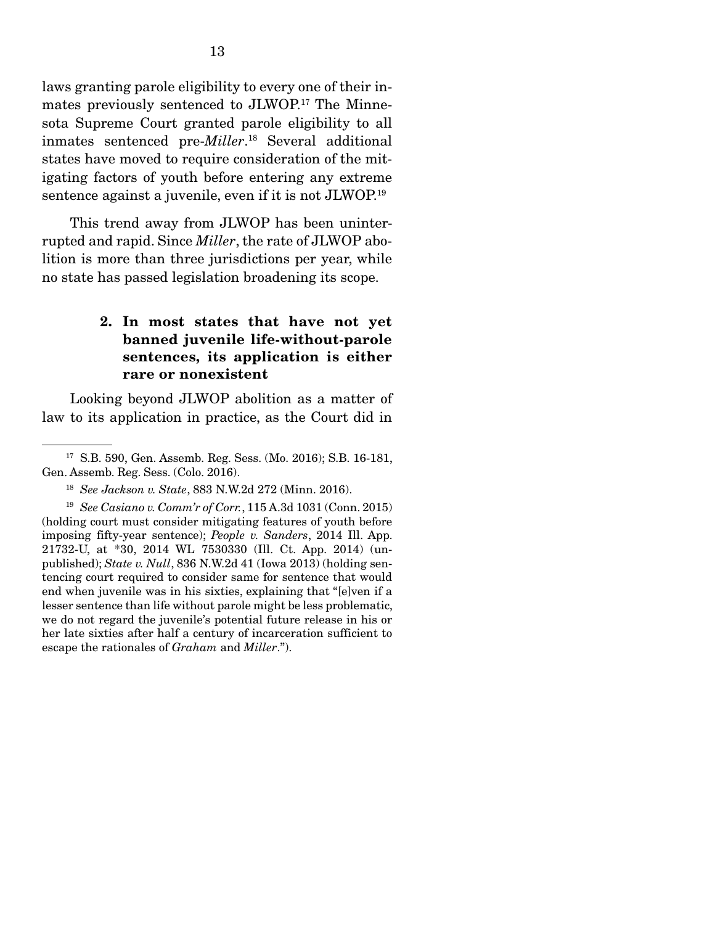laws granting parole eligibility to every one of their inmates previously sentenced to JLWOP.17 The Minnesota Supreme Court granted parole eligibility to all inmates sentenced pre-*Miller*. 18 Several additional states have moved to require consideration of the mitigating factors of youth before entering any extreme sentence against a juvenile, even if it is not JLWOP.19

 This trend away from JLWOP has been uninterrupted and rapid. Since *Miller*, the rate of JLWOP abolition is more than three jurisdictions per year, while no state has passed legislation broadening its scope.

## 2. In most states that have not yet banned juvenile life-without-parole sentences, its application is either rare or nonexistent

 Looking beyond JLWOP abolition as a matter of law to its application in practice, as the Court did in

<sup>17</sup> S.B. 590, Gen. Assemb. Reg. Sess. (Mo. 2016); S.B. 16-181, Gen. Assemb. Reg. Sess. (Colo. 2016).

<sup>18</sup> *See Jackson v. State*, 883 N.W.2d 272 (Minn. 2016).

<sup>19</sup> *See Casiano v. Comm'r of Corr.*, 115 A.3d 1031 (Conn. 2015) (holding court must consider mitigating features of youth before imposing fifty-year sentence); *People v. Sanders*, 2014 Ill. App. 21732-U, at \*30, 2014 WL 7530330 (Ill. Ct. App. 2014) (unpublished); *State v. Null*, 836 N.W.2d 41 (Iowa 2013) (holding sentencing court required to consider same for sentence that would end when juvenile was in his sixties, explaining that "[e]ven if a lesser sentence than life without parole might be less problematic, we do not regard the juvenile's potential future release in his or her late sixties after half a century of incarceration sufficient to escape the rationales of *Graham* and *Miller*.").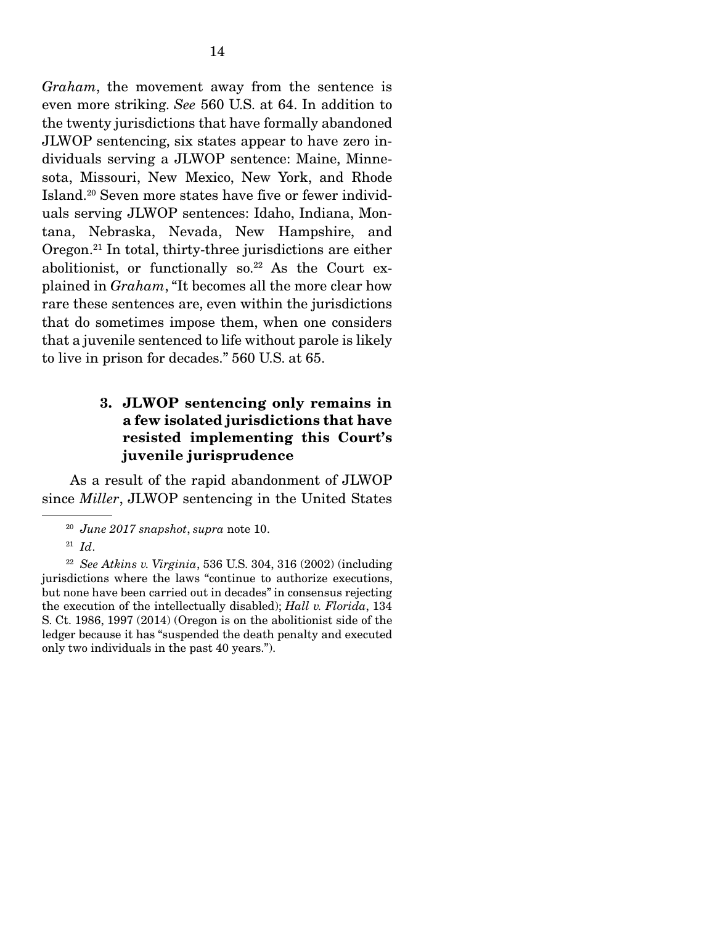*Graham*, the movement away from the sentence is even more striking. *See* 560 U.S. at 64. In addition to the twenty jurisdictions that have formally abandoned JLWOP sentencing, six states appear to have zero individuals serving a JLWOP sentence: Maine, Minnesota, Missouri, New Mexico, New York, and Rhode Island.20 Seven more states have five or fewer individuals serving JLWOP sentences: Idaho, Indiana, Montana, Nebraska, Nevada, New Hampshire, and Oregon.21 In total, thirty-three jurisdictions are either abolitionist, or functionally so.<sup>22</sup> As the Court explained in *Graham*, "It becomes all the more clear how rare these sentences are, even within the jurisdictions that do sometimes impose them, when one considers that a juvenile sentenced to life without parole is likely to live in prison for decades." 560 U.S. at 65.

### 3. JLWOP sentencing only remains in a few isolated jurisdictions that have resisted implementing this Court's juvenile jurisprudence

 As a result of the rapid abandonment of JLWOP since *Miller*, JLWOP sentencing in the United States

<sup>20</sup> *June 2017 snapshot*, *supra* note 10.

 $^{21}$  *Id.* 

<sup>22</sup> *See Atkins v. Virginia*, 536 U.S. 304, 316 (2002) (including jurisdictions where the laws "continue to authorize executions, but none have been carried out in decades" in consensus rejecting the execution of the intellectually disabled); *Hall v. Florida*, 134 S. Ct. 1986, 1997 (2014) (Oregon is on the abolitionist side of the ledger because it has "suspended the death penalty and executed only two individuals in the past 40 years.").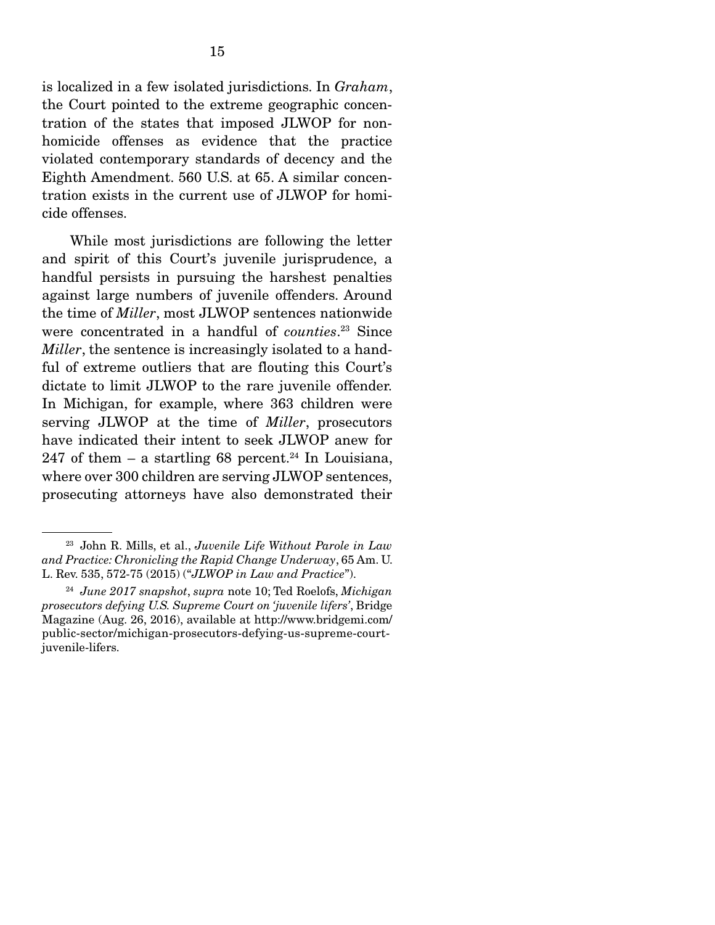is localized in a few isolated jurisdictions. In *Graham*, the Court pointed to the extreme geographic concentration of the states that imposed JLWOP for nonhomicide offenses as evidence that the practice violated contemporary standards of decency and the Eighth Amendment. 560 U.S. at 65. A similar concentration exists in the current use of JLWOP for homicide offenses.

 While most jurisdictions are following the letter and spirit of this Court's juvenile jurisprudence, a handful persists in pursuing the harshest penalties against large numbers of juvenile offenders. Around the time of *Miller*, most JLWOP sentences nationwide were concentrated in a handful of *counties*. <sup>23</sup> Since *Miller*, the sentence is increasingly isolated to a handful of extreme outliers that are flouting this Court's dictate to limit JLWOP to the rare juvenile offender. In Michigan, for example, where 363 children were serving JLWOP at the time of *Miller*, prosecutors have indicated their intent to seek JLWOP anew for 247 of them  $-$  a startling 68 percent.<sup>24</sup> In Louisiana, where over 300 children are serving JLWOP sentences, prosecuting attorneys have also demonstrated their

<sup>23</sup> John R. Mills, et al., *Juvenile Life Without Parole in Law and Practice: Chronicling the Rapid Change Underway*, 65 Am. U. L. Rev. 535, 572-75 (2015) ("*JLWOP in Law and Practice*").

<sup>24</sup> *June 2017 snapshot*, *supra* note 10; Ted Roelofs, *Michigan prosecutors defying U.S. Supreme Court on 'juvenile lifers'*, Bridge Magazine (Aug. 26, 2016), available at http://www.bridgemi.com/ public-sector/michigan-prosecutors-defying-us-supreme-courtjuvenile-lifers.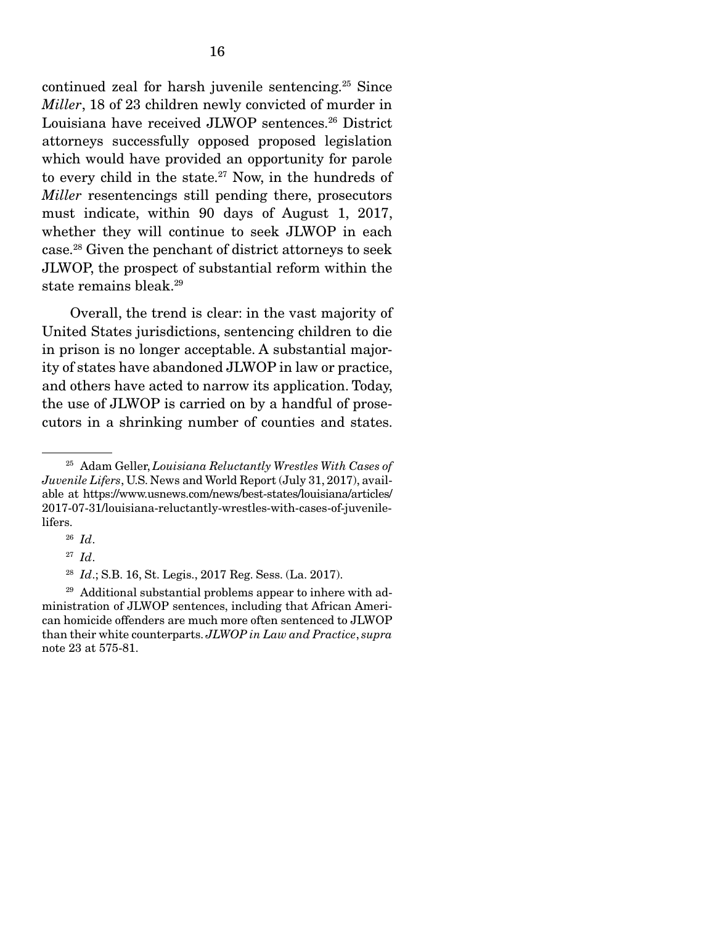continued zeal for harsh juvenile sentencing.25 Since *Miller*, 18 of 23 children newly convicted of murder in Louisiana have received JLWOP sentences.<sup>26</sup> District attorneys successfully opposed proposed legislation which would have provided an opportunity for parole to every child in the state. $27$  Now, in the hundreds of *Miller* resentencings still pending there, prosecutors must indicate, within 90 days of August 1, 2017, whether they will continue to seek JLWOP in each case.28 Given the penchant of district attorneys to seek JLWOP, the prospect of substantial reform within the state remains bleak.<sup>29</sup>

 Overall, the trend is clear: in the vast majority of United States jurisdictions, sentencing children to die in prison is no longer acceptable. A substantial majority of states have abandoned JLWOP in law or practice, and others have acted to narrow its application. Today, the use of JLWOP is carried on by a handful of prosecutors in a shrinking number of counties and states.

<sup>25</sup> Adam Geller, *Louisiana Reluctantly Wrestles With Cases of Juvenile Lifers*, U.S. News and World Report (July 31, 2017), available at https://www.usnews.com/news/best-states/louisiana/articles/ 2017-07-31/louisiana-reluctantly-wrestles-with-cases-of-juvenilelifers.

<sup>26</sup> *Id*.

<sup>27</sup> *Id*.

<sup>28</sup> *Id*.; S.B. 16, St. Legis., 2017 Reg. Sess. (La. 2017).

 $29$  Additional substantial problems appear to inhere with administration of JLWOP sentences, including that African American homicide offenders are much more often sentenced to JLWOP than their white counterparts. *JLWOP in Law and Practice*, *supra*  note 23 at 575-81.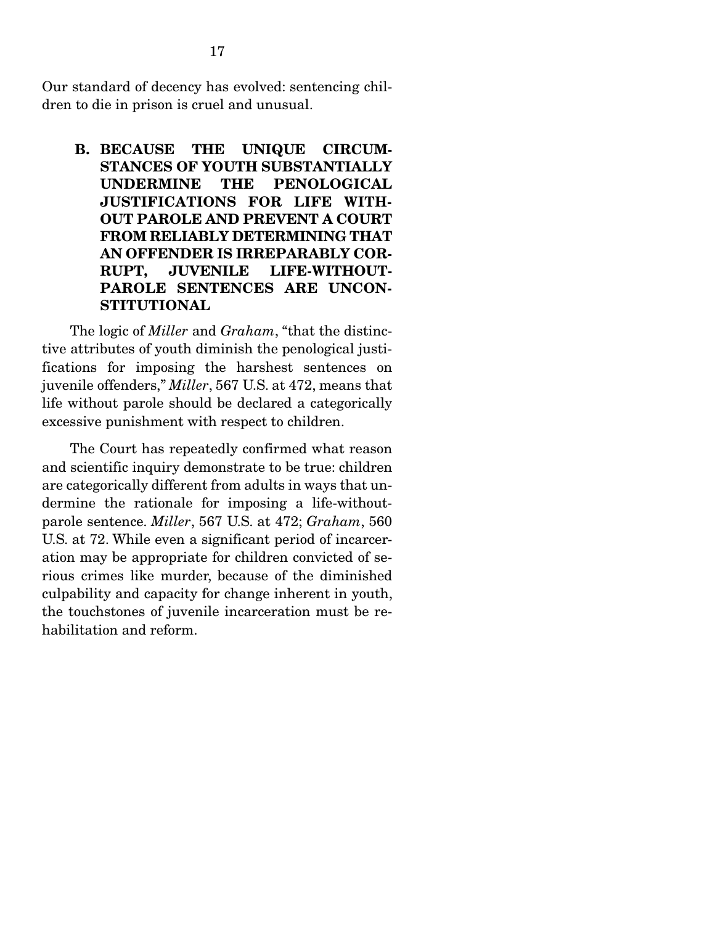Our standard of decency has evolved: sentencing children to die in prison is cruel and unusual.

B. BECAUSE THE UNIQUE CIRCUM-STANCES OF YOUTH SUBSTANTIALLY UNDERMINE THE PENOLOGICAL JUSTIFICATIONS FOR LIFE WITH-OUT PAROLE AND PREVENT A COURT FROM RELIABLY DETERMINING THAT AN OFFENDER IS IRREPARABLY COR-RUPT, JUVENILE LIFE-WITHOUT-PAROLE SENTENCES ARE UNCON-STITUTIONAL

 The logic of *Miller* and *Graham*, "that the distinctive attributes of youth diminish the penological justifications for imposing the harshest sentences on juvenile offenders," *Miller*, 567 U.S. at 472, means that life without parole should be declared a categorically excessive punishment with respect to children.

 The Court has repeatedly confirmed what reason and scientific inquiry demonstrate to be true: children are categorically different from adults in ways that undermine the rationale for imposing a life-withoutparole sentence. *Miller*, 567 U.S. at 472; *Graham*, 560 U.S. at 72. While even a significant period of incarceration may be appropriate for children convicted of serious crimes like murder, because of the diminished culpability and capacity for change inherent in youth, the touchstones of juvenile incarceration must be rehabilitation and reform.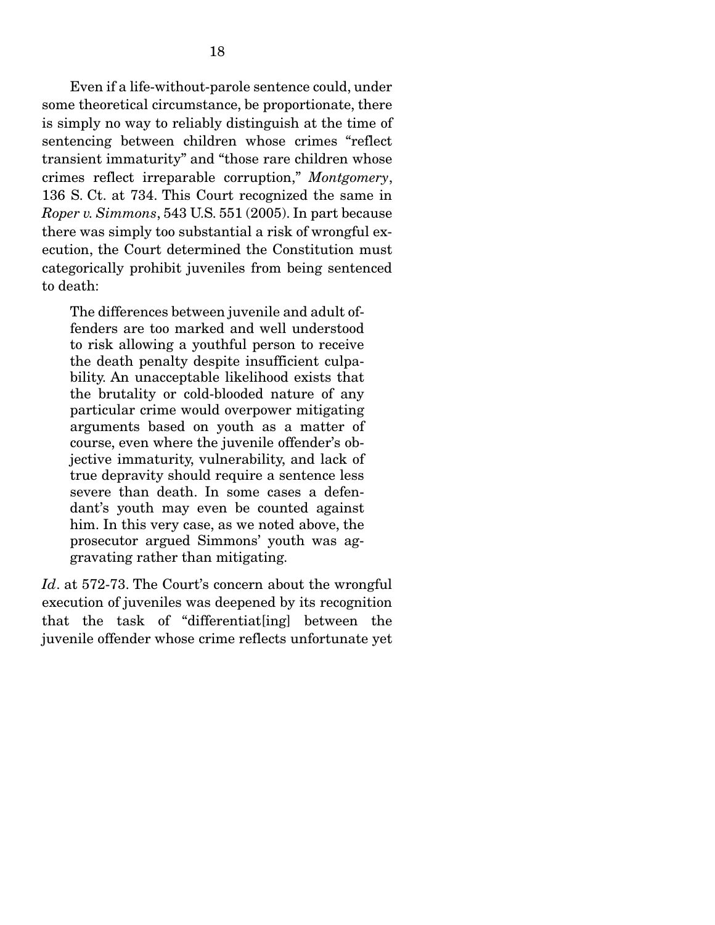Even if a life-without-parole sentence could, under some theoretical circumstance, be proportionate, there is simply no way to reliably distinguish at the time of sentencing between children whose crimes "reflect transient immaturity" and "those rare children whose crimes reflect irreparable corruption," *Montgomery*, 136 S. Ct. at 734. This Court recognized the same in *Roper v. Simmons*, 543 U.S. 551 (2005). In part because there was simply too substantial a risk of wrongful execution, the Court determined the Constitution must categorically prohibit juveniles from being sentenced to death:

The differences between juvenile and adult offenders are too marked and well understood to risk allowing a youthful person to receive the death penalty despite insufficient culpability. An unacceptable likelihood exists that the brutality or cold-blooded nature of any particular crime would overpower mitigating arguments based on youth as a matter of course, even where the juvenile offender's objective immaturity, vulnerability, and lack of true depravity should require a sentence less severe than death. In some cases a defendant's youth may even be counted against him. In this very case, as we noted above, the prosecutor argued Simmons' youth was aggravating rather than mitigating.

Id. at 572-73. The Court's concern about the wrongful execution of juveniles was deepened by its recognition that the task of "differentiat[ing] between the juvenile offender whose crime reflects unfortunate yet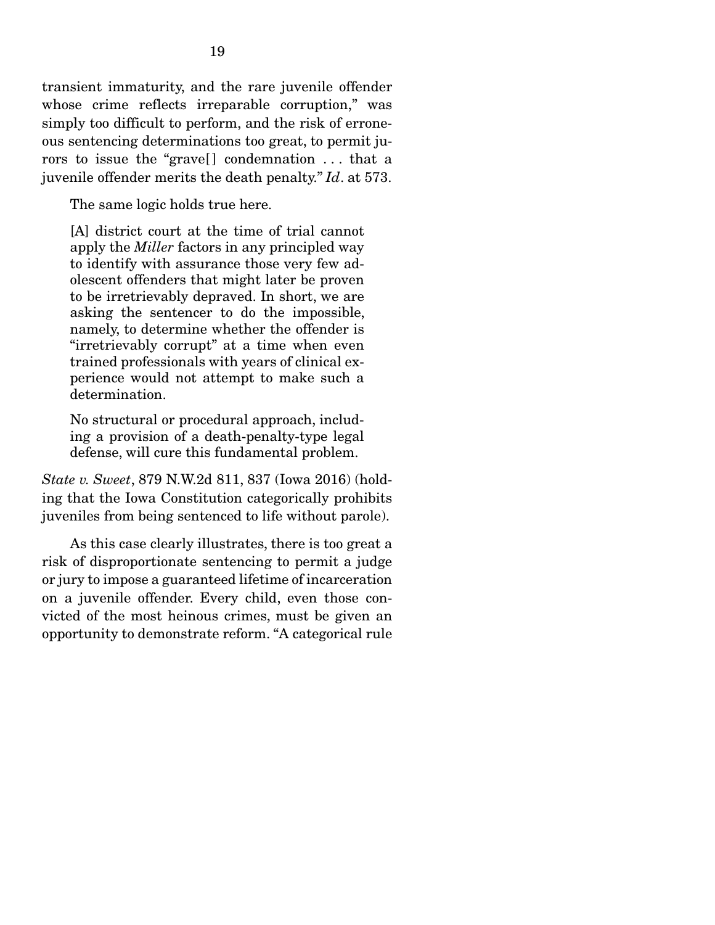transient immaturity, and the rare juvenile offender whose crime reflects irreparable corruption," was simply too difficult to perform, and the risk of erroneous sentencing determinations too great, to permit jurors to issue the "grave[] condemnation ... that a juvenile offender merits the death penalty." *Id*. at 573.

The same logic holds true here.

[A] district court at the time of trial cannot apply the *Miller* factors in any principled way to identify with assurance those very few adolescent offenders that might later be proven to be irretrievably depraved. In short, we are asking the sentencer to do the impossible, namely, to determine whether the offender is "irretrievably corrupt" at a time when even trained professionals with years of clinical experience would not attempt to make such a determination.

No structural or procedural approach, including a provision of a death-penalty-type legal defense, will cure this fundamental problem.

*State v. Sweet*, 879 N.W.2d 811, 837 (Iowa 2016) (holding that the Iowa Constitution categorically prohibits juveniles from being sentenced to life without parole).

 As this case clearly illustrates, there is too great a risk of disproportionate sentencing to permit a judge or jury to impose a guaranteed lifetime of incarceration on a juvenile offender. Every child, even those convicted of the most heinous crimes, must be given an opportunity to demonstrate reform. "A categorical rule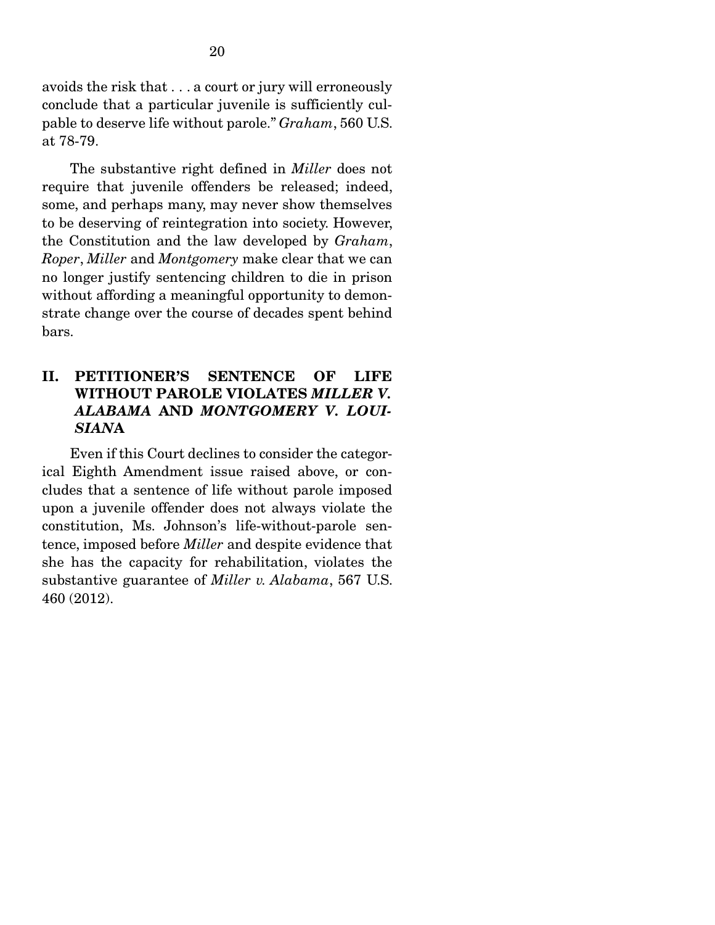avoids the risk that . . . a court or jury will erroneously conclude that a particular juvenile is sufficiently culpable to deserve life without parole." *Graham*, 560 U.S. at 78-79.

 The substantive right defined in *Miller* does not require that juvenile offenders be released; indeed, some, and perhaps many, may never show themselves to be deserving of reintegration into society. However, the Constitution and the law developed by *Graham*, *Roper*, *Miller* and *Montgomery* make clear that we can no longer justify sentencing children to die in prison without affording a meaningful opportunity to demonstrate change over the course of decades spent behind bars.

## II. PETITIONER'S SENTENCE OF LIFE WITHOUT PAROLE VIOLATES *MILLER V. ALABAMA* AND *MONTGOMERY V. LOUI-SIAN*A

 Even if this Court declines to consider the categorical Eighth Amendment issue raised above, or concludes that a sentence of life without parole imposed upon a juvenile offender does not always violate the constitution, Ms. Johnson's life-without-parole sentence, imposed before *Miller* and despite evidence that she has the capacity for rehabilitation, violates the substantive guarantee of *Miller v. Alabama*, 567 U.S. 460 (2012).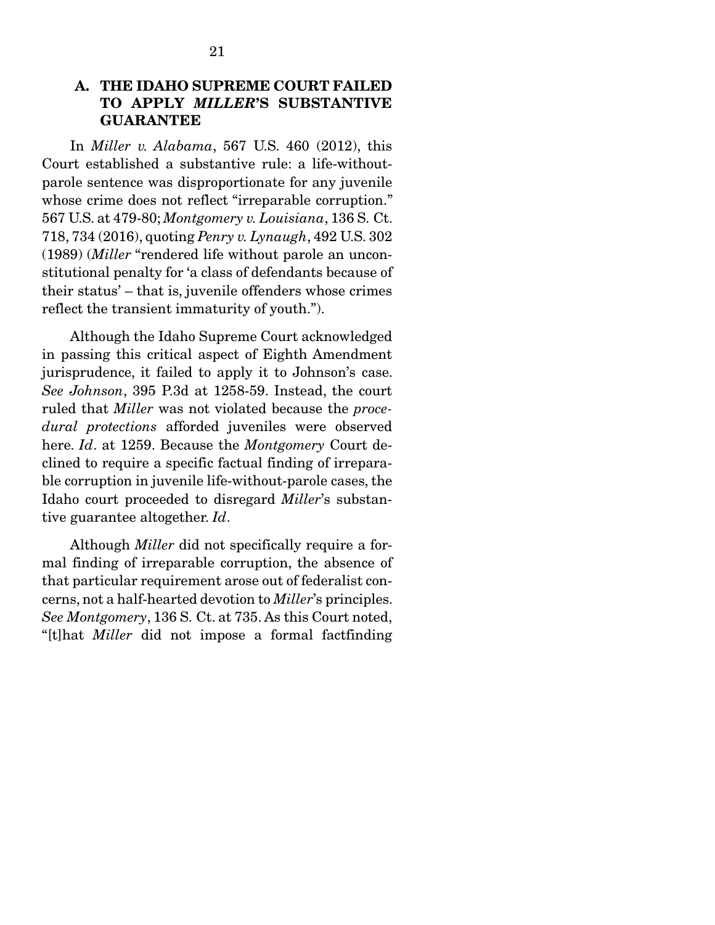## A. THE IDAHO SUPREME COURT FAILED TO APPLY *MILLER*'S SUBSTANTIVE GUARANTEE

 In *Miller v. Alabama*, 567 U.S. 460 (2012), this Court established a substantive rule: a life-withoutparole sentence was disproportionate for any juvenile whose crime does not reflect "irreparable corruption." 567 U.S. at 479-80; *Montgomery v. Louisiana*, 136 S. Ct. 718, 734 (2016), quoting *Penry v. Lynaugh*, 492 U.S. 302 (1989) (*Miller* "rendered life without parole an unconstitutional penalty for 'a class of defendants because of their status' – that is, juvenile offenders whose crimes reflect the transient immaturity of youth.").

 Although the Idaho Supreme Court acknowledged in passing this critical aspect of Eighth Amendment jurisprudence, it failed to apply it to Johnson's case. *See Johnson*, 395 P.3d at 1258-59. Instead, the court ruled that *Miller* was not violated because the *procedural protections* afforded juveniles were observed here. *Id*. at 1259. Because the *Montgomery* Court declined to require a specific factual finding of irreparable corruption in juvenile life-without-parole cases, the Idaho court proceeded to disregard *Miller*'s substantive guarantee altogether. *Id*.

 Although *Miller* did not specifically require a formal finding of irreparable corruption, the absence of that particular requirement arose out of federalist concerns, not a half-hearted devotion to *Miller*'s principles. *See Montgomery*, 136 S. Ct. at 735. As this Court noted, "[t]hat *Miller* did not impose a formal factfinding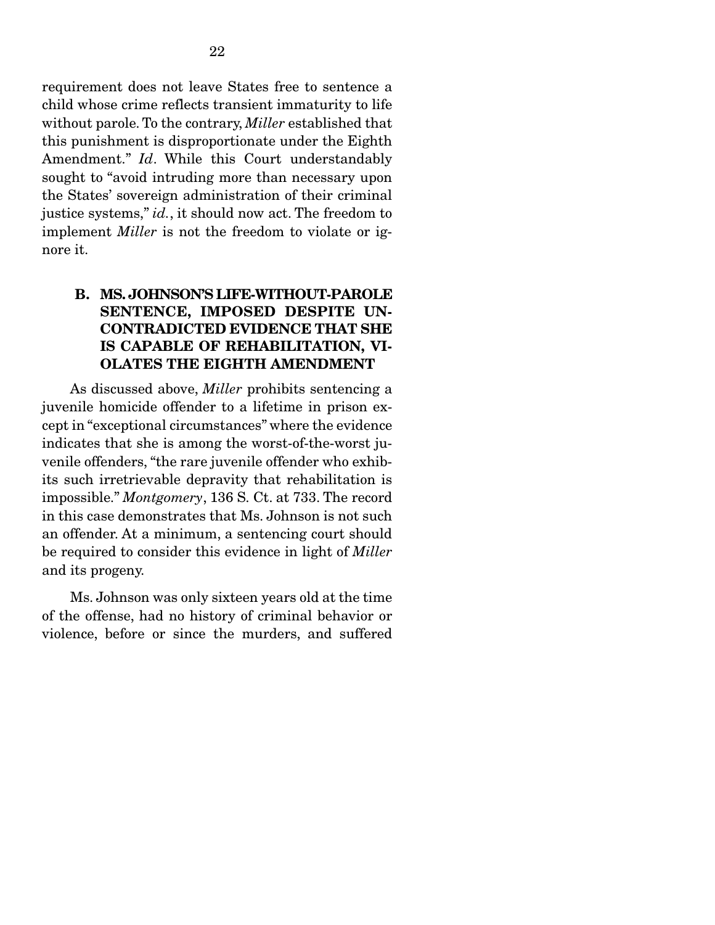requirement does not leave States free to sentence a child whose crime reflects transient immaturity to life without parole. To the contrary, *Miller* established that this punishment is disproportionate under the Eighth Amendment." *Id*. While this Court understandably sought to "avoid intruding more than necessary upon the States' sovereign administration of their criminal justice systems," *id.*, it should now act. The freedom to implement *Miller* is not the freedom to violate or ignore it.

### B. MS. JOHNSON'S LIFE-WITHOUT-PAROLE SENTENCE, IMPOSED DESPITE UN-CONTRADICTED EVIDENCE THAT SHE IS CAPABLE OF REHABILITATION, VI-OLATES THE EIGHTH AMENDMENT

 As discussed above, *Miller* prohibits sentencing a juvenile homicide offender to a lifetime in prison except in "exceptional circumstances" where the evidence indicates that she is among the worst-of-the-worst juvenile offenders, "the rare juvenile offender who exhibits such irretrievable depravity that rehabilitation is impossible." *Montgomery*, 136 S. Ct. at 733. The record in this case demonstrates that Ms. Johnson is not such an offender. At a minimum, a sentencing court should be required to consider this evidence in light of *Miller* and its progeny.

 Ms. Johnson was only sixteen years old at the time of the offense, had no history of criminal behavior or violence, before or since the murders, and suffered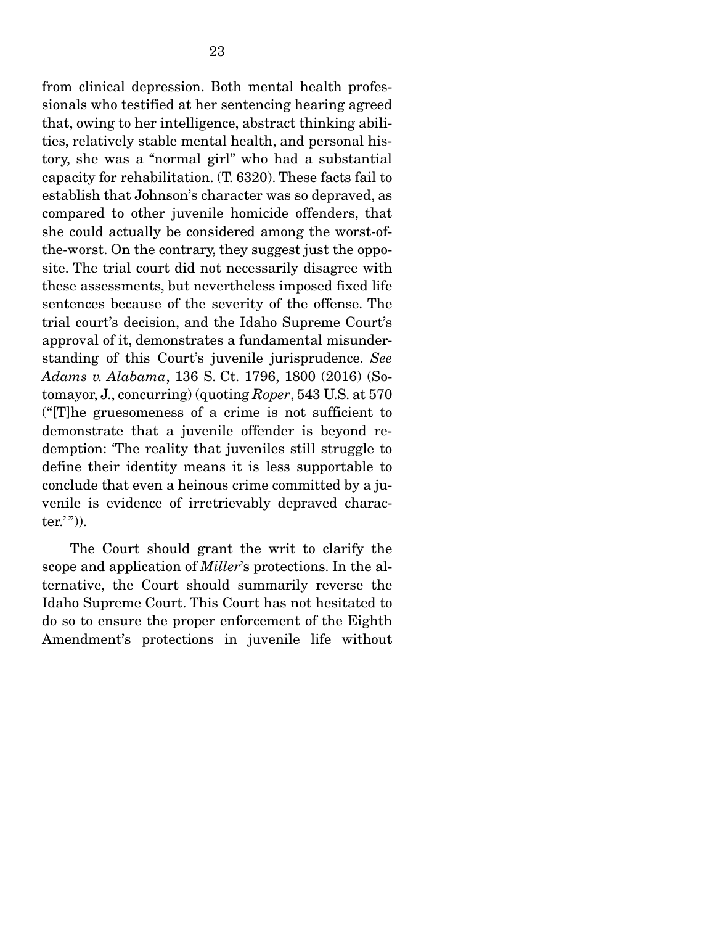from clinical depression. Both mental health professionals who testified at her sentencing hearing agreed that, owing to her intelligence, abstract thinking abilities, relatively stable mental health, and personal history, she was a "normal girl" who had a substantial capacity for rehabilitation. (T. 6320). These facts fail to establish that Johnson's character was so depraved, as compared to other juvenile homicide offenders, that she could actually be considered among the worst-ofthe-worst. On the contrary, they suggest just the opposite. The trial court did not necessarily disagree with these assessments, but nevertheless imposed fixed life sentences because of the severity of the offense. The trial court's decision, and the Idaho Supreme Court's approval of it, demonstrates a fundamental misunderstanding of this Court's juvenile jurisprudence. *See Adams v. Alabama*, 136 S. Ct. 1796, 1800 (2016) (Sotomayor, J., concurring) (quoting *Roper*, 543 U.S. at 570 ("[T]he gruesomeness of a crime is not sufficient to demonstrate that a juvenile offender is beyond redemption: 'The reality that juveniles still struggle to define their identity means it is less supportable to conclude that even a heinous crime committed by a juvenile is evidence of irretrievably depraved character.'" $)$ ).

 The Court should grant the writ to clarify the scope and application of *Miller*'s protections. In the alternative, the Court should summarily reverse the Idaho Supreme Court. This Court has not hesitated to do so to ensure the proper enforcement of the Eighth Amendment's protections in juvenile life without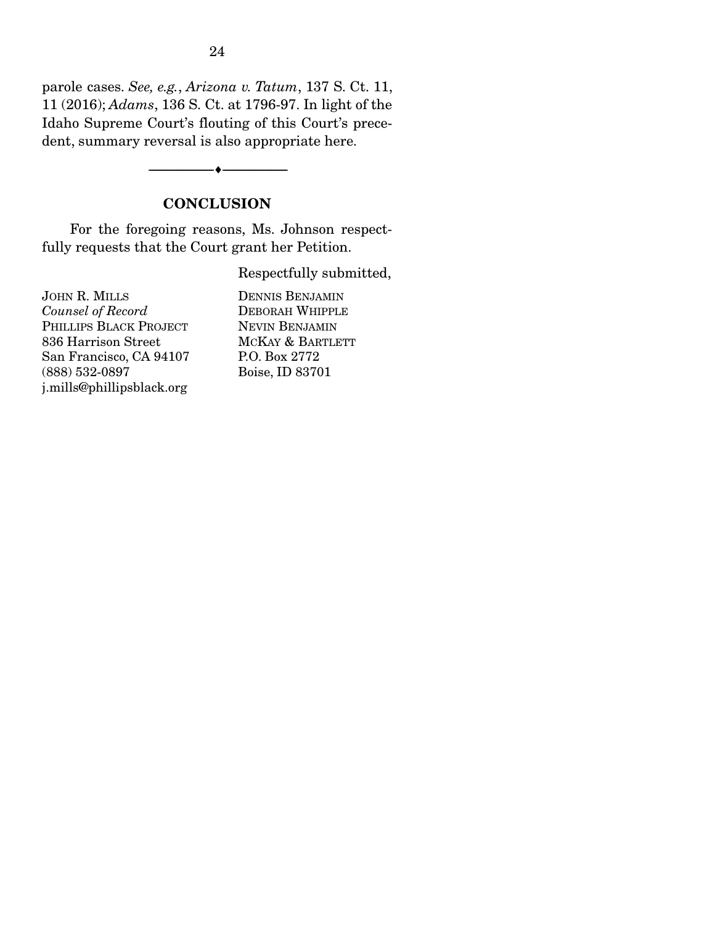parole cases. *See, e.g.*, *Arizona v. Tatum*, 137 S. Ct. 11, 11 (2016); *Adams*, 136 S. Ct. at 1796-97. In light of the Idaho Supreme Court's flouting of this Court's precedent, summary reversal is also appropriate here.

# **CONCLUSION**

--------------------------------- ---------------------------------

 For the foregoing reasons, Ms. Johnson respectfully requests that the Court grant her Petition.

Respectfully submitted,

JOHN R. MILLS *Counsel of Record*  PHILLIPS BLACK PROJECT 836 Harrison Street San Francisco, CA 94107 (888) 532-0897 j.mills@phillipsblack.org

DENNIS BENJAMIN DEBORAH WHIPPLE NEVIN BENJAMIN MCKAY & BARTLETT P.O. Box 2772 Boise, ID 83701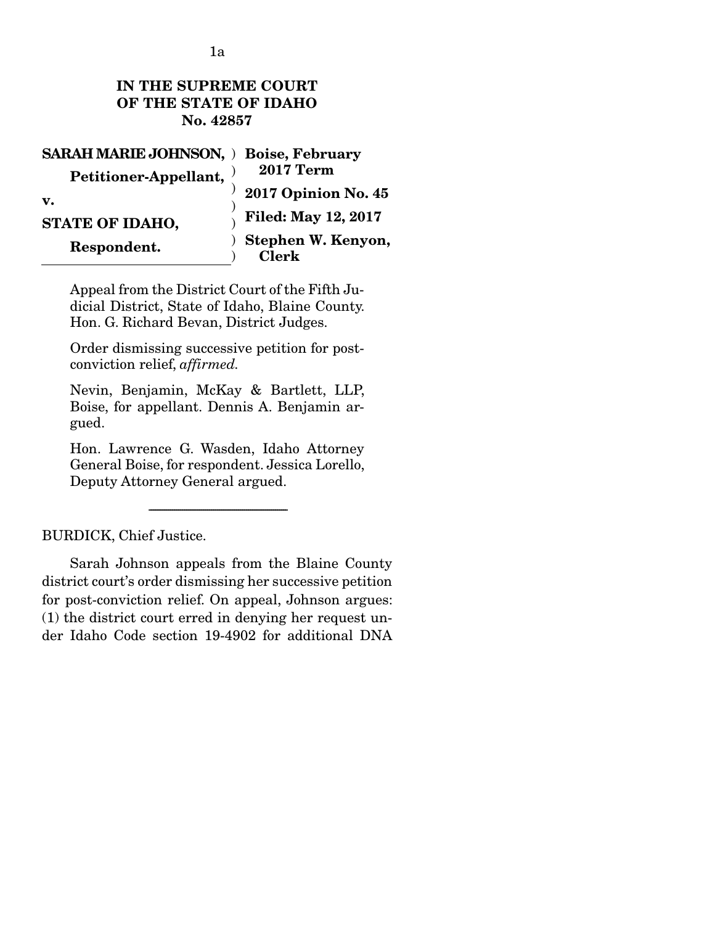# IN THE SUPREME COURT OF THE STATE OF IDAHO No. 42857

| <b>SARAH MARIE JOHNSON, ) Boise, February</b> |                                                                                                                                                                                                                                                                                                                                                                                                               |
|-----------------------------------------------|---------------------------------------------------------------------------------------------------------------------------------------------------------------------------------------------------------------------------------------------------------------------------------------------------------------------------------------------------------------------------------------------------------------|
| Petitioner-Appellant,                         | $2017~{\rm Term}$                                                                                                                                                                                                                                                                                                                                                                                             |
| $\mathbf{v}$ .                                | <b>2017 Opinion No. 45</b>                                                                                                                                                                                                                                                                                                                                                                                    |
| STATE OF IDAHO.                               | $\begin{array}{c}\n\sqrt{1 + 1} \\ \sqrt{1 + 1} \\ \sqrt{1 + 1} \\ \sqrt{1 + 1} \\ \sqrt{1 + 1} \\ \sqrt{1 + 1} \\ \sqrt{1 + 1} \\ \sqrt{1 + 1} \\ \sqrt{1 + 1} \\ \sqrt{1 + 1} \\ \sqrt{1 + 1} \\ \sqrt{1 + 1} \\ \sqrt{1 + 1} \\ \sqrt{1 + 1} \\ \sqrt{1 + 1} \\ \sqrt{1 + 1} \\ \sqrt{1 + 1} \\ \sqrt{1 + 1} \\ \sqrt{1 + 1} \\ \sqrt{1 + 1} \\ \sqrt{1 + 1} \\ \sqrt{1 + 1} \\ \sqrt{1 + 1} \\ \sqrt{1 +$ |
| Respondent.                                   | ) Stephen W. Kenyon,<br><b>Clerk</b>                                                                                                                                                                                                                                                                                                                                                                          |

Appeal from the District Court of the Fifth Judicial District, State of Idaho, Blaine County. Hon. G. Richard Bevan, District Judges.

Order dismissing successive petition for postconviction relief, *affirmed.* 

Nevin, Benjamin, McKay & Bartlett, LLP, Boise, for appellant. Dennis A. Benjamin argued.

Hon. Lawrence G. Wasden, Idaho Attorney General Boise, for respondent. Jessica Lorello, Deputy Attorney General argued.

-----------------------------------------------------------------------

# BURDICK, Chief Justice.

 Sarah Johnson appeals from the Blaine County district court's order dismissing her successive petition for post-conviction relief. On appeal, Johnson argues: (1) the district court erred in denying her request under Idaho Code section 19-4902 for additional DNA

1a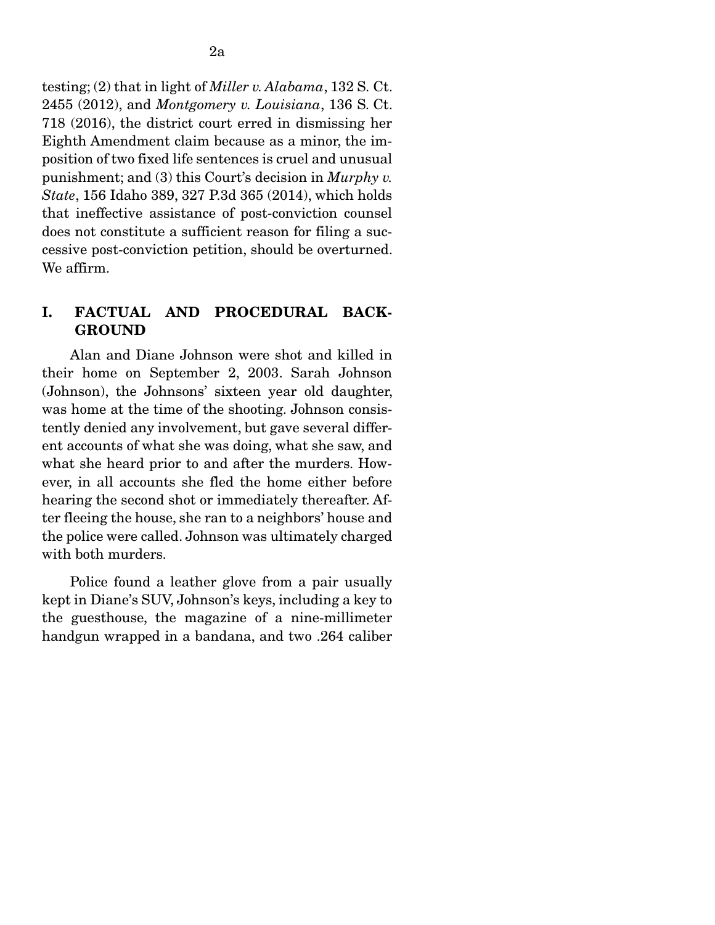testing; (2) that in light of *Miller v. Alabama*, 132 S. Ct. 2455 (2012), and *Montgomery v. Louisiana*, 136 S. Ct. 718 (2016), the district court erred in dismissing her Eighth Amendment claim because as a minor, the imposition of two fixed life sentences is cruel and unusual punishment; and (3) this Court's decision in *Murphy v. State*, 156 Idaho 389, 327 P.3d 365 (2014), which holds that ineffective assistance of post-conviction counsel does not constitute a sufficient reason for filing a successive post-conviction petition, should be overturned. We affirm.

### I. FACTUAL AND PROCEDURAL BACK-**GROUND**

Alan and Diane Johnson were shot and killed in their home on September 2, 2003. Sarah Johnson (Johnson), the Johnsons' sixteen year old daughter, was home at the time of the shooting. Johnson consistently denied any involvement, but gave several different accounts of what she was doing, what she saw, and what she heard prior to and after the murders. However, in all accounts she fled the home either before hearing the second shot or immediately thereafter. After fleeing the house, she ran to a neighbors' house and the police were called. Johnson was ultimately charged with both murders.

 Police found a leather glove from a pair usually kept in Diane's SUV, Johnson's keys, including a key to the guesthouse, the magazine of a nine-millimeter handgun wrapped in a bandana, and two .264 caliber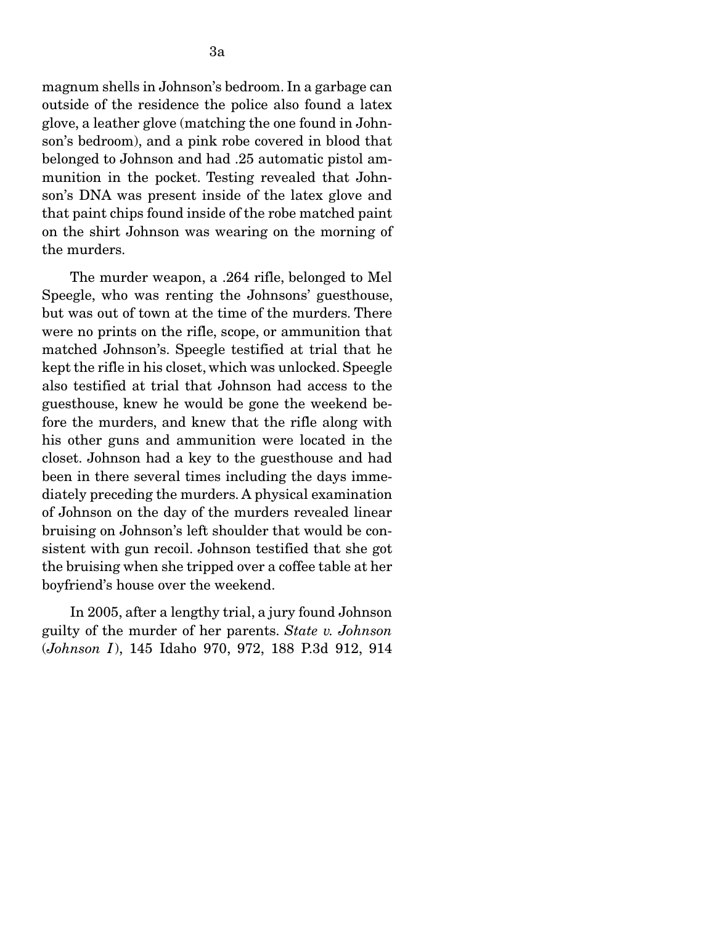magnum shells in Johnson's bedroom. In a garbage can outside of the residence the police also found a latex glove, a leather glove (matching the one found in Johnson's bedroom), and a pink robe covered in blood that belonged to Johnson and had .25 automatic pistol ammunition in the pocket. Testing revealed that Johnson's DNA was present inside of the latex glove and that paint chips found inside of the robe matched paint on the shirt Johnson was wearing on the morning of the murders.

 The murder weapon, a .264 rifle, belonged to Mel Speegle, who was renting the Johnsons' guesthouse, but was out of town at the time of the murders. There were no prints on the rifle, scope, or ammunition that matched Johnson's. Speegle testified at trial that he kept the rifle in his closet, which was unlocked. Speegle also testified at trial that Johnson had access to the guesthouse, knew he would be gone the weekend before the murders, and knew that the rifle along with his other guns and ammunition were located in the closet. Johnson had a key to the guesthouse and had been in there several times including the days immediately preceding the murders. A physical examination of Johnson on the day of the murders revealed linear bruising on Johnson's left shoulder that would be consistent with gun recoil. Johnson testified that she got the bruising when she tripped over a coffee table at her boyfriend's house over the weekend.

 In 2005, after a lengthy trial, a jury found Johnson guilty of the murder of her parents. *State v. Johnson*  (*Johnson I*), 145 Idaho 970, 972, 188 P.3d 912, 914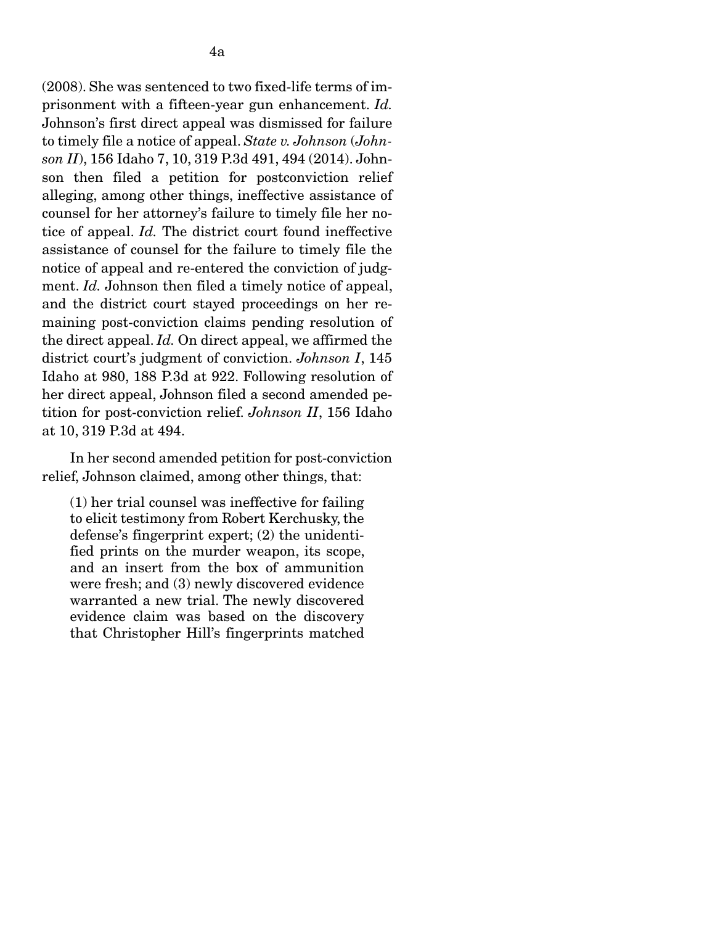(2008). She was sentenced to two fixed-life terms of imprisonment with a fifteen-year gun enhancement. *Id.*  Johnson's first direct appeal was dismissed for failure to timely file a notice of appeal. *State v. Johnson* (*Johnson II*), 156 Idaho 7, 10, 319 P.3d 491, 494 (2014). Johnson then filed a petition for postconviction relief alleging, among other things, ineffective assistance of counsel for her attorney's failure to timely file her notice of appeal. *Id.* The district court found ineffective assistance of counsel for the failure to timely file the notice of appeal and re-entered the conviction of judgment. *Id.* Johnson then filed a timely notice of appeal, and the district court stayed proceedings on her remaining post-conviction claims pending resolution of the direct appeal. *Id.* On direct appeal, we affirmed the district court's judgment of conviction. *Johnson I*, 145 Idaho at 980, 188 P.3d at 922. Following resolution of her direct appeal, Johnson filed a second amended petition for post-conviction relief. *Johnson II*, 156 Idaho at 10, 319 P.3d at 494.

 In her second amended petition for post-conviction relief, Johnson claimed, among other things, that:

(1) her trial counsel was ineffective for failing to elicit testimony from Robert Kerchusky, the defense's fingerprint expert; (2) the unidentified prints on the murder weapon, its scope, and an insert from the box of ammunition were fresh; and (3) newly discovered evidence warranted a new trial. The newly discovered evidence claim was based on the discovery that Christopher Hill's fingerprints matched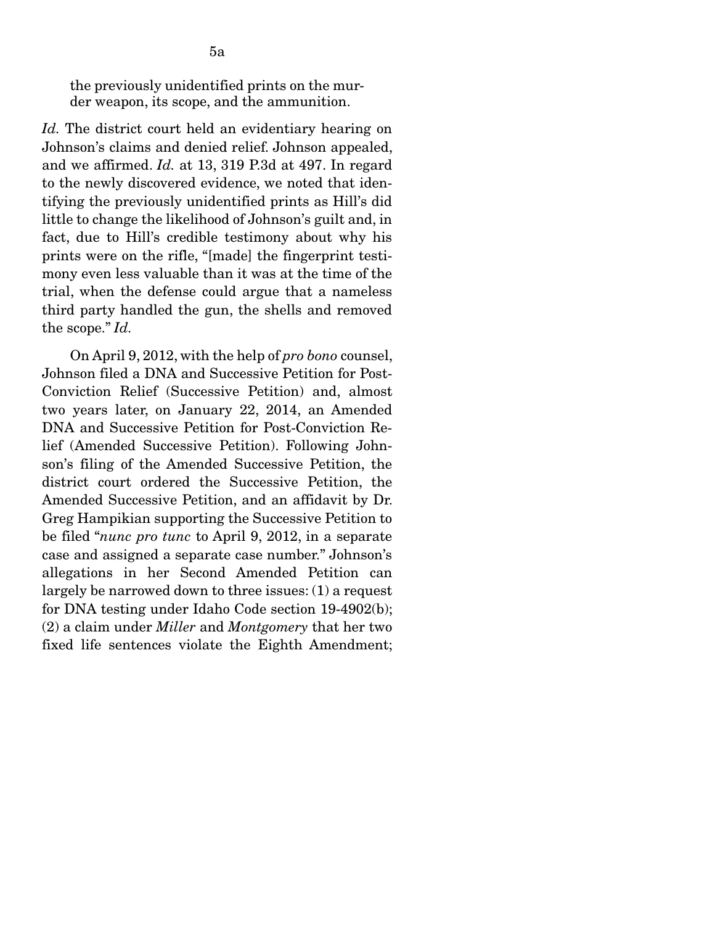the previously unidentified prints on the murder weapon, its scope, and the ammunition.

*Id.* The district court held an evidentiary hearing on Johnson's claims and denied relief. Johnson appealed, and we affirmed. *Id.* at 13, 319 P.3d at 497. In regard to the newly discovered evidence, we noted that identifying the previously unidentified prints as Hill's did little to change the likelihood of Johnson's guilt and, in fact, due to Hill's credible testimony about why his prints were on the rifle, "[made] the fingerprint testimony even less valuable than it was at the time of the trial, when the defense could argue that a nameless third party handled the gun, the shells and removed the scope." *Id.* 

On April 9, 2012, with the help of *pro bono* counsel, Johnson filed a DNA and Successive Petition for Post-Conviction Relief (Successive Petition) and, almost two years later, on January 22, 2014, an Amended DNA and Successive Petition for Post-Conviction Relief (Amended Successive Petition). Following Johnson's filing of the Amended Successive Petition, the district court ordered the Successive Petition, the Amended Successive Petition, and an affidavit by Dr. Greg Hampikian supporting the Successive Petition to be filed "*nunc pro tunc* to April 9, 2012, in a separate case and assigned a separate case number." Johnson's allegations in her Second Amended Petition can largely be narrowed down to three issues: (1) a request for DNA testing under Idaho Code section 19-4902(b); (2) a claim under *Miller* and *Montgomery* that her two fixed life sentences violate the Eighth Amendment;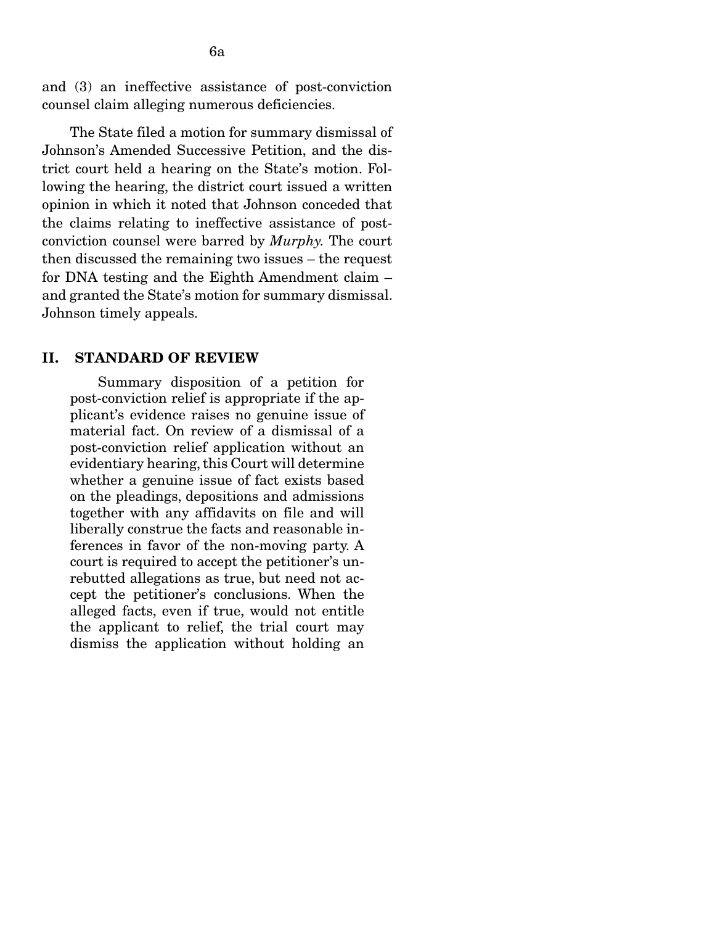and (3) an ineffective assistance of post-conviction counsel claim alleging numerous deficiencies.

 The State filed a motion for summary dismissal of Johnson's Amended Successive Petition, and the district court held a hearing on the State's motion. Following the hearing, the district court issued a written opinion in which it noted that Johnson conceded that the claims relating to ineffective assistance of postconviction counsel were barred by *Murphy.* The court then discussed the remaining two issues – the request for DNA testing and the Eighth Amendment claim – and granted the State's motion for summary dismissal. Johnson timely appeals.

#### II. STANDARD OF REVIEW

Summary disposition of a petition for post-conviction relief is appropriate if the applicant's evidence raises no genuine issue of material fact. On review of a dismissal of a post-conviction relief application without an evidentiary hearing, this Court will determine whether a genuine issue of fact exists based on the pleadings, depositions and admissions together with any affidavits on file and will liberally construe the facts and reasonable inferences in favor of the non-moving party. A court is required to accept the petitioner's unrebutted allegations as true, but need not accept the petitioner's conclusions. When the alleged facts, even if true, would not entitle the applicant to relief, the trial court may dismiss the application without holding an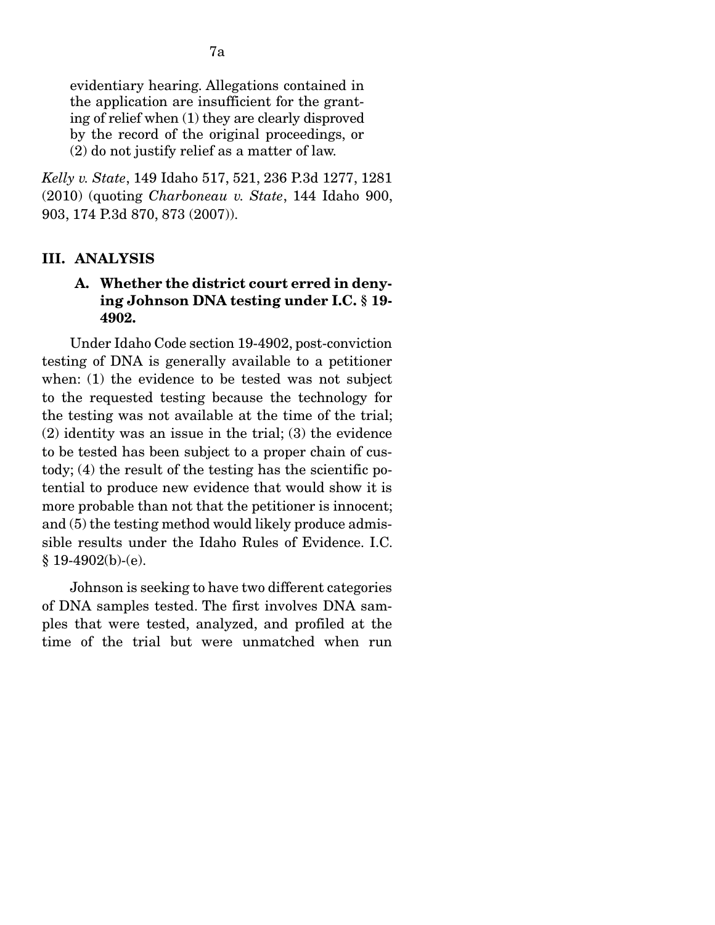evidentiary hearing. Allegations contained in the application are insufficient for the granting of relief when (1) they are clearly disproved by the record of the original proceedings, or (2) do not justify relief as a matter of law.

*Kelly v. State*, 149 Idaho 517, 521, 236 P.3d 1277, 1281 (2010) (quoting *Charboneau v. State*, 144 Idaho 900, 903, 174 P.3d 870, 873 (2007)).

# III. ANALYSIS

# A. Whether the district court erred in denying Johnson DNA testing under I.C. § 19- 4902.

Under Idaho Code section 19-4902, post-conviction testing of DNA is generally available to a petitioner when: (1) the evidence to be tested was not subject to the requested testing because the technology for the testing was not available at the time of the trial; (2) identity was an issue in the trial; (3) the evidence to be tested has been subject to a proper chain of custody; (4) the result of the testing has the scientific potential to produce new evidence that would show it is more probable than not that the petitioner is innocent; and (5) the testing method would likely produce admissible results under the Idaho Rules of Evidence. I.C.  $$19-4902(b)-(e).$ 

 Johnson is seeking to have two different categories of DNA samples tested. The first involves DNA samples that were tested, analyzed, and profiled at the time of the trial but were unmatched when run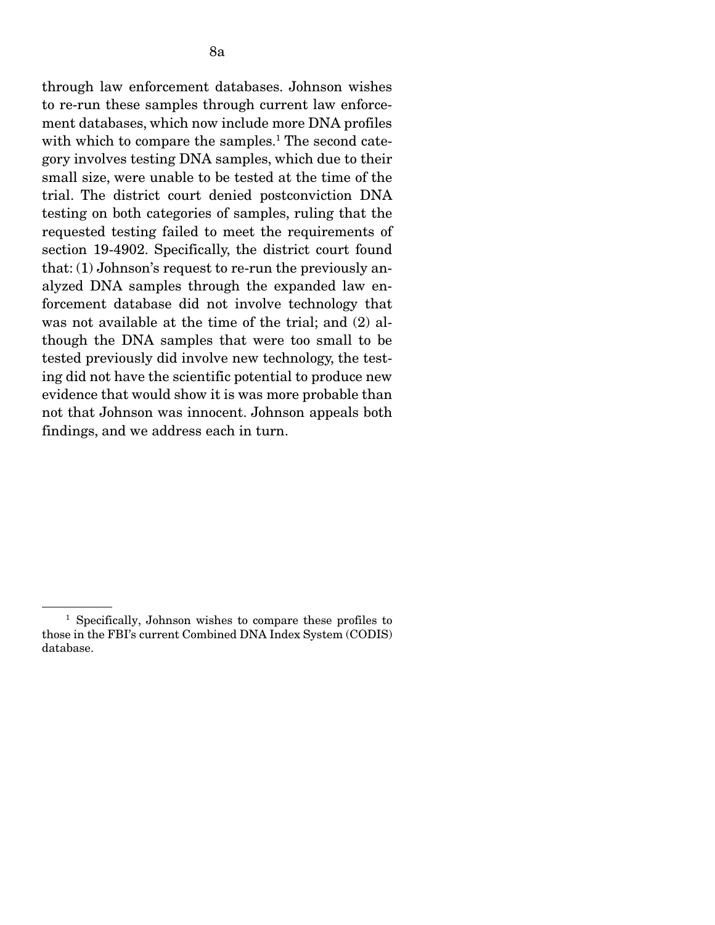through law enforcement databases. Johnson wishes to re-run these samples through current law enforcement databases, which now include more DNA profiles with which to compare the samples.<sup>1</sup> The second category involves testing DNA samples, which due to their small size, were unable to be tested at the time of the trial. The district court denied postconviction DNA testing on both categories of samples, ruling that the requested testing failed to meet the requirements of section 19-4902. Specifically, the district court found that: (1) Johnson's request to re-run the previously analyzed DNA samples through the expanded law enforcement database did not involve technology that was not available at the time of the trial; and (2) although the DNA samples that were too small to be tested previously did involve new technology, the testing did not have the scientific potential to produce new evidence that would show it is was more probable than not that Johnson was innocent. Johnson appeals both findings, and we address each in turn.

<sup>&</sup>lt;sup>1</sup> Specifically, Johnson wishes to compare these profiles to those in the FBI's current Combined DNA Index System (CODIS) database.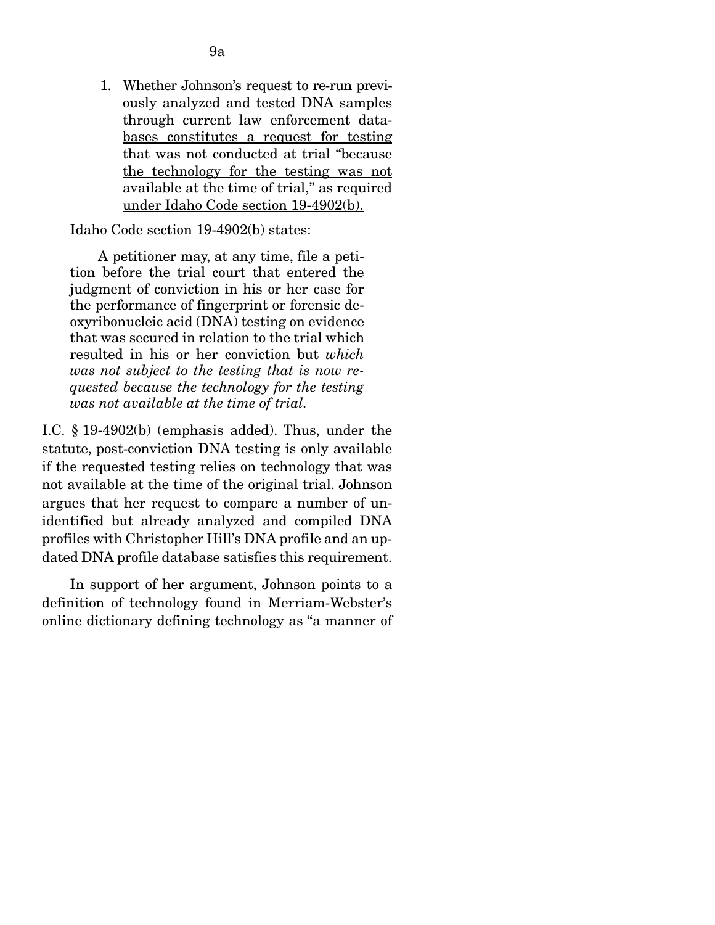1. Whether Johnson's request to re-run previously analyzed and tested DNA samples through current law enforcement databases constitutes a request for testing that was not conducted at trial "because the technology for the testing was not available at the time of trial," as required under Idaho Code section 19-4902(b).

Idaho Code section 19-4902(b) states:

 A petitioner may, at any time, file a petition before the trial court that entered the judgment of conviction in his or her case for the performance of fingerprint or forensic deoxyribonucleic acid (DNA) testing on evidence that was secured in relation to the trial which resulted in his or her conviction but *which was not subject to the testing that is now requested because the technology for the testing was not available at the time of trial.*

I.C. § 19-4902(b) (emphasis added). Thus, under the statute, post-conviction DNA testing is only available if the requested testing relies on technology that was not available at the time of the original trial. Johnson argues that her request to compare a number of unidentified but already analyzed and compiled DNA profiles with Christopher Hill's DNA profile and an updated DNA profile database satisfies this requirement.

In support of her argument, Johnson points to a definition of technology found in Merriam-Webster's online dictionary defining technology as "a manner of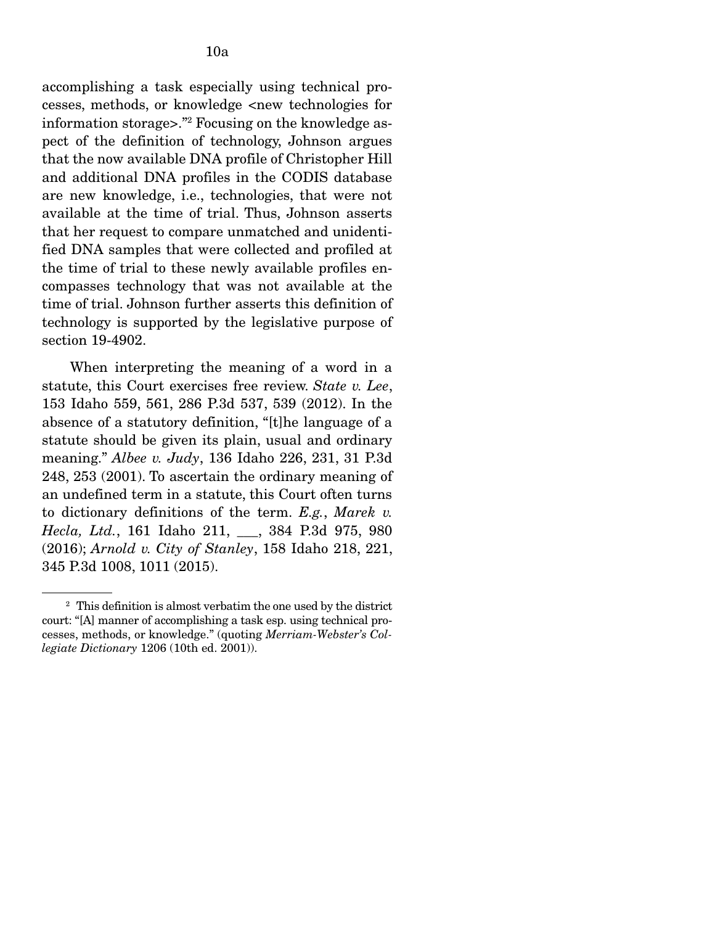accomplishing a task especially using technical processes, methods, or knowledge <new technologies for information storage>."2 Focusing on the knowledge aspect of the definition of technology, Johnson argues that the now available DNA profile of Christopher Hill and additional DNA profiles in the CODIS database are new knowledge, i.e., technologies, that were not available at the time of trial. Thus, Johnson asserts that her request to compare unmatched and unidentified DNA samples that were collected and profiled at the time of trial to these newly available profiles encompasses technology that was not available at the time of trial. Johnson further asserts this definition of technology is supported by the legislative purpose of section 19-4902.

 When interpreting the meaning of a word in a statute, this Court exercises free review. *State v. Lee*, 153 Idaho 559, 561, 286 P.3d 537, 539 (2012). In the absence of a statutory definition, "[t]he language of a statute should be given its plain, usual and ordinary meaning." *Albee v. Judy*, 136 Idaho 226, 231, 31 P.3d 248, 253 (2001). To ascertain the ordinary meaning of an undefined term in a statute, this Court often turns to dictionary definitions of the term. *E.g.*, *Marek v. Hecla, Ltd.*, 161 Idaho 211, \_\_\_, 384 P.3d 975, 980 (2016); *Arnold v. City of Stanley*, 158 Idaho 218, 221, 345 P.3d 1008, 1011 (2015).

<sup>2</sup> This definition is almost verbatim the one used by the district court: "[A] manner of accomplishing a task esp. using technical processes, methods, or knowledge." (quoting *Merriam-Webster's Collegiate Dictionary* 1206 (10th ed. 2001)).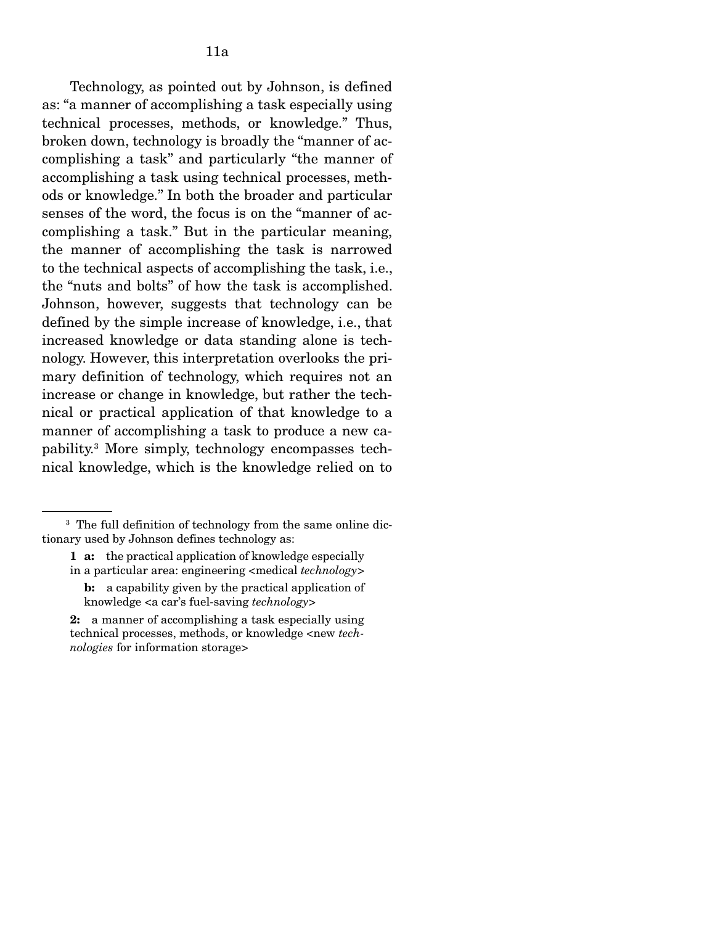broken down, technology is broadly the "manner of accomplishing a task" and particularly "the manner of accomplishing a task using technical processes, methods or knowledge." In both the broader and particular senses of the word, the focus is on the "manner of accomplishing a task." But in the particular meaning, the manner of accomplishing the task is narrowed to the technical aspects of accomplishing the task, i.e., the "nuts and bolts" of how the task is accomplished. Johnson, however, suggests that technology can be defined by the simple increase of knowledge, i.e., that increased knowledge or data standing alone is technology. However, this interpretation overlooks the primary definition of technology, which requires not an increase or change in knowledge, but rather the technical or practical application of that knowledge to a manner of accomplishing a task to produce a new capability.3 More simply, technology encompasses technical knowledge, which is the knowledge relied on to

<sup>&</sup>lt;sup>3</sup> The full definition of technology from the same online dictionary used by Johnson defines technology as:

<sup>1</sup> a: the practical application of knowledge especially in a particular area: engineering <medical *technology>* 

b: a capability given by the practical application of knowledge <a car's fuel-saving *technology>*

<sup>2:</sup> a manner of accomplishing a task especially using technical processes, methods, or knowledge <new *technologies* for information storage>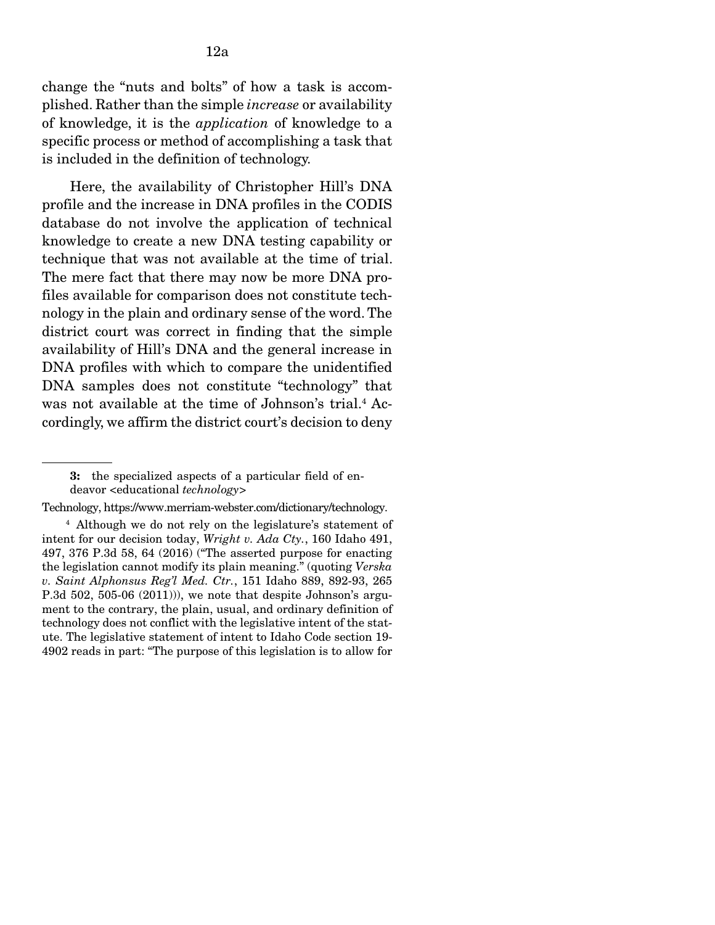change the "nuts and bolts" of how a task is accomplished. Rather than the simple *increase* or availability of knowledge, it is the *application* of knowledge to a specific process or method of accomplishing a task that is included in the definition of technology.

 Here, the availability of Christopher Hill's DNA profile and the increase in DNA profiles in the CODIS database do not involve the application of technical knowledge to create a new DNA testing capability or technique that was not available at the time of trial. The mere fact that there may now be more DNA profiles available for comparison does not constitute technology in the plain and ordinary sense of the word. The district court was correct in finding that the simple availability of Hill's DNA and the general increase in DNA profiles with which to compare the unidentified DNA samples does not constitute "technology" that was not available at the time of Johnson's trial.<sup>4</sup> Accordingly, we affirm the district court's decision to deny

<sup>3:</sup> the specialized aspects of a particular field of endeavor <educational *technology>*

Technology, https://www.merriam-webster.com/dictionary/technology.

<sup>4</sup> Although we do not rely on the legislature's statement of intent for our decision today, *Wright v. Ada Cty.*, 160 Idaho 491, 497, 376 P.3d 58, 64 (2016) ("The asserted purpose for enacting the legislation cannot modify its plain meaning." (quoting *Verska v. Saint Alphonsus Reg'l Med. Ctr.*, 151 Idaho 889, 892-93, 265 P.3d  $502$ ,  $505-06$   $(2011)$ , we note that despite Johnson's argument to the contrary, the plain, usual, and ordinary definition of technology does not conflict with the legislative intent of the statute. The legislative statement of intent to Idaho Code section 19- 4902 reads in part: "The purpose of this legislation is to allow for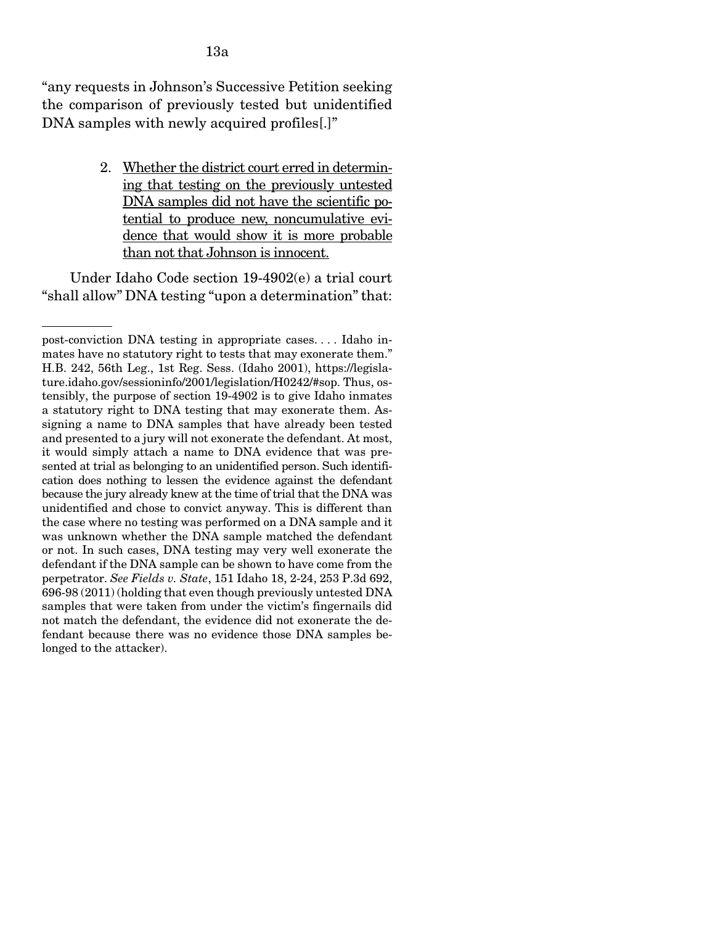"any requests in Johnson's Successive Petition seeking the comparison of previously tested but unidentified DNA samples with newly acquired profiles<sup>[1]</sup>"

> 2. Whether the district court erred in determining that testing on the previously untested DNA samples did not have the scientific potential to produce new, noncumulative evidence that would show it is more probable than not that Johnson is innocent.

 Under Idaho Code section 19-4902(e) a trial court "shall allow" DNA testing "upon a determination" that:

post-conviction DNA testing in appropriate cases. . . . Idaho inmates have no statutory right to tests that may exonerate them." H.B. 242, 56th Leg., 1st Reg. Sess. (Idaho 2001), https://legislature.idaho.gov/sessioninfo/2001/legislation/H0242/#sop. Thus, ostensibly, the purpose of section 19-4902 is to give Idaho inmates a statutory right to DNA testing that may exonerate them. Assigning a name to DNA samples that have already been tested and presented to a jury will not exonerate the defendant. At most, it would simply attach a name to DNA evidence that was presented at trial as belonging to an unidentified person. Such identification does nothing to lessen the evidence against the defendant because the jury already knew at the time of trial that the DNA was unidentified and chose to convict anyway. This is different than the case where no testing was performed on a DNA sample and it was unknown whether the DNA sample matched the defendant or not. In such cases, DNA testing may very well exonerate the defendant if the DNA sample can be shown to have come from the perpetrator. *See Fields v. State*, 151 Idaho 18, 2-24, 253 P.3d 692, 696-98 (2011) (holding that even though previously untested DNA samples that were taken from under the victim's fingernails did not match the defendant, the evidence did not exonerate the defendant because there was no evidence those DNA samples belonged to the attacker).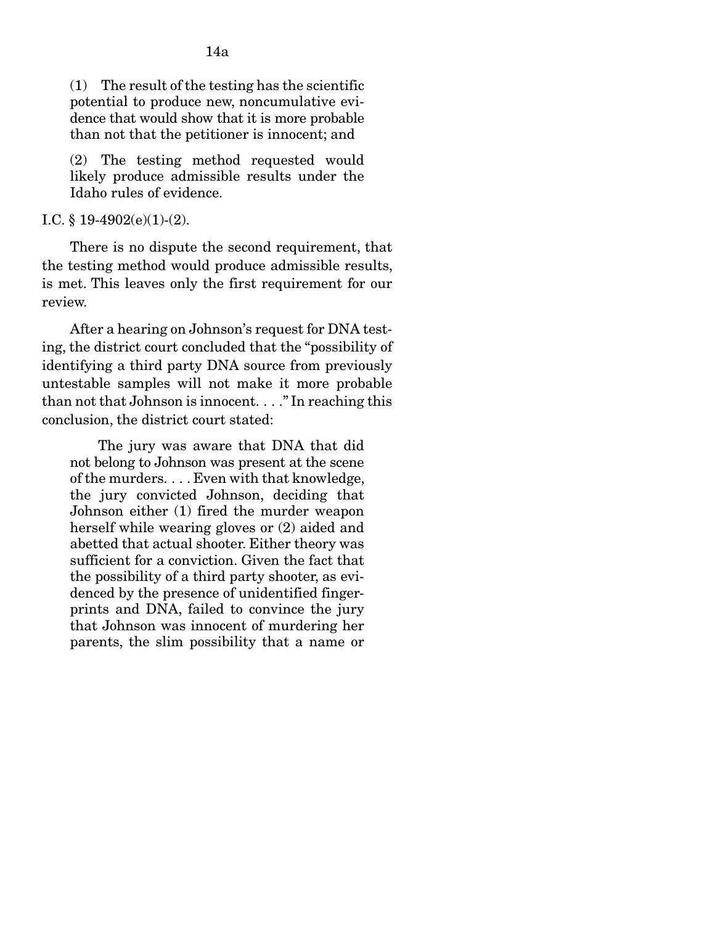(1) The result of the testing has the scientific potential to produce new, noncumulative evidence that would show that it is more probable than not that the petitioner is innocent; and

(2) The testing method requested would likely produce admissible results under the Idaho rules of evidence.

### I.C. § 19-4902(e)(1)-(2).

 There is no dispute the second requirement, that the testing method would produce admissible results, is met. This leaves only the first requirement for our review.

 After a hearing on Johnson's request for DNA testing, the district court concluded that the "possibility of identifying a third party DNA source from previously untestable samples will not make it more probable than not that Johnson is innocent. . . ." In reaching this conclusion, the district court stated:

 The jury was aware that DNA that did not belong to Johnson was present at the scene of the murders. . . . Even with that knowledge, the jury convicted Johnson, deciding that Johnson either (1) fired the murder weapon herself while wearing gloves or (2) aided and abetted that actual shooter. Either theory was sufficient for a conviction. Given the fact that the possibility of a third party shooter, as evidenced by the presence of unidentified fingerprints and DNA, failed to convince the jury that Johnson was innocent of murdering her parents, the slim possibility that a name or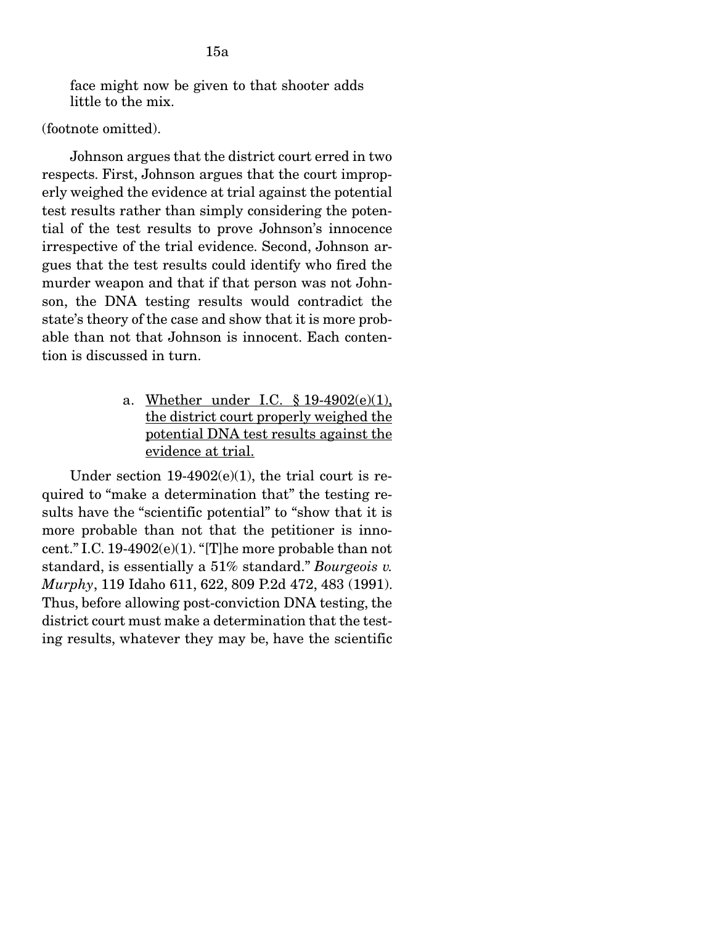face might now be given to that shooter adds little to the mix.

### (footnote omitted).

 Johnson argues that the district court erred in two respects. First, Johnson argues that the court improperly weighed the evidence at trial against the potential test results rather than simply considering the potential of the test results to prove Johnson's innocence irrespective of the trial evidence. Second, Johnson argues that the test results could identify who fired the murder weapon and that if that person was not Johnson, the DNA testing results would contradict the state's theory of the case and show that it is more probable than not that Johnson is innocent. Each contention is discussed in turn.

> a. Whether under I.C. § 19-4902(e)(1), the district court properly weighed the potential DNA test results against the evidence at trial.

Under section  $19-4902(e)(1)$ , the trial court is required to "make a determination that" the testing results have the "scientific potential" to "show that it is more probable than not that the petitioner is innocent." I.C. 19-4902(e)(1). "[T]he more probable than not standard, is essentially a 51% standard." *Bourgeois v. Murphy*, 119 Idaho 611, 622, 809 P.2d 472, 483 (1991). Thus, before allowing post-conviction DNA testing, the district court must make a determination that the testing results, whatever they may be, have the scientific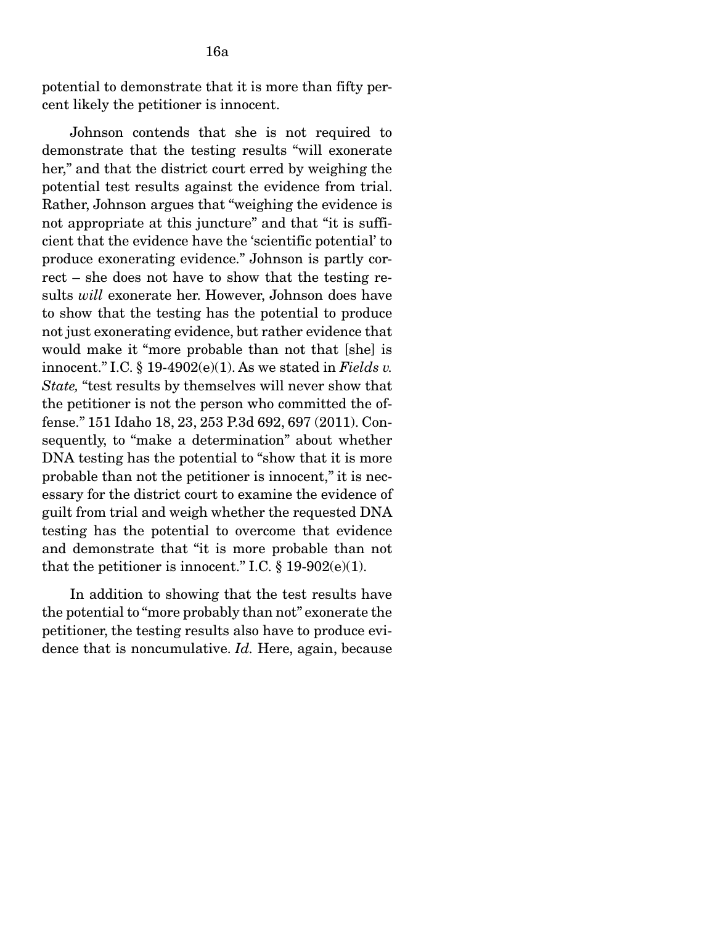16a

 Johnson contends that she is not required to demonstrate that the testing results "will exonerate her," and that the district court erred by weighing the potential test results against the evidence from trial. Rather, Johnson argues that "weighing the evidence is not appropriate at this juncture" and that "it is sufficient that the evidence have the 'scientific potential' to produce exonerating evidence." Johnson is partly correct – she does not have to show that the testing results *will* exonerate her. However, Johnson does have to show that the testing has the potential to produce not just exonerating evidence, but rather evidence that would make it "more probable than not that [she] is innocent." I.C. § 19-4902(e)(1). As we stated in *Fields v. State,* "test results by themselves will never show that the petitioner is not the person who committed the offense." 151 Idaho 18, 23, 253 P.3d 692, 697 (2011). Consequently, to "make a determination" about whether DNA testing has the potential to "show that it is more probable than not the petitioner is innocent," it is necessary for the district court to examine the evidence of guilt from trial and weigh whether the requested DNA testing has the potential to overcome that evidence and demonstrate that "it is more probable than not that the petitioner is innocent." I.C.  $\S$  19-902(e)(1).

 In addition to showing that the test results have the potential to "more probably than not" exonerate the petitioner, the testing results also have to produce evidence that is noncumulative. *Id.* Here, again, because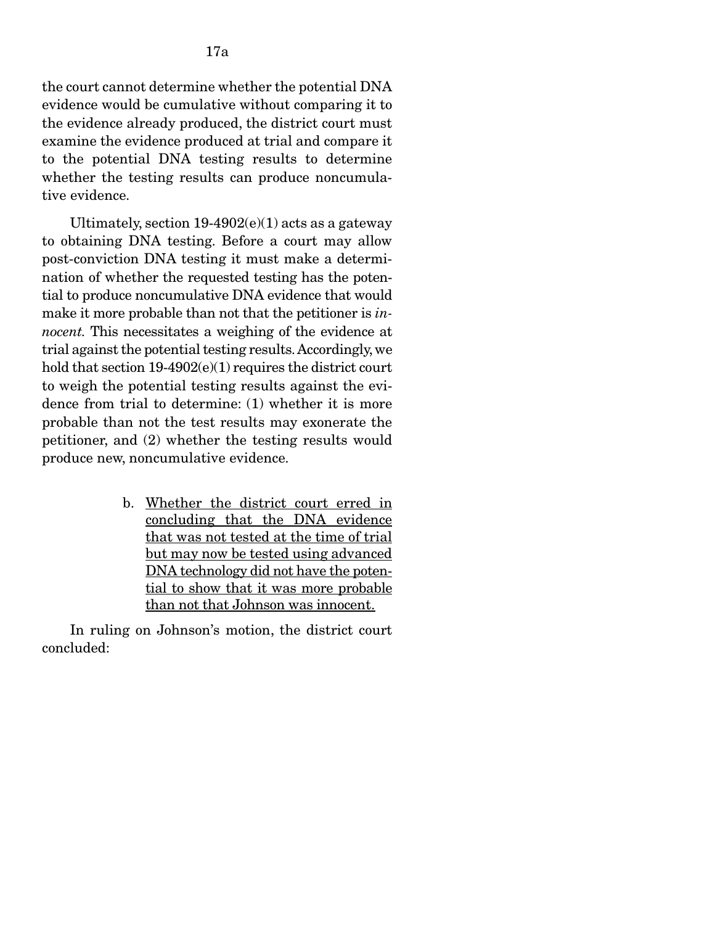the court cannot determine whether the potential DNA evidence would be cumulative without comparing it to the evidence already produced, the district court must examine the evidence produced at trial and compare it to the potential DNA testing results to determine whether the testing results can produce noncumulative evidence.

Ultimately, section  $19-4902(e)(1)$  acts as a gateway to obtaining DNA testing. Before a court may allow post-conviction DNA testing it must make a determination of whether the requested testing has the potential to produce noncumulative DNA evidence that would make it more probable than not that the petitioner is *innocent.* This necessitates a weighing of the evidence at trial against the potential testing results. Accordingly, we hold that section 19-4902(e)(1) requires the district court to weigh the potential testing results against the evidence from trial to determine: (1) whether it is more probable than not the test results may exonerate the petitioner, and (2) whether the testing results would produce new, noncumulative evidence.

> b. Whether the district court erred in concluding that the DNA evidence that was not tested at the time of trial but may now be tested using advanced DNA technology did not have the potential to show that it was more probable than not that Johnson was innocent.

 In ruling on Johnson's motion, the district court concluded: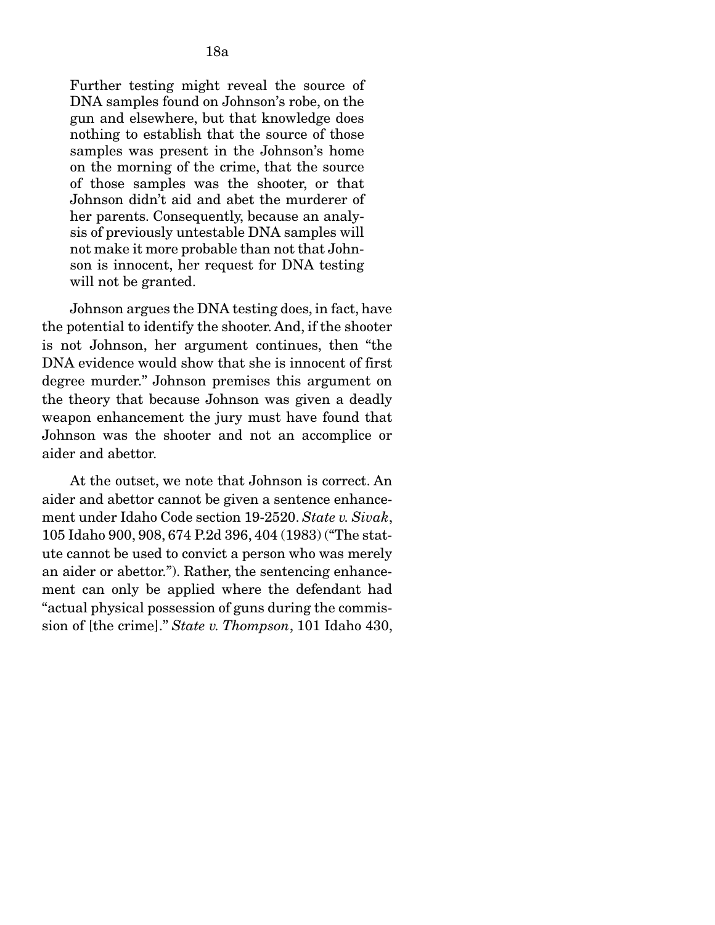Further testing might reveal the source of DNA samples found on Johnson's robe, on the gun and elsewhere, but that knowledge does nothing to establish that the source of those samples was present in the Johnson's home on the morning of the crime, that the source of those samples was the shooter, or that Johnson didn't aid and abet the murderer of her parents. Consequently, because an analysis of previously untestable DNA samples will not make it more probable than not that Johnson is innocent, her request for DNA testing will not be granted.

 Johnson argues the DNA testing does, in fact, have the potential to identify the shooter. And, if the shooter is not Johnson, her argument continues, then "the DNA evidence would show that she is innocent of first degree murder." Johnson premises this argument on the theory that because Johnson was given a deadly weapon enhancement the jury must have found that Johnson was the shooter and not an accomplice or aider and abettor.

 At the outset, we note that Johnson is correct. An aider and abettor cannot be given a sentence enhancement under Idaho Code section 19-2520. *State v. Sivak*, 105 Idaho 900, 908, 674 P.2d 396, 404 (1983) ("The statute cannot be used to convict a person who was merely an aider or abettor."). Rather, the sentencing enhancement can only be applied where the defendant had "actual physical possession of guns during the commission of [the crime]." *State v. Thompson*, 101 Idaho 430,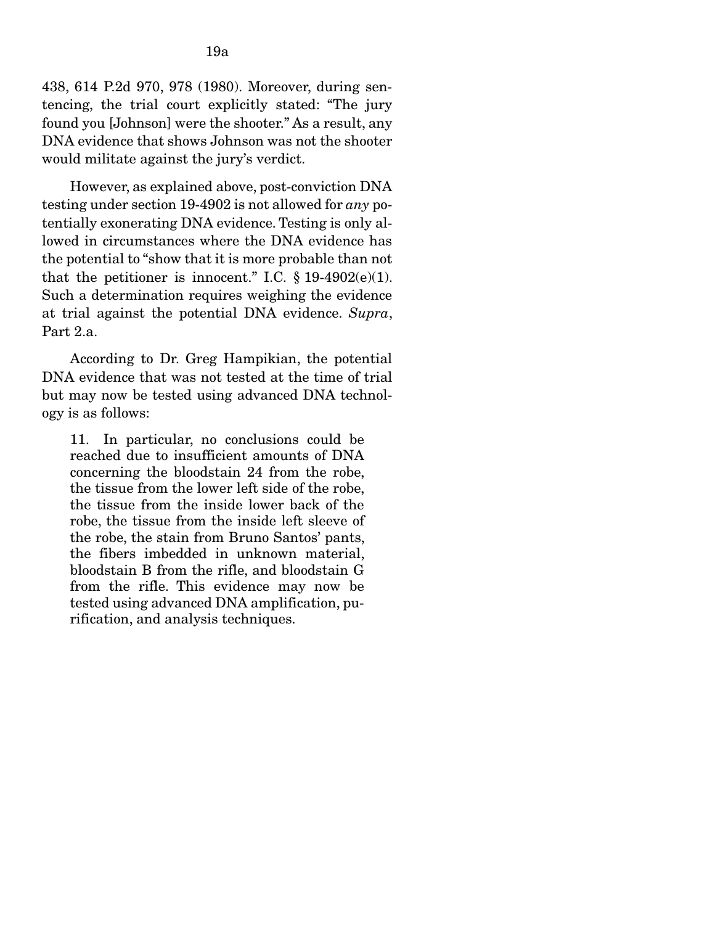438, 614 P.2d 970, 978 (1980). Moreover, during sentencing, the trial court explicitly stated: "The jury found you [Johnson] were the shooter." As a result, any DNA evidence that shows Johnson was not the shooter would militate against the jury's verdict.

 However, as explained above, post-conviction DNA testing under section 19-4902 is not allowed for *any* potentially exonerating DNA evidence. Testing is only allowed in circumstances where the DNA evidence has the potential to "show that it is more probable than not that the petitioner is innocent." I.C.  $\S$  19-4902(e)(1). Such a determination requires weighing the evidence at trial against the potential DNA evidence. *Supra*, Part 2.a.

 According to Dr. Greg Hampikian, the potential DNA evidence that was not tested at the time of trial but may now be tested using advanced DNA technology is as follows:

11. In particular, no conclusions could be reached due to insufficient amounts of DNA concerning the bloodstain 24 from the robe, the tissue from the lower left side of the robe, the tissue from the inside lower back of the robe, the tissue from the inside left sleeve of the robe, the stain from Bruno Santos' pants, the fibers imbedded in unknown material, bloodstain B from the rifle, and bloodstain G from the rifle. This evidence may now be tested using advanced DNA amplification, purification, and analysis techniques.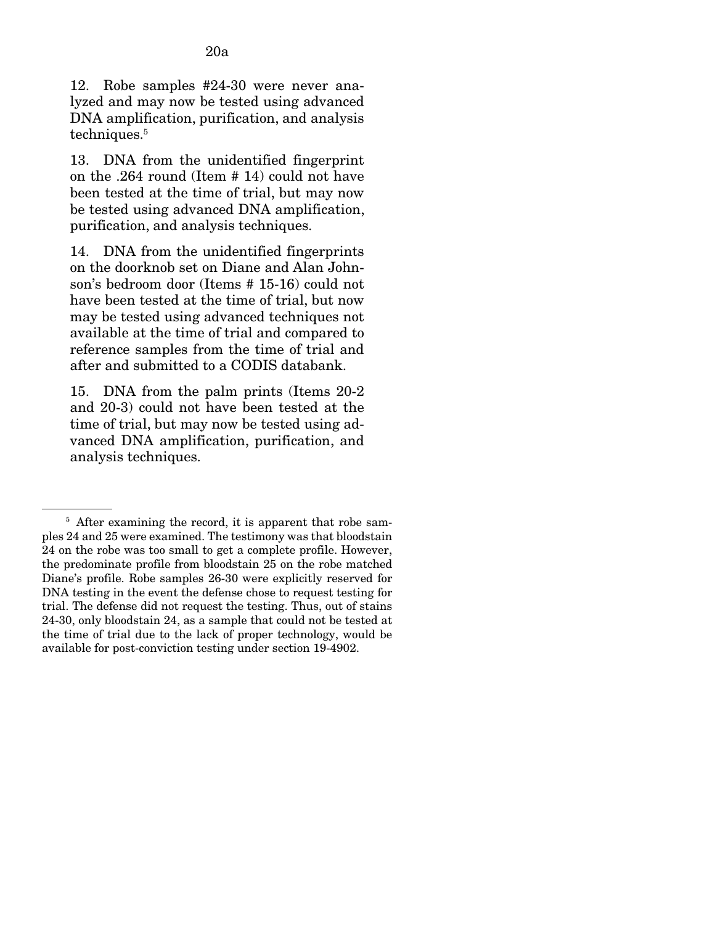12. Robe samples #24-30 were never analyzed and may now be tested using advanced DNA amplification, purification, and analysis techniques.<sup>5</sup>

13. DNA from the unidentified fingerprint on the .264 round (Item # 14) could not have been tested at the time of trial, but may now be tested using advanced DNA amplification, purification, and analysis techniques.

14. DNA from the unidentified fingerprints on the doorknob set on Diane and Alan Johnson's bedroom door (Items # 15-16) could not have been tested at the time of trial, but now may be tested using advanced techniques not available at the time of trial and compared to reference samples from the time of trial and after and submitted to a CODIS databank.

15. DNA from the palm prints (Items 20-2 and 20-3) could not have been tested at the time of trial, but may now be tested using advanced DNA amplification, purification, and analysis techniques.

<sup>&</sup>lt;sup>5</sup> After examining the record, it is apparent that robe samples 24 and 25 were examined. The testimony was that bloodstain 24 on the robe was too small to get a complete profile. However, the predominate profile from bloodstain 25 on the robe matched Diane's profile. Robe samples 26-30 were explicitly reserved for DNA testing in the event the defense chose to request testing for trial. The defense did not request the testing. Thus, out of stains 24-30, only bloodstain 24, as a sample that could not be tested at the time of trial due to the lack of proper technology, would be available for post-conviction testing under section 19-4902.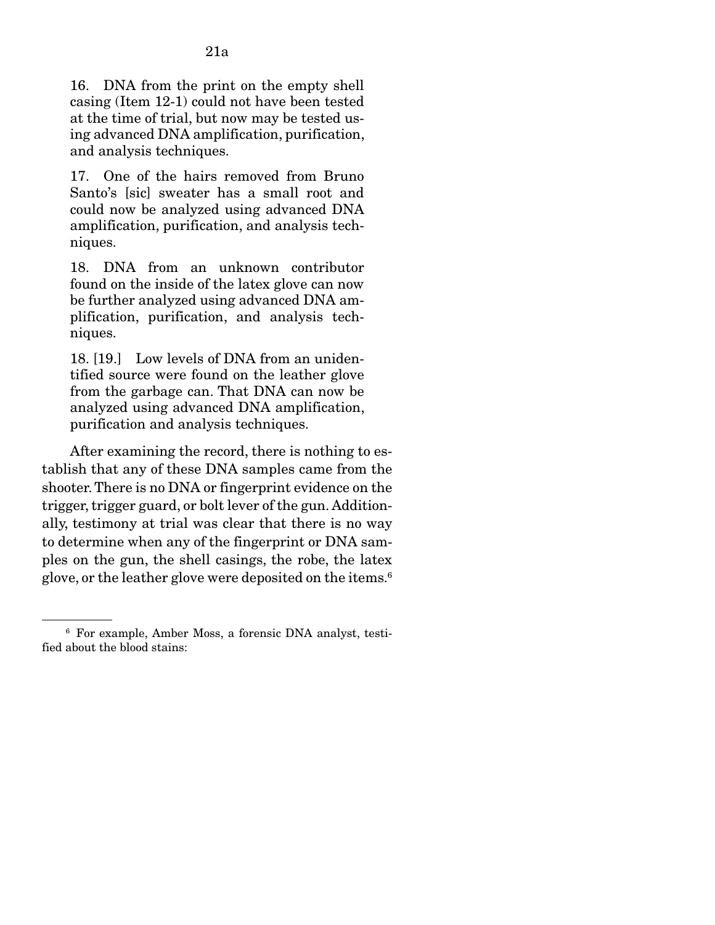17. One of the hairs removed from Bruno Santo's [sic] sweater has a small root and could now be analyzed using advanced DNA amplification, purification, and analysis techniques.

18. DNA from an unknown contributor found on the inside of the latex glove can now be further analyzed using advanced DNA amplification, purification, and analysis techniques.

18. [19.] Low levels of DNA from an unidentified source were found on the leather glove from the garbage can. That DNA can now be analyzed using advanced DNA amplification, purification and analysis techniques.

 After examining the record, there is nothing to establish that any of these DNA samples came from the shooter. There is no DNA or fingerprint evidence on the trigger, trigger guard, or bolt lever of the gun. Additionally, testimony at trial was clear that there is no way to determine when any of the fingerprint or DNA samples on the gun, the shell casings, the robe, the latex glove, or the leather glove were deposited on the items.<sup>6</sup>

<sup>6</sup> For example, Amber Moss, a forensic DNA analyst, testified about the blood stains: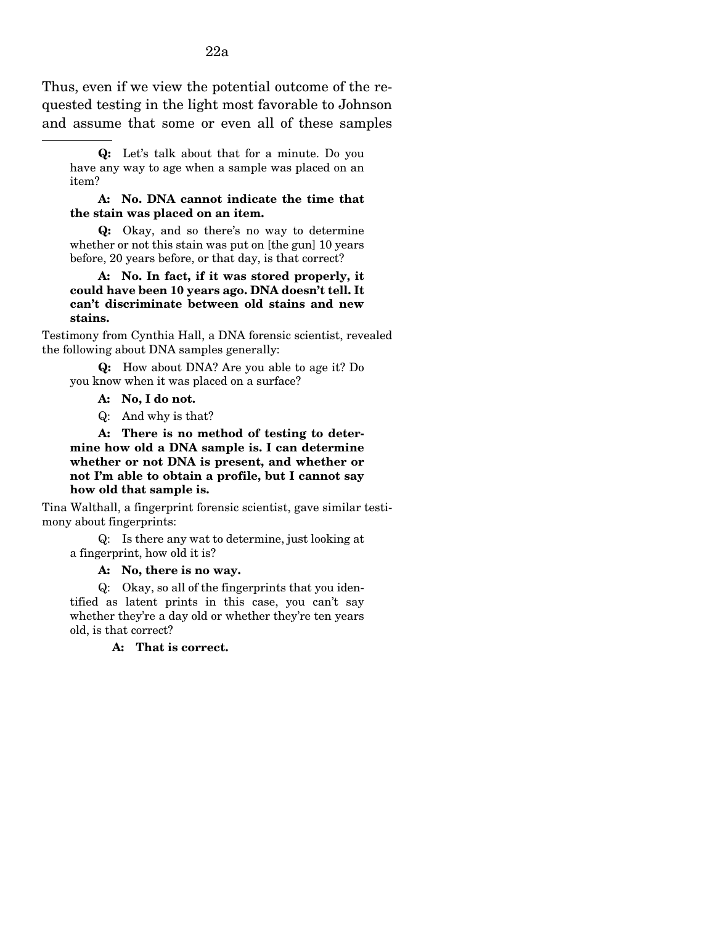Thus, even if we view the potential outcome of the requested testing in the light most favorable to Johnson and assume that some or even all of these samples

#### A: No. DNA cannot indicate the time that the stain was placed on an item.

 Q: Okay, and so there's no way to determine whether or not this stain was put on [the gun] 10 years before, 20 years before, or that day, is that correct?

#### A: No. In fact, if it was stored properly, it could have been 10 years ago. DNA doesn't tell. It can't discriminate between old stains and new stains.

Testimony from Cynthia Hall, a DNA forensic scientist, revealed the following about DNA samples generally:

Q: How about DNA? Are you able to age it? Do you know when it was placed on a surface?

- A: No, I do not.
- Q: And why is that?

A: There is no method of testing to determine how old a DNA sample is. I can determine whether or not DNA is present, and whether or not I'm able to obtain a profile, but I cannot say how old that sample is.

Tina Walthall, a fingerprint forensic scientist, gave similar testimony about fingerprints:

 Q: Is there any wat to determine, just looking at a fingerprint, how old it is?

A: No, there is no way.

Q: Okay, so all of the fingerprints that you identified as latent prints in this case, you can't say whether they're a day old or whether they're ten years old, is that correct?

A: That is correct.

Q: Let's talk about that for a minute. Do you have any way to age when a sample was placed on an item?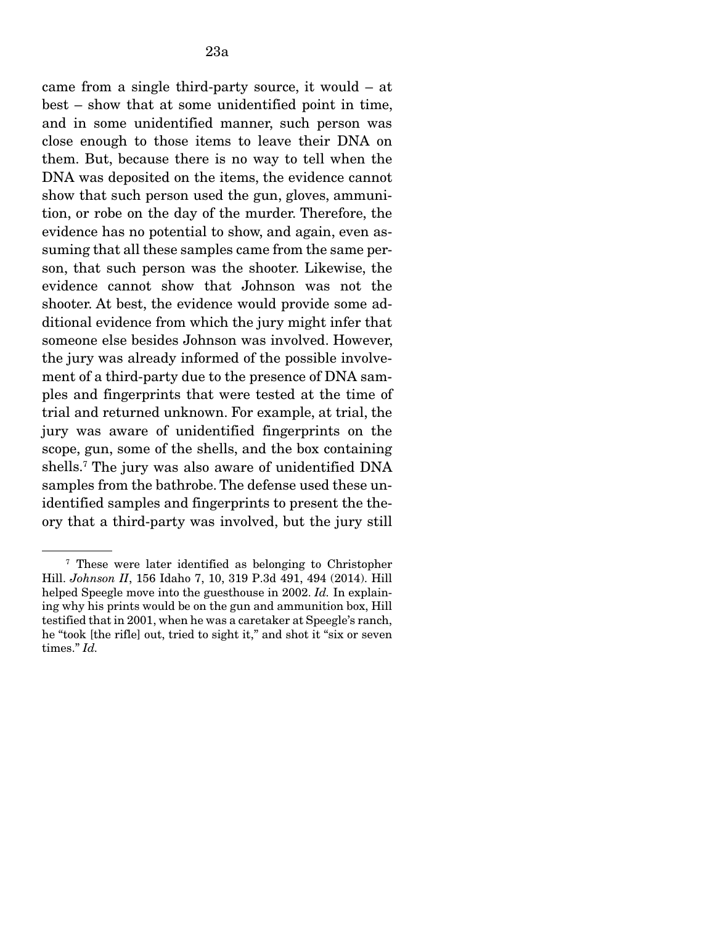came from a single third-party source, it would – at best – show that at some unidentified point in time, and in some unidentified manner, such person was close enough to those items to leave their DNA on them. But, because there is no way to tell when the DNA was deposited on the items, the evidence cannot show that such person used the gun, gloves, ammunition, or robe on the day of the murder. Therefore, the evidence has no potential to show, and again, even assuming that all these samples came from the same person, that such person was the shooter. Likewise, the evidence cannot show that Johnson was not the shooter. At best, the evidence would provide some additional evidence from which the jury might infer that someone else besides Johnson was involved. However, the jury was already informed of the possible involvement of a third-party due to the presence of DNA samples and fingerprints that were tested at the time of trial and returned unknown. For example, at trial, the jury was aware of unidentified fingerprints on the scope, gun, some of the shells, and the box containing shells.7 The jury was also aware of unidentified DNA samples from the bathrobe. The defense used these unidentified samples and fingerprints to present the theory that a third-party was involved, but the jury still

<sup>7</sup> These were later identified as belonging to Christopher Hill. *Johnson II*, 156 Idaho 7, 10, 319 P.3d 491, 494 (2014). Hill helped Speegle move into the guesthouse in 2002. *Id.* In explaining why his prints would be on the gun and ammunition box, Hill testified that in 2001, when he was a caretaker at Speegle's ranch, he "took [the rifle] out, tried to sight it," and shot it "six or seven times." *Id.*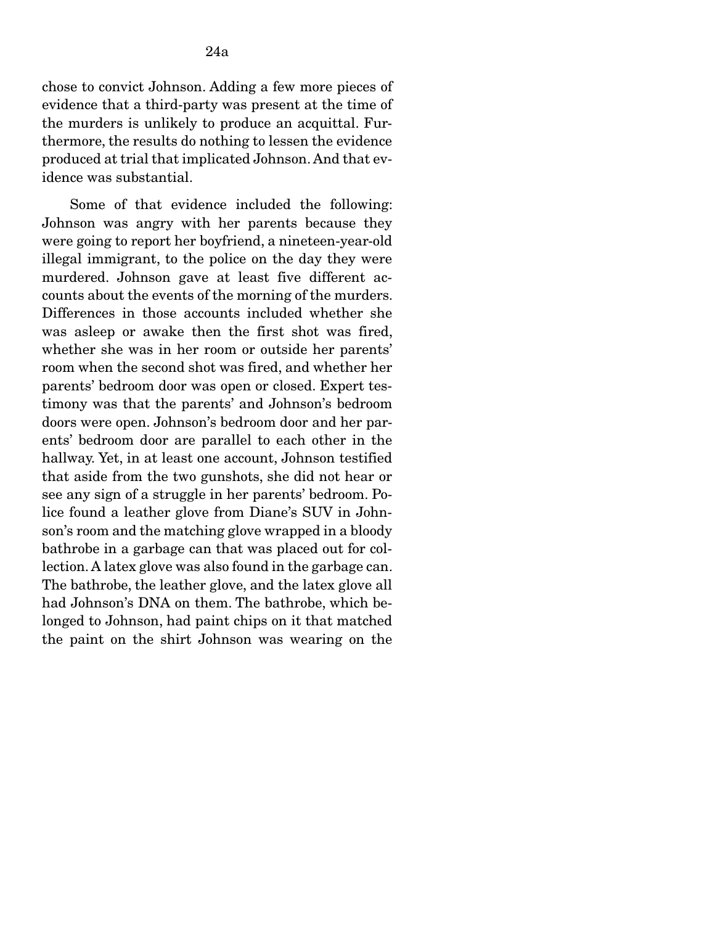chose to convict Johnson. Adding a few more pieces of evidence that a third-party was present at the time of the murders is unlikely to produce an acquittal. Furthermore, the results do nothing to lessen the evidence produced at trial that implicated Johnson. And that evidence was substantial.

 Some of that evidence included the following: Johnson was angry with her parents because they were going to report her boyfriend, a nineteen-year-old illegal immigrant, to the police on the day they were murdered. Johnson gave at least five different accounts about the events of the morning of the murders. Differences in those accounts included whether she was asleep or awake then the first shot was fired, whether she was in her room or outside her parents' room when the second shot was fired, and whether her parents' bedroom door was open or closed. Expert testimony was that the parents' and Johnson's bedroom doors were open. Johnson's bedroom door and her parents' bedroom door are parallel to each other in the hallway. Yet, in at least one account, Johnson testified that aside from the two gunshots, she did not hear or see any sign of a struggle in her parents' bedroom. Police found a leather glove from Diane's SUV in Johnson's room and the matching glove wrapped in a bloody bathrobe in a garbage can that was placed out for collection. A latex glove was also found in the garbage can. The bathrobe, the leather glove, and the latex glove all had Johnson's DNA on them. The bathrobe, which belonged to Johnson, had paint chips on it that matched the paint on the shirt Johnson was wearing on the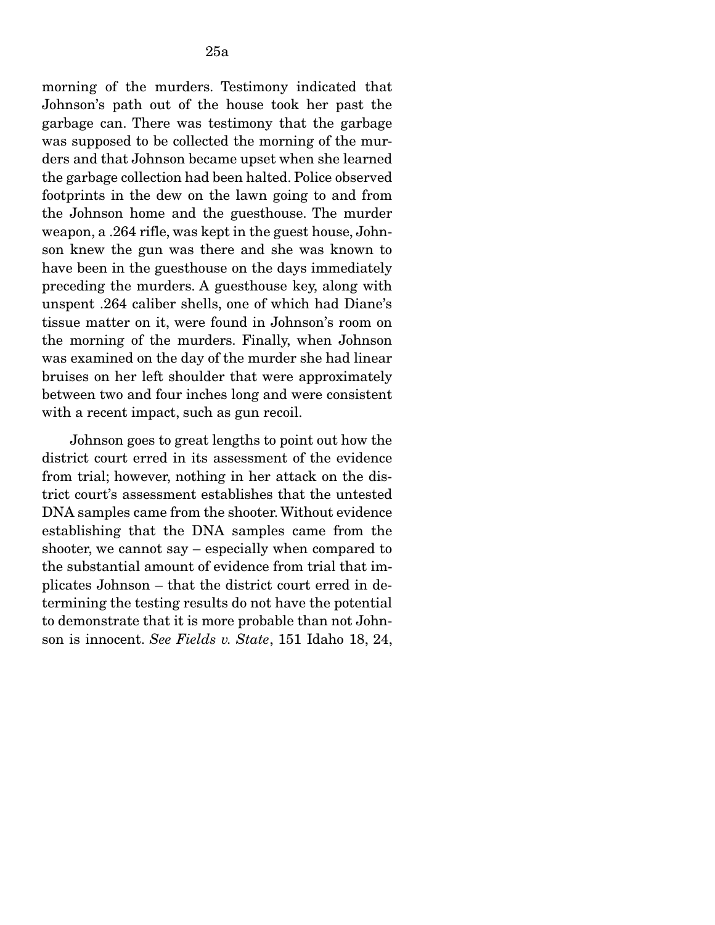morning of the murders. Testimony indicated that Johnson's path out of the house took her past the garbage can. There was testimony that the garbage was supposed to be collected the morning of the murders and that Johnson became upset when she learned the garbage collection had been halted. Police observed footprints in the dew on the lawn going to and from the Johnson home and the guesthouse. The murder weapon, a .264 rifle, was kept in the guest house, Johnson knew the gun was there and she was known to have been in the guesthouse on the days immediately preceding the murders. A guesthouse key, along with unspent .264 caliber shells, one of which had Diane's tissue matter on it, were found in Johnson's room on the morning of the murders. Finally, when Johnson was examined on the day of the murder she had linear bruises on her left shoulder that were approximately between two and four inches long and were consistent with a recent impact, such as gun recoil.

 Johnson goes to great lengths to point out how the district court erred in its assessment of the evidence from trial; however, nothing in her attack on the district court's assessment establishes that the untested DNA samples came from the shooter. Without evidence establishing that the DNA samples came from the shooter, we cannot say – especially when compared to the substantial amount of evidence from trial that implicates Johnson – that the district court erred in determining the testing results do not have the potential to demonstrate that it is more probable than not Johnson is innocent. *See Fields v. State*, 151 Idaho 18, 24,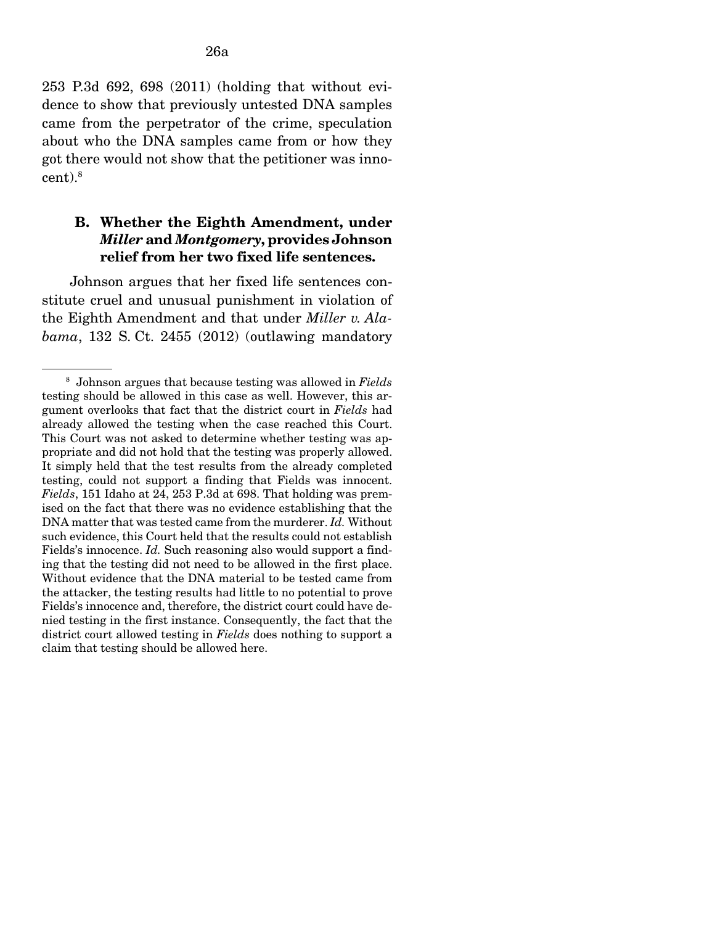253 P.3d 692, 698 (2011) (holding that without evidence to show that previously untested DNA samples came from the perpetrator of the crime, speculation about who the DNA samples came from or how they got there would not show that the petitioner was innocent).8

# B. Whether the Eighth Amendment, under *Miller* and *Montgomery*, provides Johnson relief from her two fixed life sentences.

Johnson argues that her fixed life sentences constitute cruel and unusual punishment in violation of the Eighth Amendment and that under *Miller v. Alabama*, 132 S. Ct. 2455 (2012) (outlawing mandatory

<sup>8</sup> Johnson argues that because testing was allowed in *Fields*  testing should be allowed in this case as well. However, this argument overlooks that fact that the district court in *Fields* had already allowed the testing when the case reached this Court. This Court was not asked to determine whether testing was appropriate and did not hold that the testing was properly allowed. It simply held that the test results from the already completed testing, could not support a finding that Fields was innocent. *Fields*, 151 Idaho at 24, 253 P.3d at 698. That holding was premised on the fact that there was no evidence establishing that the DNA matter that was tested came from the murderer. *Id.* Without such evidence, this Court held that the results could not establish Fields's innocence. *Id.* Such reasoning also would support a finding that the testing did not need to be allowed in the first place. Without evidence that the DNA material to be tested came from the attacker, the testing results had little to no potential to prove Fields's innocence and, therefore, the district court could have denied testing in the first instance. Consequently, the fact that the district court allowed testing in *Fields* does nothing to support a claim that testing should be allowed here.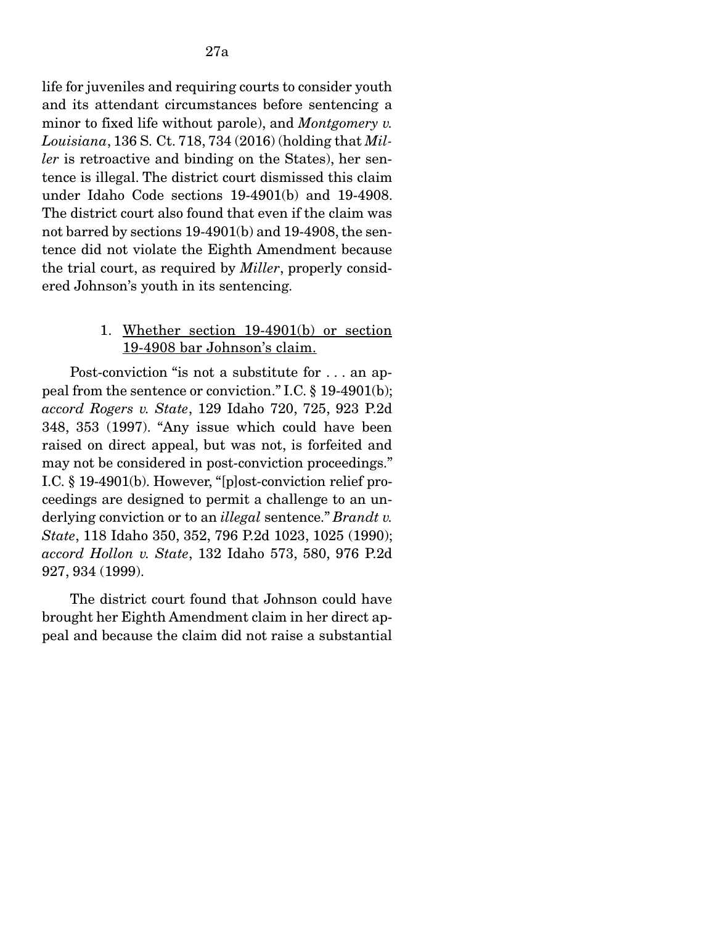life for juveniles and requiring courts to consider youth and its attendant circumstances before sentencing a minor to fixed life without parole), and *Montgomery v. Louisiana*, 136 S. Ct. 718, 734 (2016) (holding that *Miller* is retroactive and binding on the States), her sentence is illegal. The district court dismissed this claim under Idaho Code sections 19-4901(b) and 19-4908. The district court also found that even if the claim was not barred by sections 19-4901(b) and 19-4908, the sentence did not violate the Eighth Amendment because the trial court, as required by *Miller*, properly considered Johnson's youth in its sentencing.

#### 1. Whether section 19-4901(b) or section 19-4908 bar Johnson's claim.

 Post-conviction "is not a substitute for . . . an appeal from the sentence or conviction." I.C. § 19-4901(b); *accord Rogers v. State*, 129 Idaho 720, 725, 923 P.2d 348, 353 (1997). "Any issue which could have been raised on direct appeal, but was not, is forfeited and may not be considered in post-conviction proceedings." I.C. § 19-4901(b). However, "[p]ost-conviction relief proceedings are designed to permit a challenge to an underlying conviction or to an *illegal* sentence." *Brandt v. State*, 118 Idaho 350, 352, 796 P.2d 1023, 1025 (1990); *accord Hollon v. State*, 132 Idaho 573, 580, 976 P.2d 927, 934 (1999).

 The district court found that Johnson could have brought her Eighth Amendment claim in her direct appeal and because the claim did not raise a substantial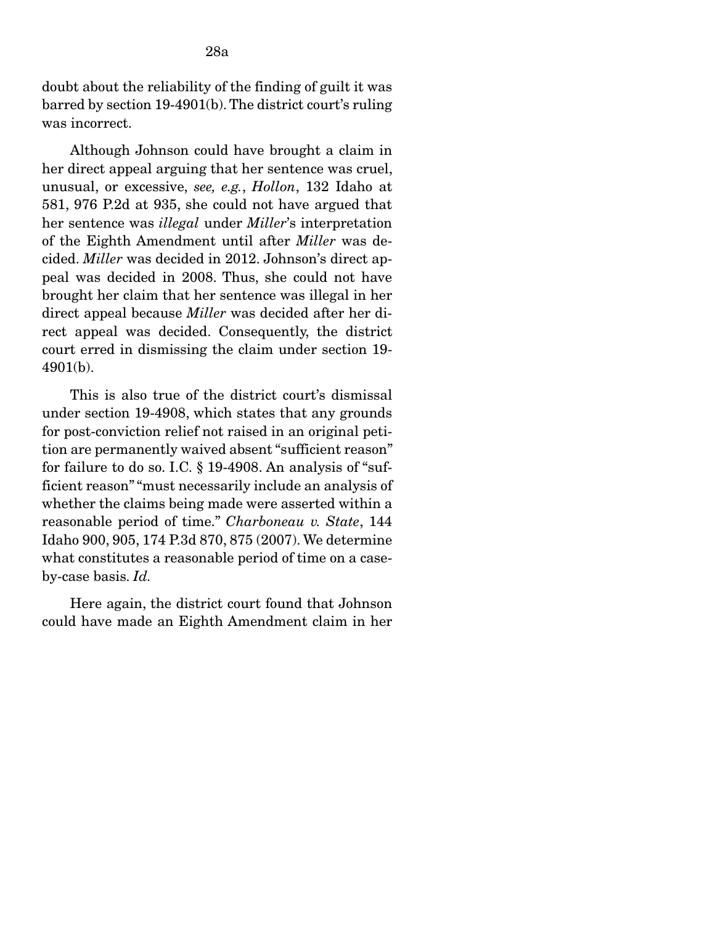doubt about the reliability of the finding of guilt it was barred by section 19-4901(b). The district court's ruling was incorrect.

 Although Johnson could have brought a claim in her direct appeal arguing that her sentence was cruel, unusual, or excessive, *see, e.g.*, *Hollon*, 132 Idaho at 581, 976 P.2d at 935, she could not have argued that her sentence was *illegal* under *Miller*'s interpretation of the Eighth Amendment until after *Miller* was decided. *Miller* was decided in 2012. Johnson's direct appeal was decided in 2008. Thus, she could not have brought her claim that her sentence was illegal in her direct appeal because *Miller* was decided after her direct appeal was decided. Consequently, the district court erred in dismissing the claim under section 19- 4901(b).

 This is also true of the district court's dismissal under section 19-4908, which states that any grounds for post-conviction relief not raised in an original petition are permanently waived absent "sufficient reason" for failure to do so. I.C. § 19-4908. An analysis of "sufficient reason" "must necessarily include an analysis of whether the claims being made were asserted within a reasonable period of time." *Charboneau v. State*, 144 Idaho 900, 905, 174 P.3d 870, 875 (2007). We determine what constitutes a reasonable period of time on a caseby-case basis. *Id.*

 Here again, the district court found that Johnson could have made an Eighth Amendment claim in her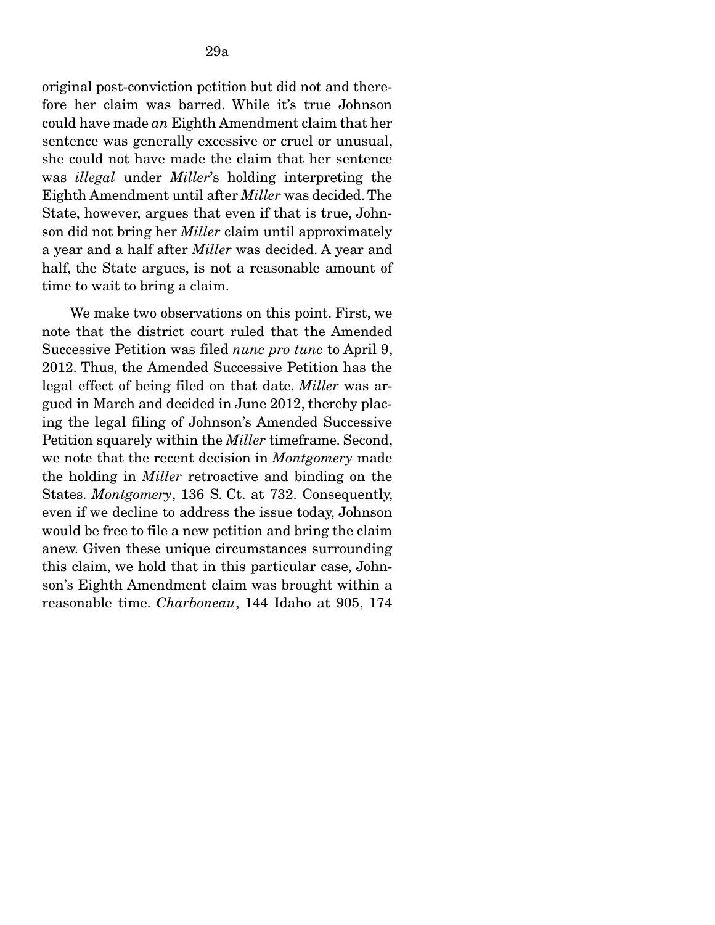original post-conviction petition but did not and therefore her claim was barred. While it's true Johnson could have made *an* Eighth Amendment claim that her sentence was generally excessive or cruel or unusual, she could not have made the claim that her sentence was *illegal* under *Miller*'s holding interpreting the Eighth Amendment until after *Miller* was decided. The State, however, argues that even if that is true, Johnson did not bring her *Miller* claim until approximately a year and a half after *Miller* was decided. A year and half, the State argues, is not a reasonable amount of time to wait to bring a claim.

 We make two observations on this point. First, we note that the district court ruled that the Amended Successive Petition was filed *nunc pro tunc* to April 9, 2012. Thus, the Amended Successive Petition has the legal effect of being filed on that date. *Miller* was argued in March and decided in June 2012, thereby placing the legal filing of Johnson's Amended Successive Petition squarely within the *Miller* timeframe. Second, we note that the recent decision in *Montgomery* made the holding in *Miller* retroactive and binding on the States. *Montgomery*, 136 S. Ct. at 732. Consequently, even if we decline to address the issue today, Johnson would be free to file a new petition and bring the claim anew. Given these unique circumstances surrounding this claim, we hold that in this particular case, Johnson's Eighth Amendment claim was brought within a reasonable time. *Charboneau*, 144 Idaho at 905, 174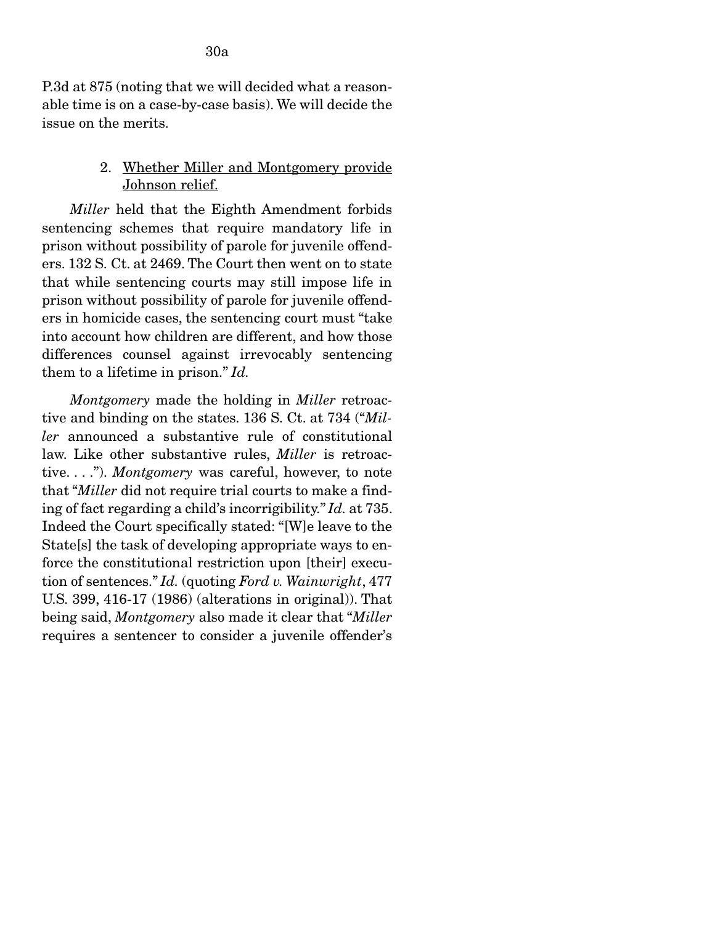P.3d at 875 (noting that we will decided what a reasonable time is on a case-by-case basis). We will decide the issue on the merits.

# 2. Whether Miller and Montgomery provide Johnson relief.

*Miller* held that the Eighth Amendment forbids sentencing schemes that require mandatory life in prison without possibility of parole for juvenile offenders. 132 S. Ct. at 2469. The Court then went on to state that while sentencing courts may still impose life in prison without possibility of parole for juvenile offenders in homicide cases, the sentencing court must "take into account how children are different, and how those differences counsel against irrevocably sentencing them to a lifetime in prison." *Id.* 

 *Montgomery* made the holding in *Miller* retroactive and binding on the states. 136 S. Ct. at 734 ("*Miller* announced a substantive rule of constitutional law. Like other substantive rules, *Miller* is retroactive. . . ."). *Montgomery* was careful, however, to note that "*Miller* did not require trial courts to make a finding of fact regarding a child's incorrigibility." *Id.* at 735. Indeed the Court specifically stated: "[W]e leave to the State[s] the task of developing appropriate ways to enforce the constitutional restriction upon [their] execution of sentences." *Id.* (quoting *Ford v. Wainwright*, 477 U.S. 399, 416-17 (1986) (alterations in original)). That being said, *Montgomery* also made it clear that "*Miller*  requires a sentencer to consider a juvenile offender's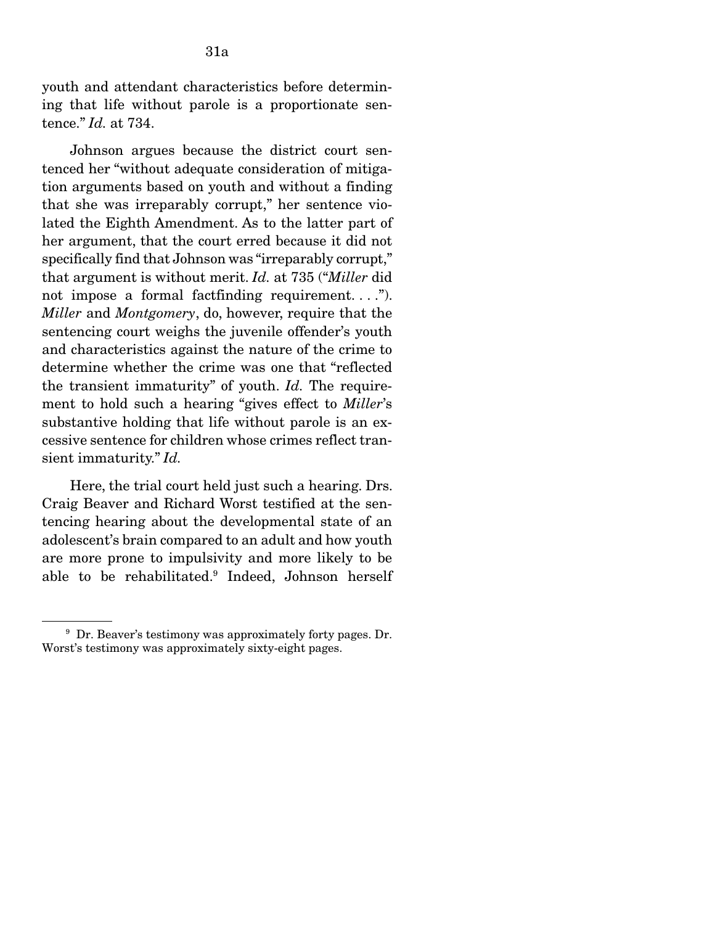youth and attendant characteristics before determining that life without parole is a proportionate sentence." *Id.* at 734.

 Johnson argues because the district court sentenced her "without adequate consideration of mitigation arguments based on youth and without a finding that she was irreparably corrupt," her sentence violated the Eighth Amendment. As to the latter part of her argument, that the court erred because it did not specifically find that Johnson was "irreparably corrupt," that argument is without merit. *Id.* at 735 ("*Miller* did not impose a formal factfinding requirement....". *Miller* and *Montgomery*, do, however, require that the sentencing court weighs the juvenile offender's youth and characteristics against the nature of the crime to determine whether the crime was one that "reflected the transient immaturity" of youth. *Id.* The requirement to hold such a hearing "gives effect to *Miller*'s substantive holding that life without parole is an excessive sentence for children whose crimes reflect transient immaturity." *Id.*

 Here, the trial court held just such a hearing. Drs. Craig Beaver and Richard Worst testified at the sentencing hearing about the developmental state of an adolescent's brain compared to an adult and how youth are more prone to impulsivity and more likely to be able to be rehabilitated.9 Indeed, Johnson herself

<sup>9</sup> Dr. Beaver's testimony was approximately forty pages. Dr. Worst's testimony was approximately sixty-eight pages.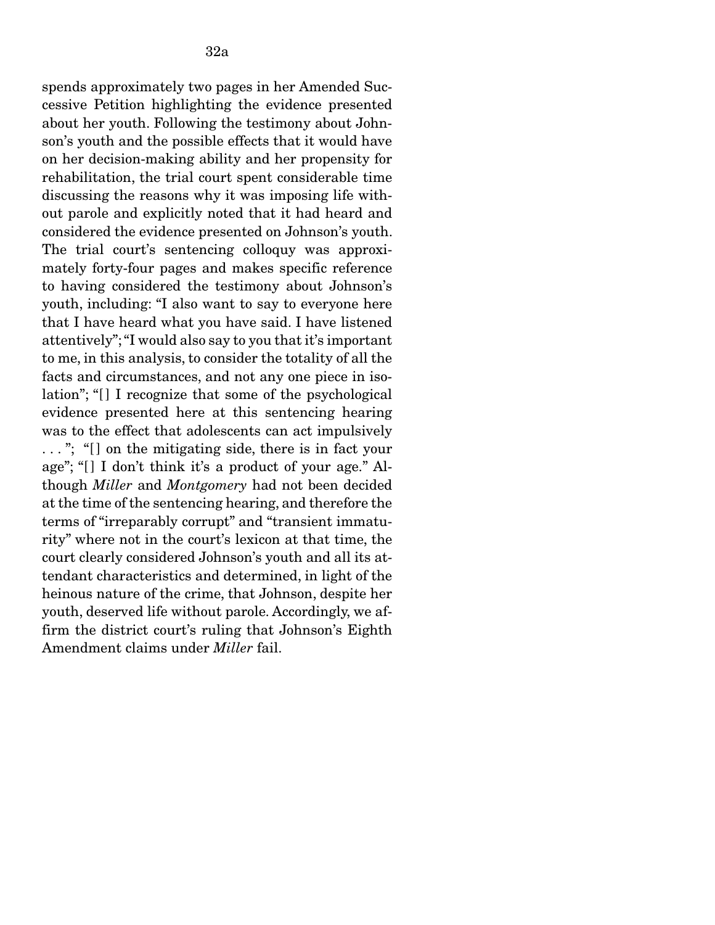spends approximately two pages in her Amended Successive Petition highlighting the evidence presented about her youth. Following the testimony about Johnson's youth and the possible effects that it would have on her decision-making ability and her propensity for rehabilitation, the trial court spent considerable time discussing the reasons why it was imposing life without parole and explicitly noted that it had heard and considered the evidence presented on Johnson's youth. The trial court's sentencing colloquy was approximately forty-four pages and makes specific reference to having considered the testimony about Johnson's youth, including: "I also want to say to everyone here that I have heard what you have said. I have listened attentively"; "I would also say to you that it's important to me, in this analysis, to consider the totality of all the facts and circumstances, and not any one piece in isolation"; "[] I recognize that some of the psychological evidence presented here at this sentencing hearing was to the effect that adolescents can act impulsively ..."; "[] on the mitigating side, there is in fact your age"; "[] I don't think it's a product of your age." Although *Miller* and *Montgomery* had not been decided at the time of the sentencing hearing, and therefore the terms of "irreparably corrupt" and "transient immaturity" where not in the court's lexicon at that time, the court clearly considered Johnson's youth and all its attendant characteristics and determined, in light of the heinous nature of the crime, that Johnson, despite her youth, deserved life without parole. Accordingly, we affirm the district court's ruling that Johnson's Eighth Amendment claims under *Miller* fail.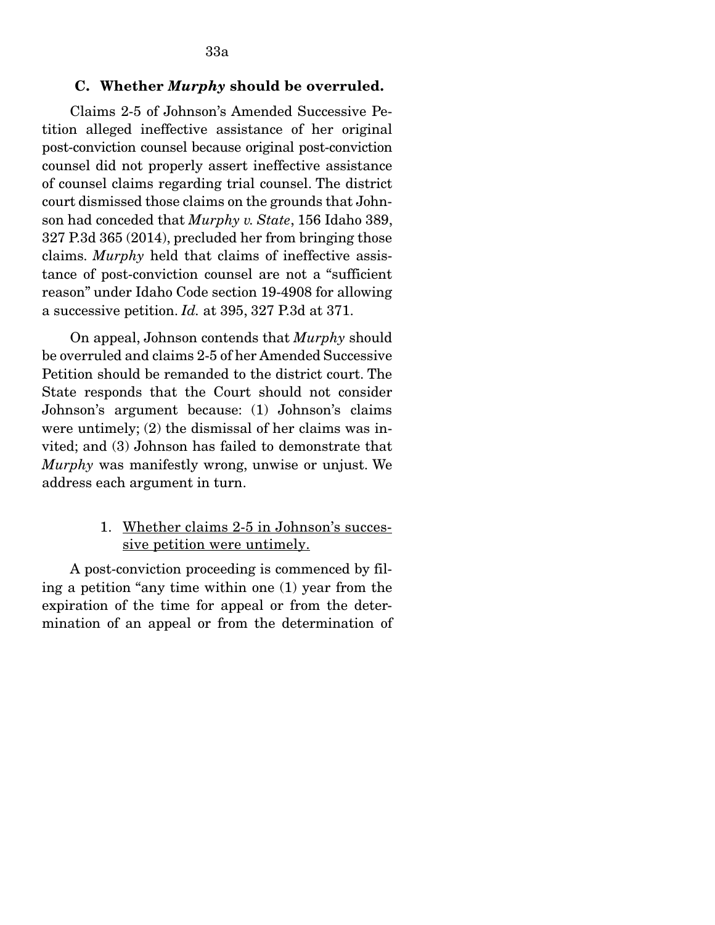33a

Claims 2-5 of Johnson's Amended Successive Petition alleged ineffective assistance of her original post-conviction counsel because original post-conviction counsel did not properly assert ineffective assistance of counsel claims regarding trial counsel. The district court dismissed those claims on the grounds that Johnson had conceded that *Murphy v. State*, 156 Idaho 389, 327 P.3d 365 (2014), precluded her from bringing those claims. *Murphy* held that claims of ineffective assistance of post-conviction counsel are not a "sufficient reason" under Idaho Code section 19-4908 for allowing a successive petition. *Id.* at 395, 327 P.3d at 371.

 On appeal, Johnson contends that *Murphy* should be overruled and claims 2-5 of her Amended Successive Petition should be remanded to the district court. The State responds that the Court should not consider Johnson's argument because: (1) Johnson's claims were untimely; (2) the dismissal of her claims was invited; and (3) Johnson has failed to demonstrate that *Murphy* was manifestly wrong, unwise or unjust. We address each argument in turn.

# 1. Whether claims 2-5 in Johnson's successive petition were untimely.

A post-conviction proceeding is commenced by filing a petition "any time within one (1) year from the expiration of the time for appeal or from the determination of an appeal or from the determination of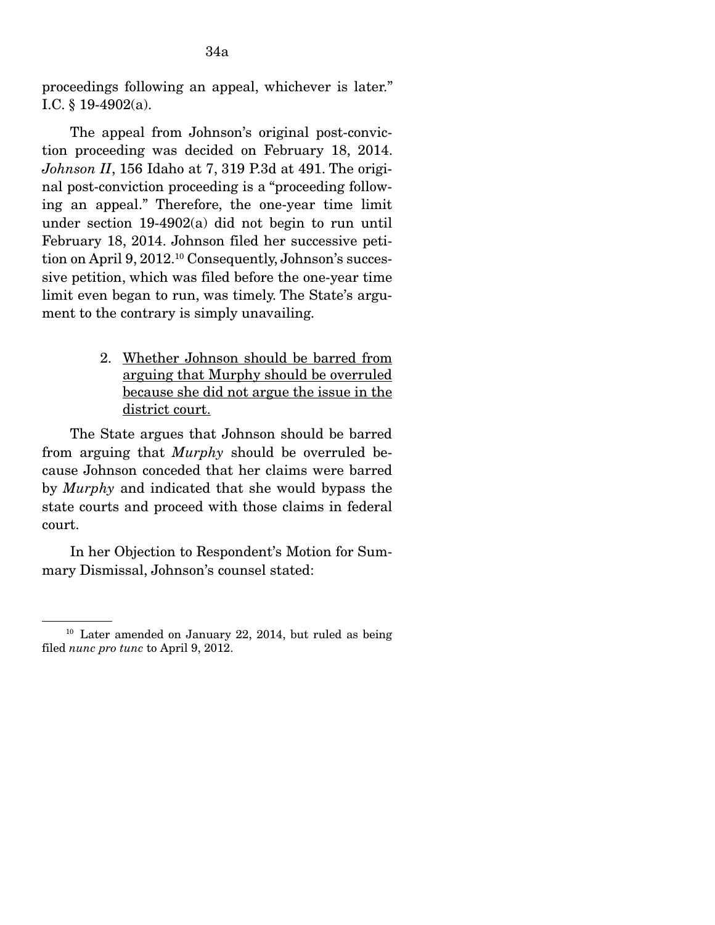proceedings following an appeal, whichever is later." I.C.  $§$  19-4902(a).

 The appeal from Johnson's original post-conviction proceeding was decided on February 18, 2014. *Johnson II*, 156 Idaho at 7, 319 P.3d at 491. The original post-conviction proceeding is a "proceeding following an appeal." Therefore, the one-year time limit under section 19-4902(a) did not begin to run until February 18, 2014. Johnson filed her successive petition on April 9, 2012.10 Consequently, Johnson's successive petition, which was filed before the one-year time limit even began to run, was timely. The State's argument to the contrary is simply unavailing.

> 2. Whether Johnson should be barred from arguing that Murphy should be overruled because she did not argue the issue in the district court.

The State argues that Johnson should be barred from arguing that *Murphy* should be overruled because Johnson conceded that her claims were barred by *Murphy* and indicated that she would bypass the state courts and proceed with those claims in federal court.

 In her Objection to Respondent's Motion for Summary Dismissal, Johnson's counsel stated:

 $10$  Later amended on January 22, 2014, but ruled as being filed *nunc pro tunc* to April 9, 2012.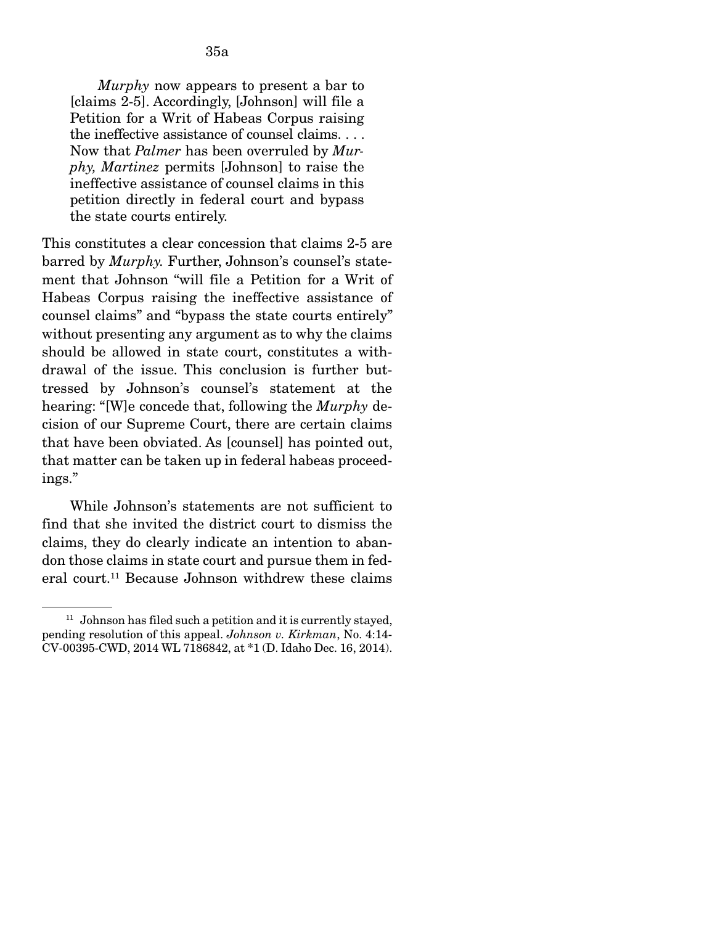*Murphy* now appears to present a bar to [claims 2-5]. Accordingly, [Johnson] will file a Petition for a Writ of Habeas Corpus raising the ineffective assistance of counsel claims. . . . Now that *Palmer* has been overruled by *Murphy, Martinez* permits [Johnson] to raise the ineffective assistance of counsel claims in this petition directly in federal court and bypass the state courts entirely.

This constitutes a clear concession that claims 2-5 are barred by *Murphy.* Further, Johnson's counsel's statement that Johnson "will file a Petition for a Writ of Habeas Corpus raising the ineffective assistance of counsel claims" and "bypass the state courts entirely" without presenting any argument as to why the claims should be allowed in state court, constitutes a withdrawal of the issue. This conclusion is further buttressed by Johnson's counsel's statement at the hearing: "[W]e concede that, following the *Murphy* decision of our Supreme Court, there are certain claims that have been obviated. As [counsel] has pointed out, that matter can be taken up in federal habeas proceedings."

 While Johnson's statements are not sufficient to find that she invited the district court to dismiss the claims, they do clearly indicate an intention to abandon those claims in state court and pursue them in federal court.<sup>11</sup> Because Johnson withdrew these claims

 $11$  Johnson has filed such a petition and it is currently stayed, pending resolution of this appeal. *Johnson v. Kirkman*, No. 4:14- CV-00395-CWD, 2014 WL 7186842, at \*1 (D. Idaho Dec. 16, 2014).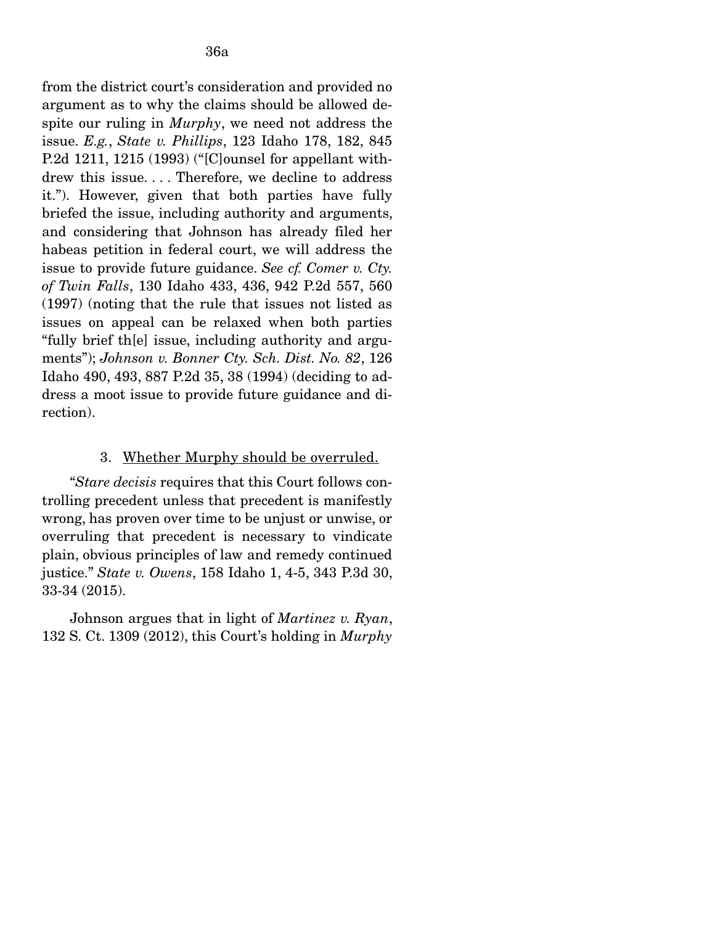from the district court's consideration and provided no argument as to why the claims should be allowed despite our ruling in *Murphy*, we need not address the issue. *E.g.*, *State v. Phillips*, 123 Idaho 178, 182, 845 P.2d 1211, 1215 (1993) ("[C]ounsel for appellant withdrew this issue. . . . Therefore, we decline to address it."). However, given that both parties have fully briefed the issue, including authority and arguments, and considering that Johnson has already filed her habeas petition in federal court, we will address the issue to provide future guidance. *See cf. Comer v. Cty. of Twin Falls*, 130 Idaho 433, 436, 942 P.2d 557, 560 (1997) (noting that the rule that issues not listed as issues on appeal can be relaxed when both parties "fully brief th[e] issue, including authority and arguments"); *Johnson v. Bonner Cty. Sch. Dist. No. 82*, 126 Idaho 490, 493, 887 P.2d 35, 38 (1994) (deciding to address a moot issue to provide future guidance and direction).

#### 3. Whether Murphy should be overruled.

 "*Stare decisis* requires that this Court follows controlling precedent unless that precedent is manifestly wrong, has proven over time to be unjust or unwise, or overruling that precedent is necessary to vindicate plain, obvious principles of law and remedy continued justice." *State v. Owens*, 158 Idaho 1, 4-5, 343 P.3d 30, 33-34 (2015).

 Johnson argues that in light of *Martinez v. Ryan*, 132 S. Ct. 1309 (2012), this Court's holding in *Murphy*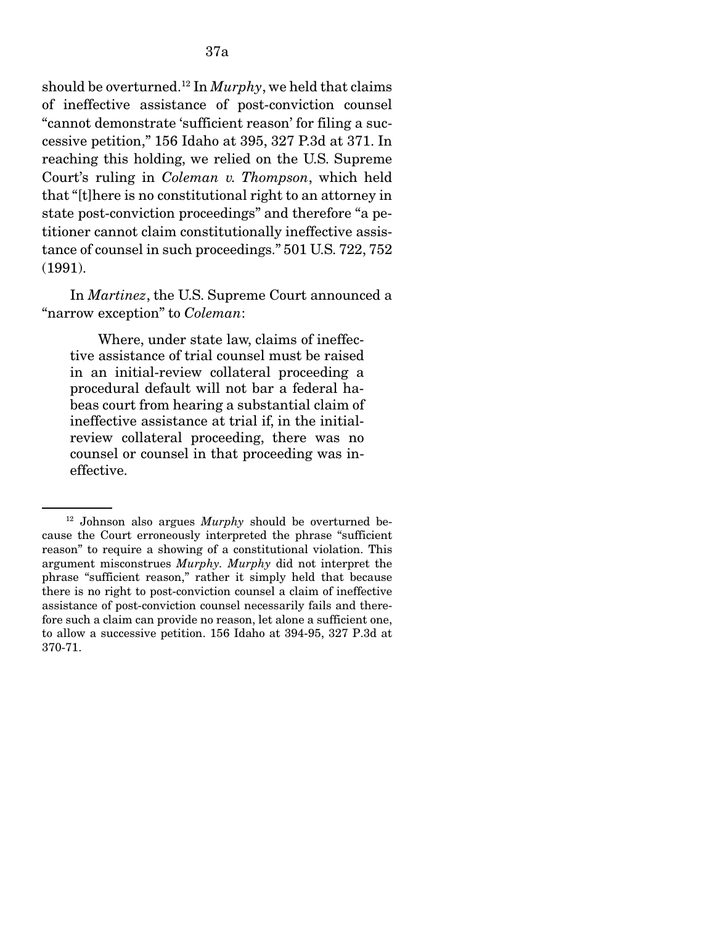should be overturned.12 In *Murphy*, we held that claims of ineffective assistance of post-conviction counsel "cannot demonstrate 'sufficient reason' for filing a successive petition," 156 Idaho at 395, 327 P.3d at 371. In reaching this holding, we relied on the U.S. Supreme Court's ruling in *Coleman v. Thompson*, which held that "[t]here is no constitutional right to an attorney in state post-conviction proceedings" and therefore "a petitioner cannot claim constitutionally ineffective assistance of counsel in such proceedings." 501 U.S. 722, 752 (1991).

 In *Martinez*, the U.S. Supreme Court announced a "narrow exception" to *Coleman*:

 Where, under state law, claims of ineffective assistance of trial counsel must be raised in an initial-review collateral proceeding a procedural default will not bar a federal habeas court from hearing a substantial claim of ineffective assistance at trial if, in the initialreview collateral proceeding, there was no counsel or counsel in that proceeding was ineffective.

<sup>12</sup> Johnson also argues *Murphy* should be overturned because the Court erroneously interpreted the phrase "sufficient reason" to require a showing of a constitutional violation. This argument misconstrues *Murphy. Murphy* did not interpret the phrase "sufficient reason," rather it simply held that because there is no right to post-conviction counsel a claim of ineffective assistance of post-conviction counsel necessarily fails and therefore such a claim can provide no reason, let alone a sufficient one, to allow a successive petition. 156 Idaho at 394-95, 327 P.3d at 370-71.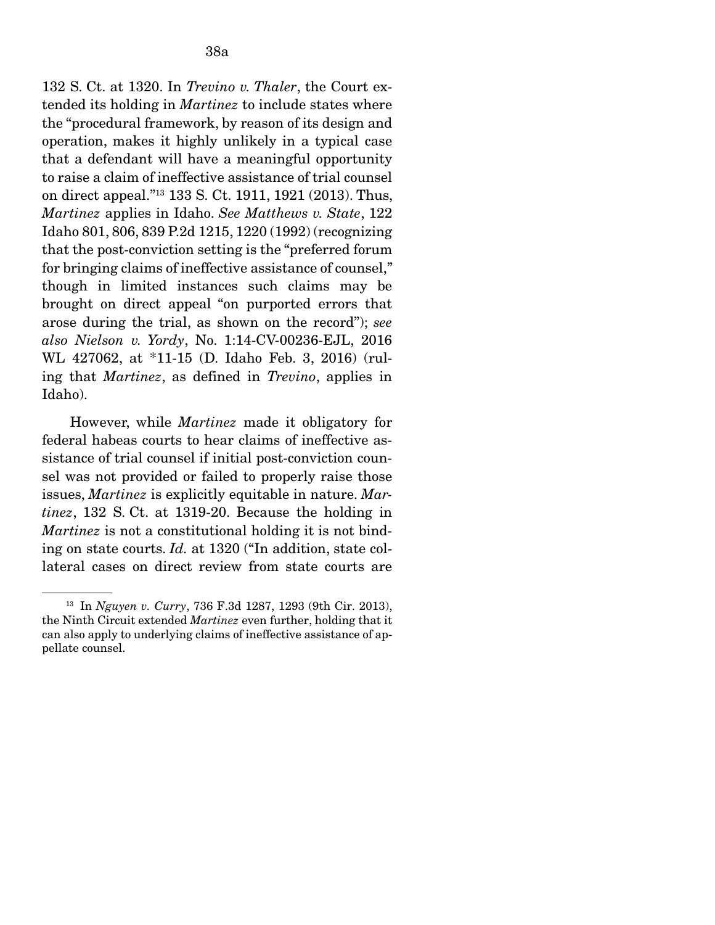132 S. Ct. at 1320. In *Trevino v. Thaler*, the Court extended its holding in *Martinez* to include states where the "procedural framework, by reason of its design and operation, makes it highly unlikely in a typical case that a defendant will have a meaningful opportunity to raise a claim of ineffective assistance of trial counsel on direct appeal."13 133 S. Ct. 1911, 1921 (2013). Thus, *Martinez* applies in Idaho. *See Matthews v. State*, 122 Idaho 801, 806, 839 P.2d 1215, 1220 (1992) (recognizing that the post-conviction setting is the "preferred forum for bringing claims of ineffective assistance of counsel," though in limited instances such claims may be brought on direct appeal "on purported errors that arose during the trial, as shown on the record"); *see also Nielson v. Yordy*, No. 1:14-CV-00236-EJL, 2016 WL 427062, at \*11-15 (D. Idaho Feb. 3, 2016) (ruling that *Martinez*, as defined in *Trevino*, applies in Idaho).

 However, while *Martinez* made it obligatory for federal habeas courts to hear claims of ineffective assistance of trial counsel if initial post-conviction counsel was not provided or failed to properly raise those issues, *Martinez* is explicitly equitable in nature. *Martinez*, 132 S. Ct. at 1319-20. Because the holding in *Martinez* is not a constitutional holding it is not binding on state courts. *Id.* at 1320 ("In addition, state collateral cases on direct review from state courts are

<sup>13</sup> In *Nguyen v. Curry*, 736 F.3d 1287, 1293 (9th Cir. 2013), the Ninth Circuit extended *Martinez* even further, holding that it can also apply to underlying claims of ineffective assistance of appellate counsel.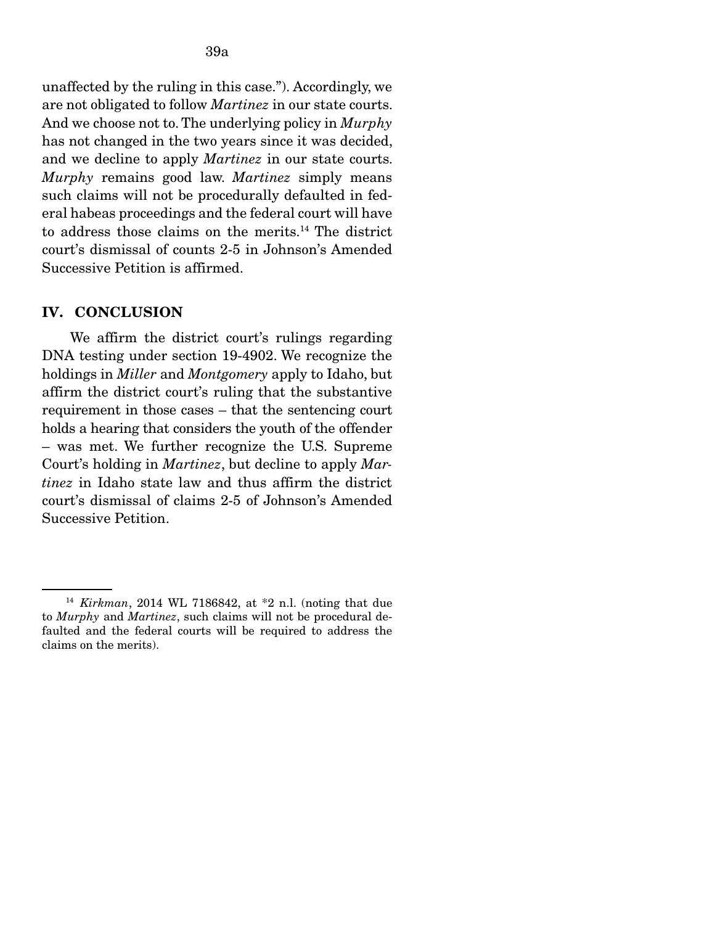unaffected by the ruling in this case."). Accordingly, we are not obligated to follow *Martinez* in our state courts. And we choose not to. The underlying policy in *Murphy*  has not changed in the two years since it was decided, and we decline to apply *Martinez* in our state courts. *Murphy* remains good law. *Martinez* simply means such claims will not be procedurally defaulted in federal habeas proceedings and the federal court will have to address those claims on the merits.14 The district court's dismissal of counts 2-5 in Johnson's Amended Successive Petition is affirmed.

#### IV. CONCLUSION

We affirm the district court's rulings regarding DNA testing under section 19-4902. We recognize the holdings in *Miller* and *Montgomery* apply to Idaho, but affirm the district court's ruling that the substantive requirement in those cases – that the sentencing court holds a hearing that considers the youth of the offender – was met. We further recognize the U.S. Supreme Court's holding in *Martinez*, but decline to apply *Martinez* in Idaho state law and thus affirm the district court's dismissal of claims 2-5 of Johnson's Amended Successive Petition.

<sup>14</sup> *Kirkman*, 2014 WL 7186842, at \*2 n.l. (noting that due to *Murphy* and *Martinez*, such claims will not be procedural defaulted and the federal courts will be required to address the claims on the merits).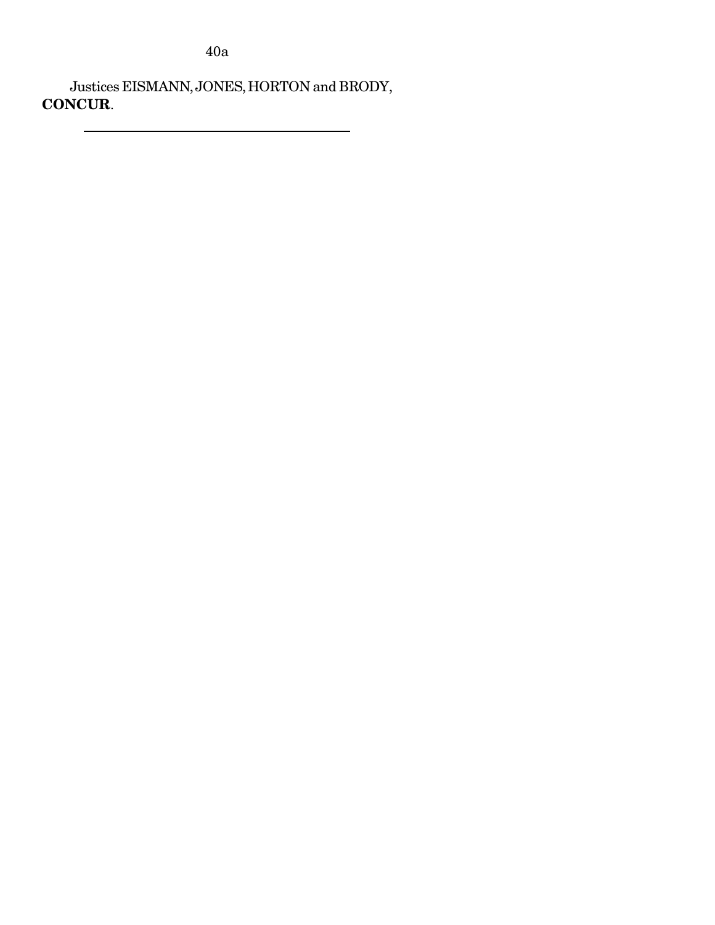40a

 Justices EISMANN, JONES, HORTON and BRODY, CONCUR.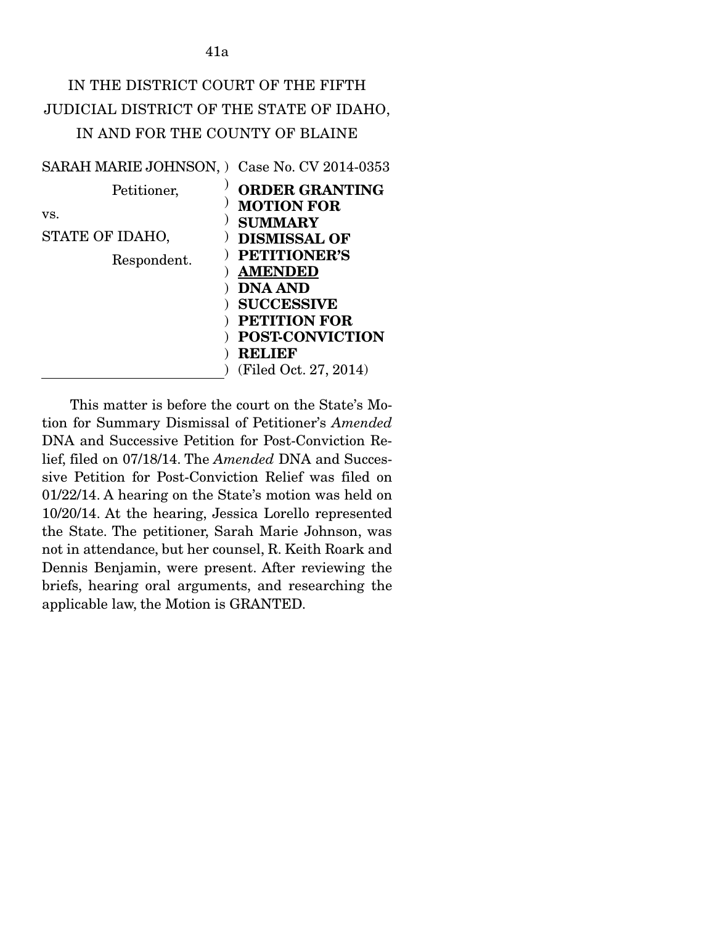# IN THE DISTRICT COURT OF THE FIFTH JUDICIAL DISTRICT OF THE STATE OF IDAHO, IN AND FOR THE COUNTY OF BLAINE

| SARAH MARIE JOHNSON, ) Case No. CV 2014-0353 |                                                                                                                                                                                                                                |
|----------------------------------------------|--------------------------------------------------------------------------------------------------------------------------------------------------------------------------------------------------------------------------------|
| Petitioner,                                  | <b>ORDER GRANTING</b>                                                                                                                                                                                                          |
| VS.<br>STATE OF IDAHO,<br>Respondent.        | <b>MOTION FOR</b><br><b>SUMMARY</b><br><b>DISMISSAL OF</b><br><b>PETITIONER'S</b><br><b>AMENDED</b><br><b>DNA AND</b><br><b>SUCCESSIVE</b><br><b>PETITION FOR</b><br><b>POST-CONVICTION</b><br>RELIEF<br>(Filed Oct. 27, 2014) |

This matter is before the court on the State's Motion for Summary Dismissal of Petitioner's *Amended* DNA and Successive Petition for Post-Conviction Relief, filed on 07/18/14. The *Amended* DNA and Successive Petition for Post-Conviction Relief was filed on 01/22/14. A hearing on the State's motion was held on 10/20/14. At the hearing, Jessica Lorello represented the State. The petitioner, Sarah Marie Johnson, was not in attendance, but her counsel, R. Keith Roark and Dennis Benjamin, were present. After reviewing the briefs, hearing oral arguments, and researching the applicable law, the Motion is GRANTED.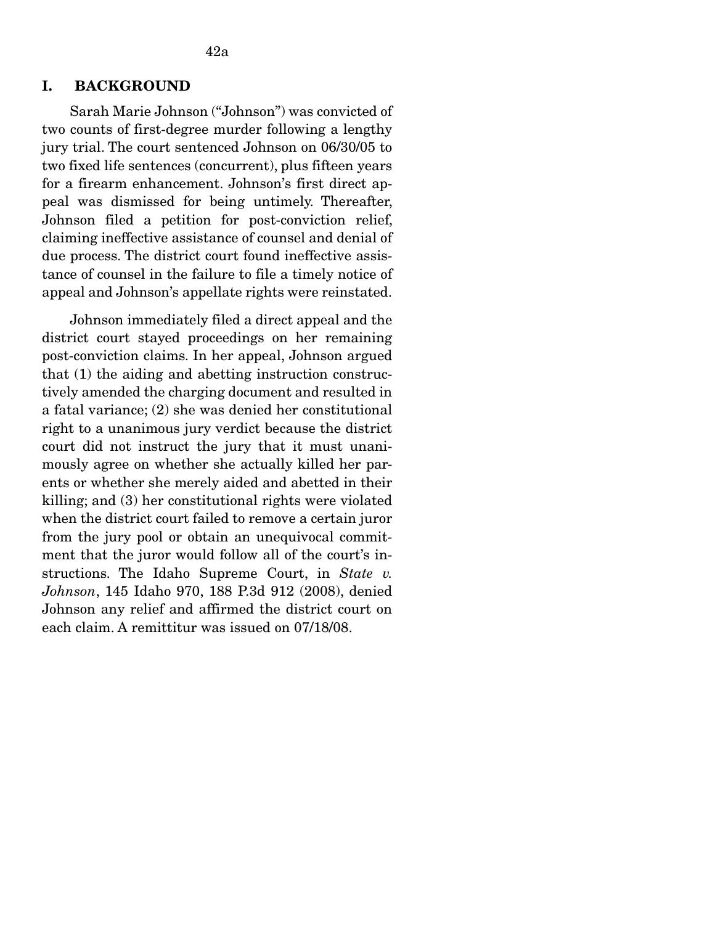## I. BACKGROUND

 Sarah Marie Johnson ("Johnson") was convicted of two counts of first-degree murder following a lengthy jury trial. The court sentenced Johnson on 06/30/05 to two fixed life sentences (concurrent), plus fifteen years for a firearm enhancement. Johnson's first direct appeal was dismissed for being untimely. Thereafter, Johnson filed a petition for post-conviction relief, claiming ineffective assistance of counsel and denial of due process. The district court found ineffective assistance of counsel in the failure to file a timely notice of appeal and Johnson's appellate rights were reinstated.

 Johnson immediately filed a direct appeal and the district court stayed proceedings on her remaining post-conviction claims. In her appeal, Johnson argued that (1) the aiding and abetting instruction constructively amended the charging document and resulted in a fatal variance; (2) she was denied her constitutional right to a unanimous jury verdict because the district court did not instruct the jury that it must unanimously agree on whether she actually killed her parents or whether she merely aided and abetted in their killing; and (3) her constitutional rights were violated when the district court failed to remove a certain juror from the jury pool or obtain an unequivocal commitment that the juror would follow all of the court's instructions. The Idaho Supreme Court, in *State v. Johnson*, 145 Idaho 970, 188 P.3d 912 (2008), denied Johnson any relief and affirmed the district court on each claim. A remittitur was issued on 07/18/08.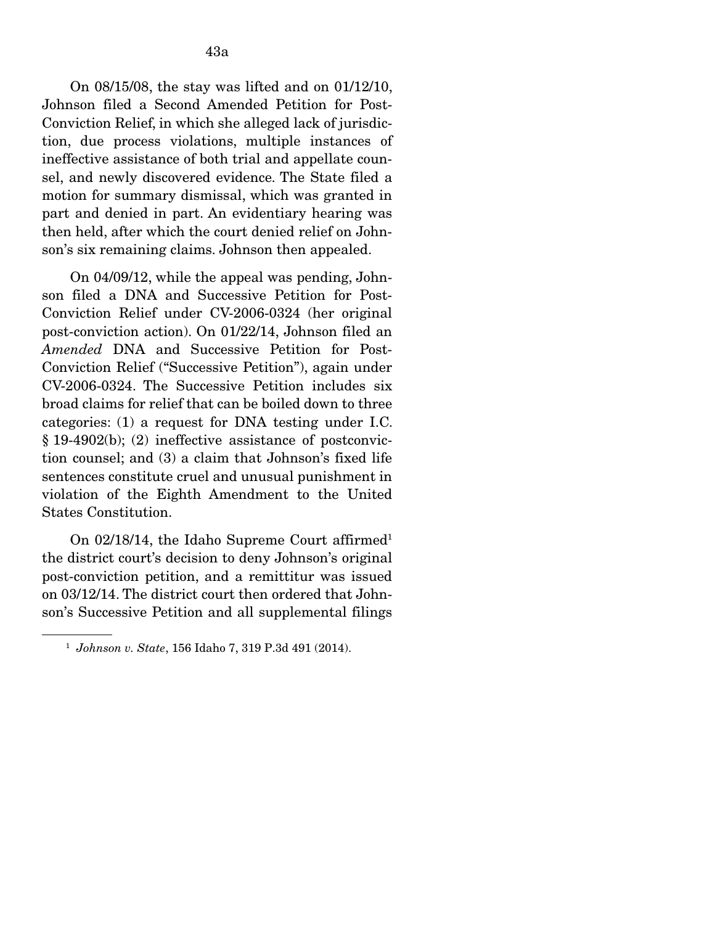On 08/15/08, the stay was lifted and on 01/12/10, Johnson filed a Second Amended Petition for Post-Conviction Relief, in which she alleged lack of jurisdiction, due process violations, multiple instances of ineffective assistance of both trial and appellate counsel, and newly discovered evidence. The State filed a motion for summary dismissal, which was granted in part and denied in part. An evidentiary hearing was then held, after which the court denied relief on Johnson's six remaining claims. Johnson then appealed.

 On 04/09/12, while the appeal was pending, Johnson filed a DNA and Successive Petition for Post-Conviction Relief under CV-2006-0324 (her original post-conviction action). On 01/22/14, Johnson filed an *Amended* DNA and Successive Petition for Post-Conviction Relief ("Successive Petition"), again under CV-2006-0324. The Successive Petition includes six broad claims for relief that can be boiled down to three categories: (1) a request for DNA testing under I.C. § 19-4902(b); (2) ineffective assistance of postconviction counsel; and (3) a claim that Johnson's fixed life sentences constitute cruel and unusual punishment in violation of the Eighth Amendment to the United States Constitution.

On 02/18/14, the Idaho Supreme Court affirmed<sup>1</sup> the district court's decision to deny Johnson's original post-conviction petition, and a remittitur was issued on 03/12/14. The district court then ordered that Johnson's Successive Petition and all supplemental filings

<sup>1</sup> *Johnson v. State*, 156 Idaho 7, 319 P.3d 491 (2014).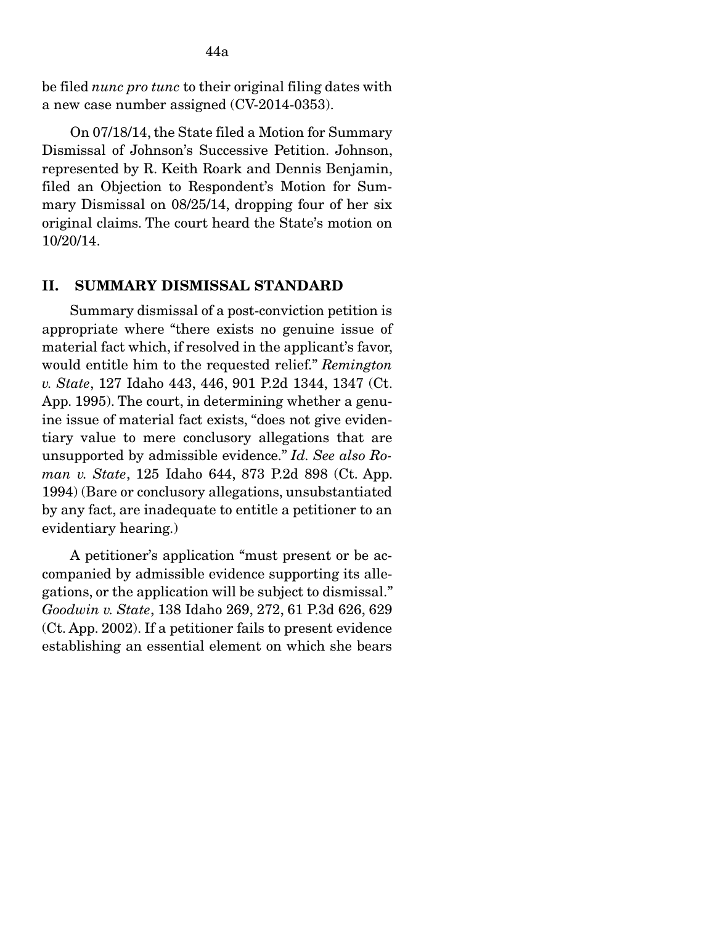be filed *nunc pro tunc* to their original filing dates with a new case number assigned (CV-2014-0353).

 On 07/18/14, the State filed a Motion for Summary Dismissal of Johnson's Successive Petition. Johnson, represented by R. Keith Roark and Dennis Benjamin, filed an Objection to Respondent's Motion for Summary Dismissal on 08/25/14, dropping four of her six original claims. The court heard the State's motion on 10/20/14.

#### II. SUMMARY DISMISSAL STANDARD

Summary dismissal of a post-conviction petition is appropriate where "there exists no genuine issue of material fact which, if resolved in the applicant's favor, would entitle him to the requested relief." *Remington v. State*, 127 Idaho 443, 446, 901 P.2d 1344, 1347 (Ct. App. 1995). The court, in determining whether a genuine issue of material fact exists, "does not give evidentiary value to mere conclusory allegations that are unsupported by admissible evidence." *Id. See also Roman v. State*, 125 Idaho 644, 873 P.2d 898 (Ct. App. 1994) (Bare or conclusory allegations, unsubstantiated by any fact, are inadequate to entitle a petitioner to an evidentiary hearing.)

 A petitioner's application "must present or be accompanied by admissible evidence supporting its allegations, or the application will be subject to dismissal." *Goodwin v. State*, 138 Idaho 269, 272, 61 P.3d 626, 629 (Ct. App. 2002). If a petitioner fails to present evidence establishing an essential element on which she bears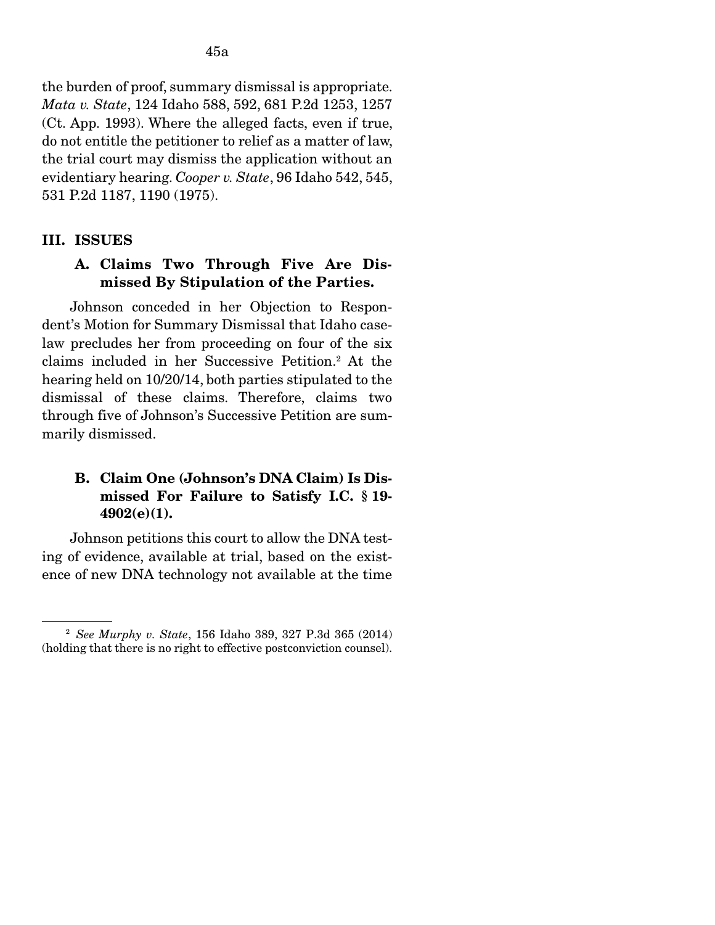the burden of proof, summary dismissal is appropriate. *Mata v. State*, 124 Idaho 588, 592, 681 P.2d 1253, 1257 (Ct. App. 1993). Where the alleged facts, even if true, do not entitle the petitioner to relief as a matter of law, the trial court may dismiss the application without an evidentiary hearing. *Cooper v. State*, 96 Idaho 542, 545, 531 P.2d 1187, 1190 (1975).

#### III. ISSUES

## A. Claims Two Through Five Are Dismissed By Stipulation of the Parties.

Johnson conceded in her Objection to Respondent's Motion for Summary Dismissal that Idaho caselaw precludes her from proceeding on four of the six claims included in her Successive Petition.2 At the hearing held on 10/20/14, both parties stipulated to the dismissal of these claims. Therefore, claims two through five of Johnson's Successive Petition are summarily dismissed.

## B. Claim One (Johnson's DNA Claim) Is Dismissed For Failure to Satisfy I.C. § 19- 4902(e)(1).

 Johnson petitions this court to allow the DNA testing of evidence, available at trial, based on the existence of new DNA technology not available at the time

<sup>2</sup> *See Murphy v. State*, 156 Idaho 389, 327 P.3d 365 (2014) (holding that there is no right to effective postconviction counsel).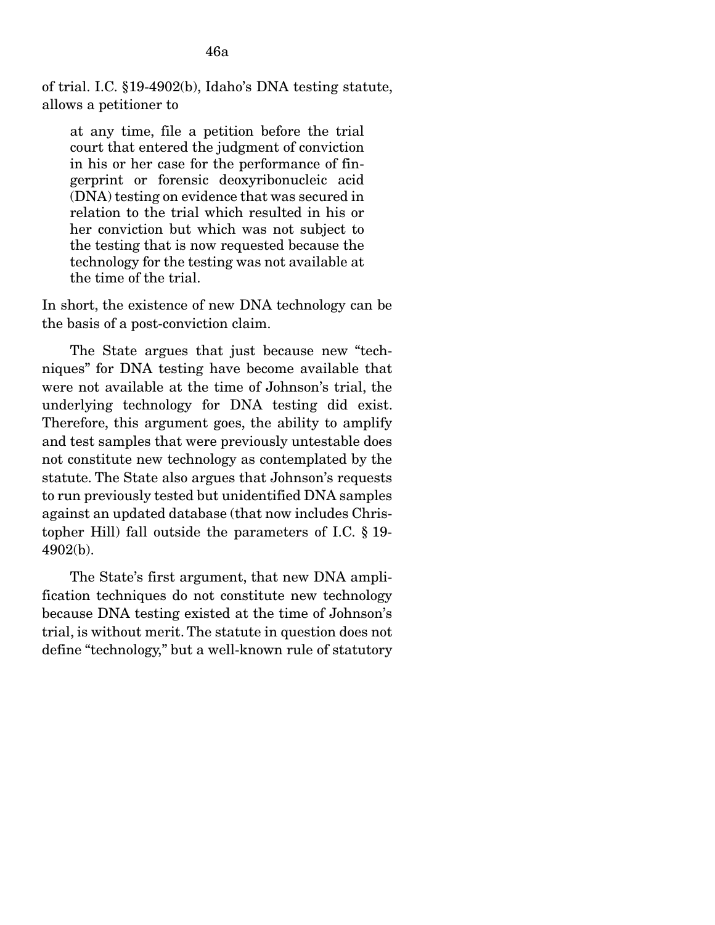of trial. I.C. §19-4902(b), Idaho's DNA testing statute, allows a petitioner to

at any time, file a petition before the trial court that entered the judgment of conviction in his or her case for the performance of fingerprint or forensic deoxyribonucleic acid (DNA) testing on evidence that was secured in relation to the trial which resulted in his or her conviction but which was not subject to the testing that is now requested because the technology for the testing was not available at the time of the trial.

In short, the existence of new DNA technology can be the basis of a post-conviction claim.

 The State argues that just because new "techniques" for DNA testing have become available that were not available at the time of Johnson's trial, the underlying technology for DNA testing did exist. Therefore, this argument goes, the ability to amplify and test samples that were previously untestable does not constitute new technology as contemplated by the statute. The State also argues that Johnson's requests to run previously tested but unidentified DNA samples against an updated database (that now includes Christopher Hill) fall outside the parameters of I.C. § 19- 4902(b).

 The State's first argument, that new DNA amplification techniques do not constitute new technology because DNA testing existed at the time of Johnson's trial, is without merit. The statute in question does not define "technology," but a well-known rule of statutory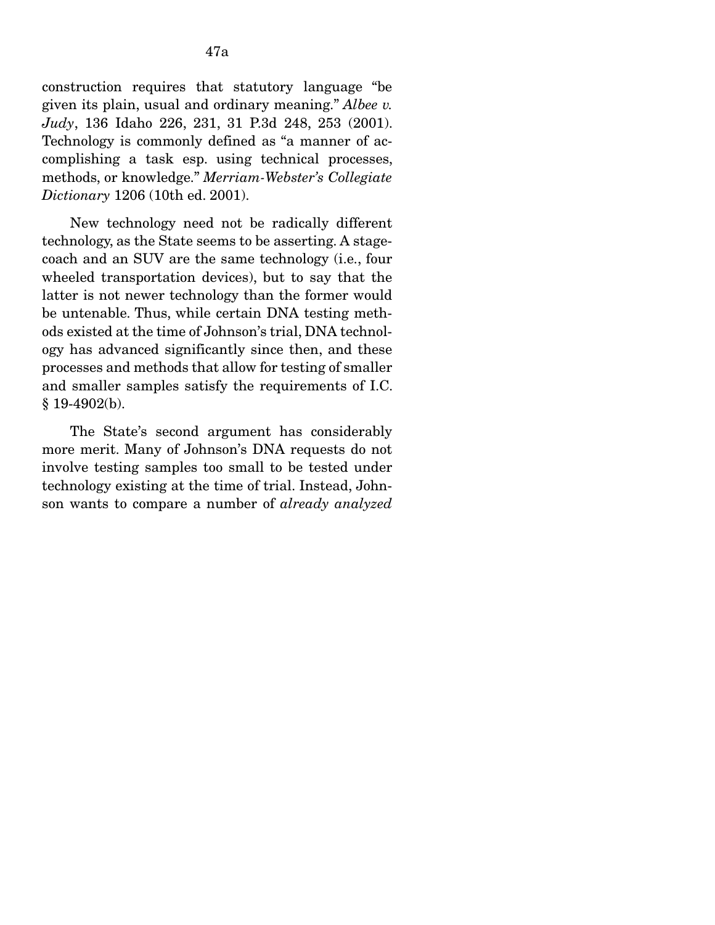construction requires that statutory language "be given its plain, usual and ordinary meaning." *Albee v. Judy*, 136 Idaho 226, 231, 31 P.3d 248, 253 (2001). Technology is commonly defined as "a manner of accomplishing a task esp. using technical processes, methods, or knowledge." *Merriam-Webster's Collegiate Dictionary* 1206 (10th ed. 2001).

 New technology need not be radically different technology, as the State seems to be asserting. A stagecoach and an SUV are the same technology (i.e., four wheeled transportation devices), but to say that the latter is not newer technology than the former would be untenable. Thus, while certain DNA testing methods existed at the time of Johnson's trial, DNA technology has advanced significantly since then, and these processes and methods that allow for testing of smaller and smaller samples satisfy the requirements of I.C. § 19-4902(b).

 The State's second argument has considerably more merit. Many of Johnson's DNA requests do not involve testing samples too small to be tested under technology existing at the time of trial. Instead, Johnson wants to compare a number of *already analyzed*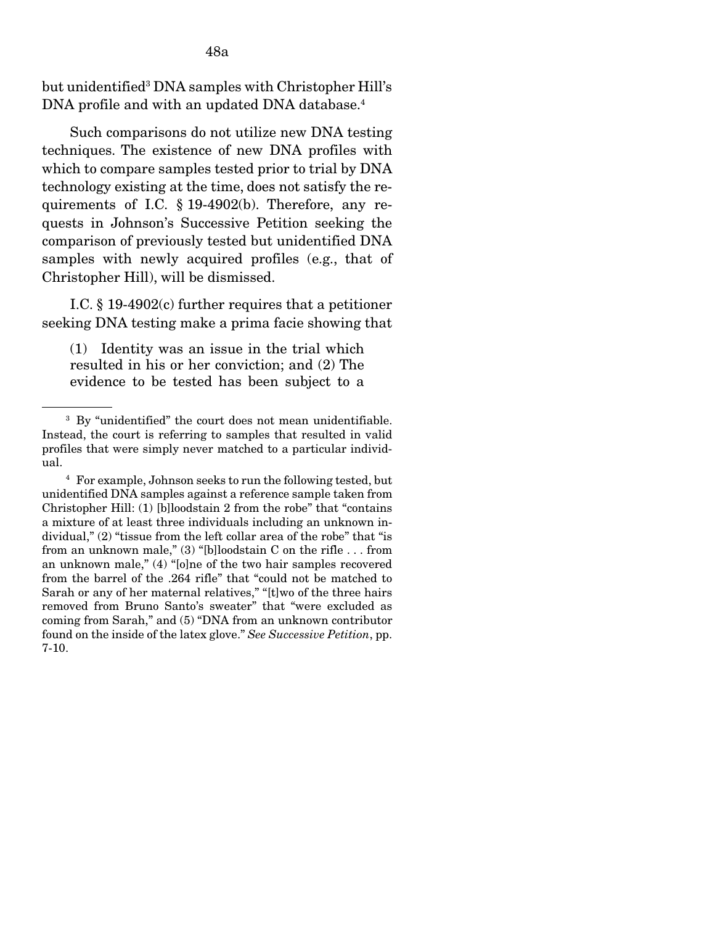but unidentified<sup>3</sup> DNA samples with Christopher Hill's DNA profile and with an updated DNA database.<sup>4</sup>

Such comparisons do not utilize new DNA testing techniques. The existence of new DNA profiles with which to compare samples tested prior to trial by DNA technology existing at the time, does not satisfy the requirements of I.C. § 19-4902(b). Therefore, any requests in Johnson's Successive Petition seeking the comparison of previously tested but unidentified DNA samples with newly acquired profiles (e.g., that of Christopher Hill), will be dismissed.

 I.C. § 19-4902(c) further requires that a petitioner seeking DNA testing make a prima facie showing that

(1) Identity was an issue in the trial which resulted in his or her conviction; and (2) The evidence to be tested has been subject to a

<sup>&</sup>lt;sup>3</sup> By "unidentified" the court does not mean unidentifiable. Instead, the court is referring to samples that resulted in valid profiles that were simply never matched to a particular individual.

<sup>4</sup> For example, Johnson seeks to run the following tested, but unidentified DNA samples against a reference sample taken from Christopher Hill: (1) [b]loodstain 2 from the robe" that "contains a mixture of at least three individuals including an unknown individual," (2) "tissue from the left collar area of the robe" that "is from an unknown male," (3) "[b]loodstain C on the rifle . . . from an unknown male," (4) "[o]ne of the two hair samples recovered from the barrel of the .264 rifle" that "could not be matched to Sarah or any of her maternal relatives," "[t]wo of the three hairs removed from Bruno Santo's sweater" that "were excluded as coming from Sarah," and (5) "DNA from an unknown contributor found on the inside of the latex glove." *See Successive Petition*, pp. 7-10.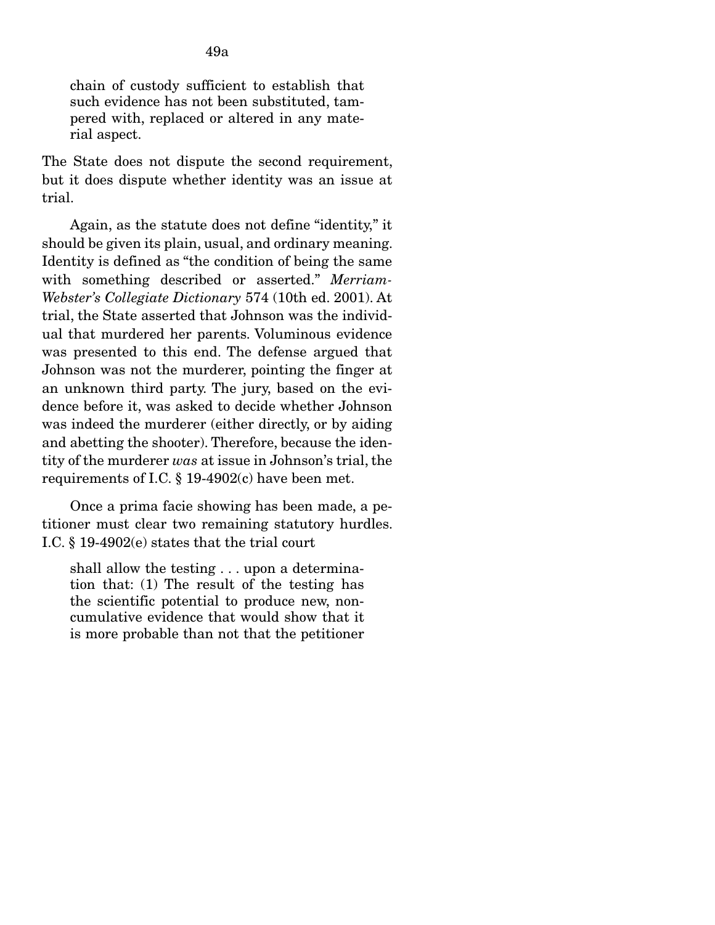chain of custody sufficient to establish that such evidence has not been substituted, tampered with, replaced or altered in any material aspect.

The State does not dispute the second requirement, but it does dispute whether identity was an issue at trial.

 Again, as the statute does not define "identity," it should be given its plain, usual, and ordinary meaning. Identity is defined as "the condition of being the same with something described or asserted." *Merriam-Webster's Collegiate Dictionary* 574 (10th ed. 2001). At trial, the State asserted that Johnson was the individual that murdered her parents. Voluminous evidence was presented to this end. The defense argued that Johnson was not the murderer, pointing the finger at an unknown third party. The jury, based on the evidence before it, was asked to decide whether Johnson was indeed the murderer (either directly, or by aiding and abetting the shooter). Therefore, because the identity of the murderer *was* at issue in Johnson's trial, the requirements of I.C. § 19-4902(c) have been met.

 Once a prima facie showing has been made, a petitioner must clear two remaining statutory hurdles. I.C. § 19-4902(e) states that the trial court

shall allow the testing . . . upon a determination that: (1) The result of the testing has the scientific potential to produce new, noncumulative evidence that would show that it is more probable than not that the petitioner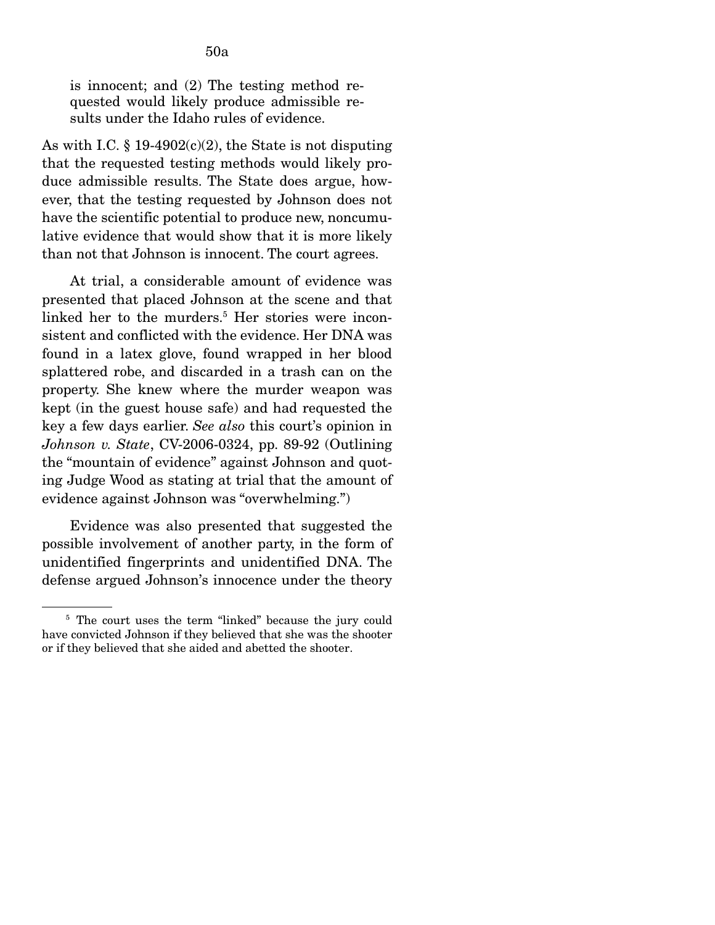is innocent; and (2) The testing method requested would likely produce admissible results under the Idaho rules of evidence.

As with I.C.  $\S 19-4902(c)(2)$ , the State is not disputing that the requested testing methods would likely produce admissible results. The State does argue, however, that the testing requested by Johnson does not have the scientific potential to produce new, noncumulative evidence that would show that it is more likely than not that Johnson is innocent. The court agrees.

 At trial, a considerable amount of evidence was presented that placed Johnson at the scene and that linked her to the murders.<sup>5</sup> Her stories were inconsistent and conflicted with the evidence. Her DNA was found in a latex glove, found wrapped in her blood splattered robe, and discarded in a trash can on the property. She knew where the murder weapon was kept (in the guest house safe) and had requested the key a few days earlier. *See also* this court's opinion in *Johnson v. State*, CV-2006-0324, pp. 89-92 (Outlining the "mountain of evidence" against Johnson and quoting Judge Wood as stating at trial that the amount of evidence against Johnson was "overwhelming.")

 Evidence was also presented that suggested the possible involvement of another party, in the form of unidentified fingerprints and unidentified DNA. The defense argued Johnson's innocence under the theory

<sup>&</sup>lt;sup>5</sup> The court uses the term "linked" because the jury could have convicted Johnson if they believed that she was the shooter or if they believed that she aided and abetted the shooter.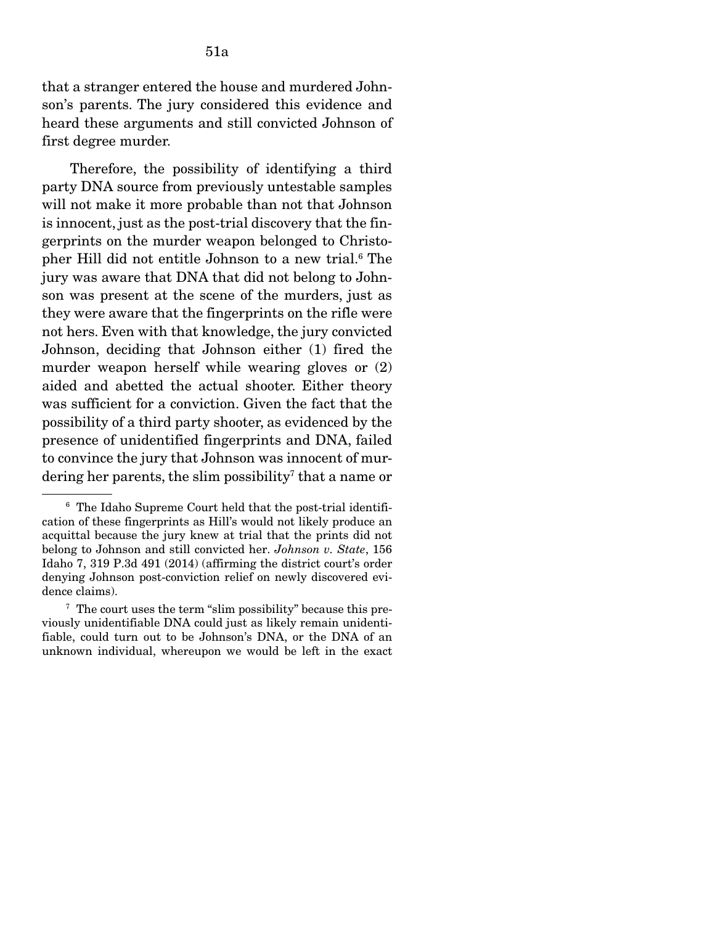that a stranger entered the house and murdered Johnson's parents. The jury considered this evidence and heard these arguments and still convicted Johnson of first degree murder.

 Therefore, the possibility of identifying a third party DNA source from previously untestable samples will not make it more probable than not that Johnson is innocent, just as the post-trial discovery that the fingerprints on the murder weapon belonged to Christopher Hill did not entitle Johnson to a new trial.<sup>6</sup> The jury was aware that DNA that did not belong to Johnson was present at the scene of the murders, just as they were aware that the fingerprints on the rifle were not hers. Even with that knowledge, the jury convicted Johnson, deciding that Johnson either (1) fired the murder weapon herself while wearing gloves or (2) aided and abetted the actual shooter. Either theory was sufficient for a conviction. Given the fact that the possibility of a third party shooter, as evidenced by the presence of unidentified fingerprints and DNA, failed to convince the jury that Johnson was innocent of murdering her parents, the slim possibility<sup>7</sup> that a name or

<sup>6</sup> The Idaho Supreme Court held that the post-trial identification of these fingerprints as Hill's would not likely produce an acquittal because the jury knew at trial that the prints did not belong to Johnson and still convicted her. *Johnson v. State*, 156 Idaho 7, 319 P.3d 491 (2014) (affirming the district court's order denying Johnson post-conviction relief on newly discovered evidence claims).

<sup>7</sup> The court uses the term "slim possibility" because this previously unidentifiable DNA could just as likely remain unidentifiable, could turn out to be Johnson's DNA, or the DNA of an unknown individual, whereupon we would be left in the exact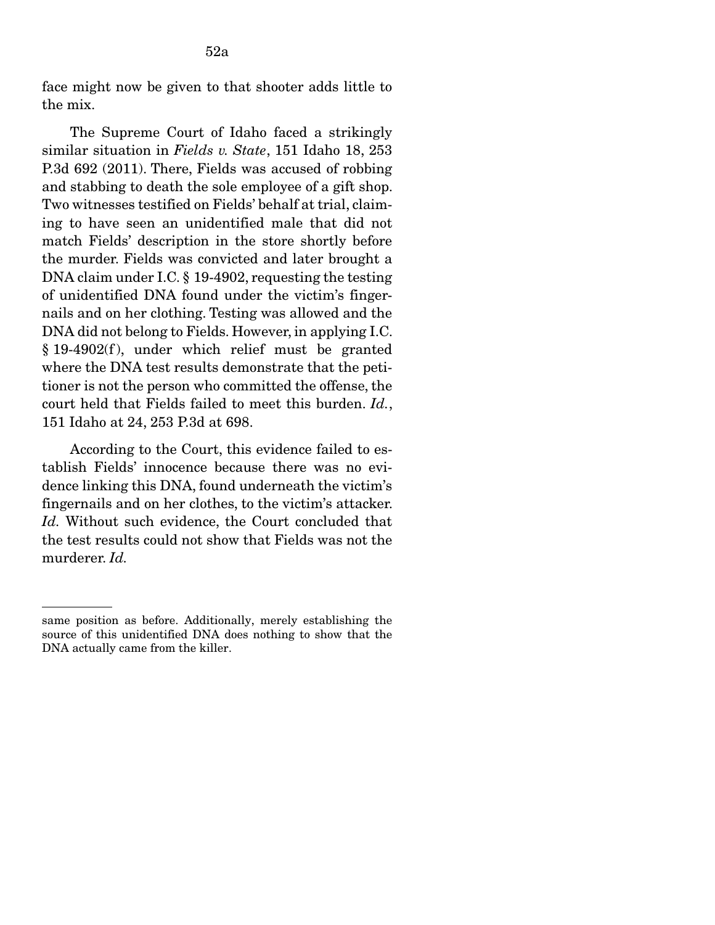The Supreme Court of Idaho faced a strikingly similar situation in *Fields v. State*, 151 Idaho 18, 253 P.3d 692 (2011). There, Fields was accused of robbing and stabbing to death the sole employee of a gift shop. Two witnesses testified on Fields' behalf at trial, claiming to have seen an unidentified male that did not match Fields' description in the store shortly before the murder. Fields was convicted and later brought a DNA claim under I.C. § 19-4902, requesting the testing of unidentified DNA found under the victim's fingernails and on her clothing. Testing was allowed and the DNA did not belong to Fields. However, in applying I.C.  $§$  19-4902(f), under which relief must be granted where the DNA test results demonstrate that the petitioner is not the person who committed the offense, the court held that Fields failed to meet this burden. *Id.*, 151 Idaho at 24, 253 P.3d at 698.

 According to the Court, this evidence failed to establish Fields' innocence because there was no evidence linking this DNA, found underneath the victim's fingernails and on her clothes, to the victim's attacker. Id. Without such evidence, the Court concluded that the test results could not show that Fields was not the murderer. *Id.*

same position as before. Additionally, merely establishing the source of this unidentified DNA does nothing to show that the DNA actually came from the killer.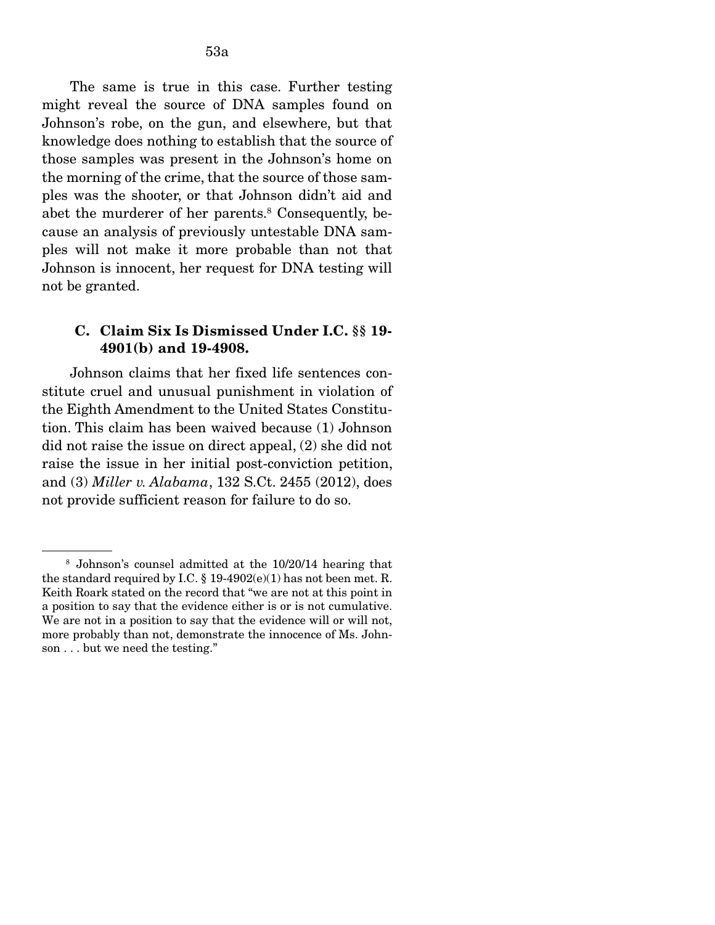The same is true in this case. Further testing might reveal the source of DNA samples found on Johnson's robe, on the gun, and elsewhere, but that knowledge does nothing to establish that the source of those samples was present in the Johnson's home on the morning of the crime, that the source of those samples was the shooter, or that Johnson didn't aid and abet the murderer of her parents.<sup>8</sup> Consequently, because an analysis of previously untestable DNA samples will not make it more probable than not that Johnson is innocent, her request for DNA testing will not be granted.

#### C. Claim Six Is Dismissed Under I.C. §§ 19- 4901(b) and 19-4908.

Johnson claims that her fixed life sentences constitute cruel and unusual punishment in violation of the Eighth Amendment to the United States Constitution. This claim has been waived because (1) Johnson did not raise the issue on direct appeal, (2) she did not raise the issue in her initial post-conviction petition, and (3) *Miller v. Alabama*, 132 S.Ct. 2455 (2012), does not provide sufficient reason for failure to do so.

<sup>8</sup> Johnson's counsel admitted at the 10/20/14 hearing that the standard required by I.C. § 19-4902(e)(1) has not been met. R. Keith Roark stated on the record that "we are not at this point in a position to say that the evidence either is or is not cumulative. We are not in a position to say that the evidence will or will not, more probably than not, demonstrate the innocence of Ms. Johnson . . . but we need the testing."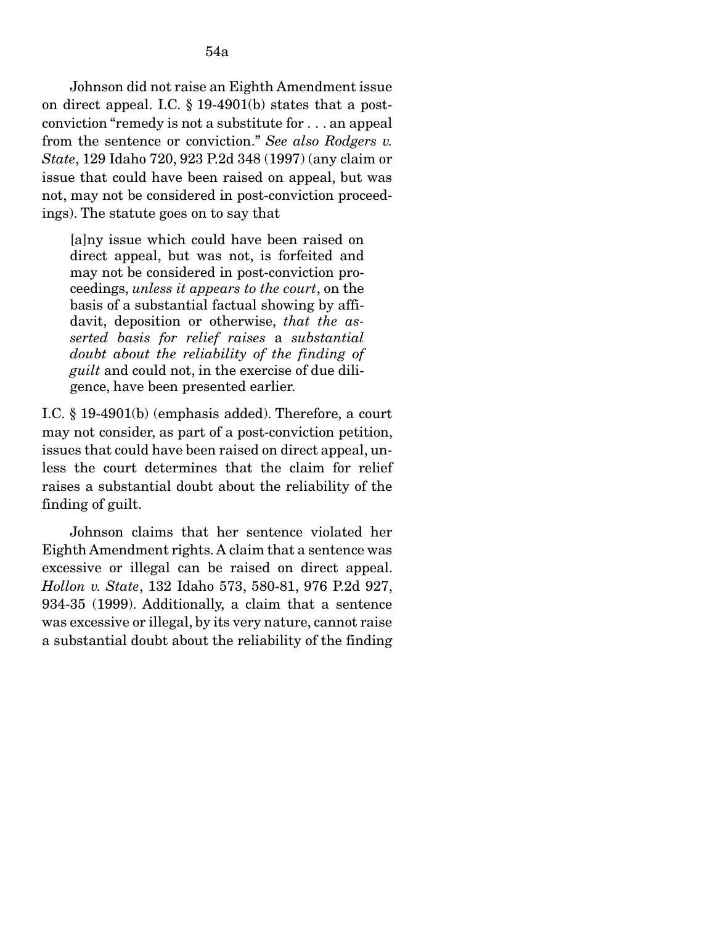Johnson did not raise an Eighth Amendment issue on direct appeal. I.C. § 19-4901(b) states that a postconviction "remedy is not a substitute for . . . an appeal from the sentence or conviction." *See also Rodgers v. State*, 129 Idaho 720, 923 P.2d 348 (1997) (any claim or issue that could have been raised on appeal, but was not, may not be considered in post-conviction proceedings). The statute goes on to say that

[a]ny issue which could have been raised on direct appeal, but was not, is forfeited and may not be considered in post-conviction proceedings, *unless it appears to the court*, on the basis of a substantial factual showing by affidavit, deposition or otherwise, *that the asserted basis for relief raises* a *substantial doubt about the reliability of the finding of guilt* and could not, in the exercise of due diligence, have been presented earlier.

I.C. § 19-4901(b) (emphasis added). Therefore, a court may not consider, as part of a post-conviction petition, issues that could have been raised on direct appeal, unless the court determines that the claim for relief raises a substantial doubt about the reliability of the finding of guilt.

Johnson claims that her sentence violated her Eighth Amendment rights. A claim that a sentence was excessive or illegal can be raised on direct appeal. *Hollon v. State*, 132 Idaho 573, 580-81, 976 P.2d 927, 934-35 (1999). Additionally, a claim that a sentence was excessive or illegal, by its very nature, cannot raise a substantial doubt about the reliability of the finding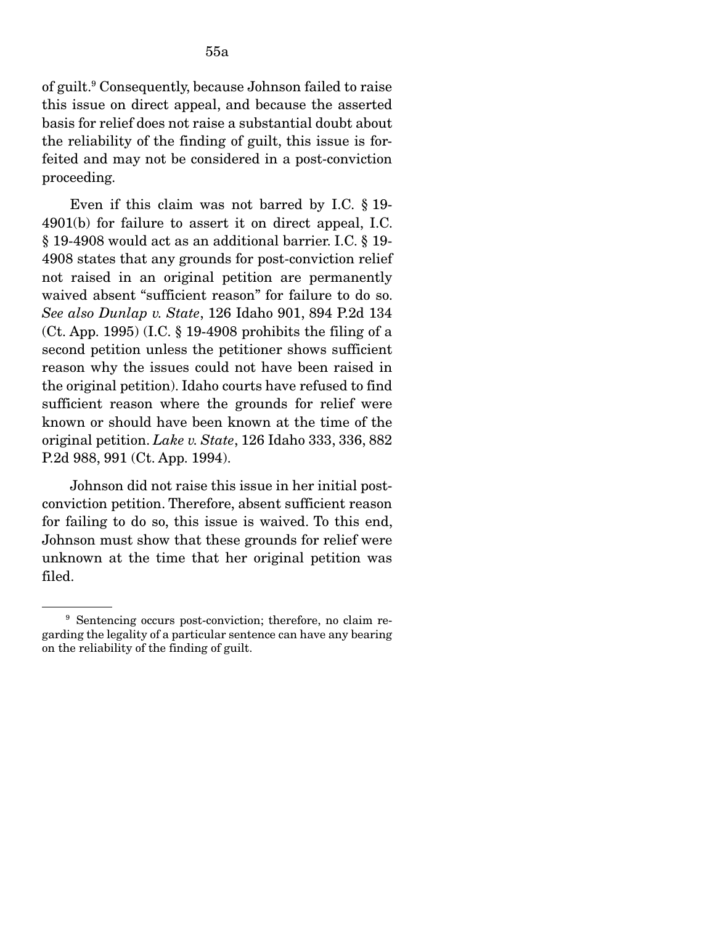of guilt.9 Consequently, because Johnson failed to raise this issue on direct appeal, and because the asserted basis for relief does not raise a substantial doubt about the reliability of the finding of guilt, this issue is forfeited and may not be considered in a post-conviction proceeding.

 Even if this claim was not barred by I.C. § 19- 4901(b) for failure to assert it on direct appeal, I.C. § 19-4908 would act as an additional barrier. I.C. § 19- 4908 states that any grounds for post-conviction relief not raised in an original petition are permanently waived absent "sufficient reason" for failure to do so. *See also Dunlap v. State*, 126 Idaho 901, 894 P.2d 134  $($ Ct. App. 1995 $)$  (I.C. § 19-4908 prohibits the filing of a second petition unless the petitioner shows sufficient reason why the issues could not have been raised in the original petition). Idaho courts have refused to find sufficient reason where the grounds for relief were known or should have been known at the time of the original petition. *Lake v. State*, 126 Idaho 333, 336, 882 P.2d 988, 991 (Ct. App. 1994).

Johnson did not raise this issue in her initial postconviction petition. Therefore, absent sufficient reason for failing to do so, this issue is waived. To this end, Johnson must show that these grounds for relief were unknown at the time that her original petition was filed.

<sup>9</sup> Sentencing occurs post-conviction; therefore, no claim regarding the legality of a particular sentence can have any bearing on the reliability of the finding of guilt.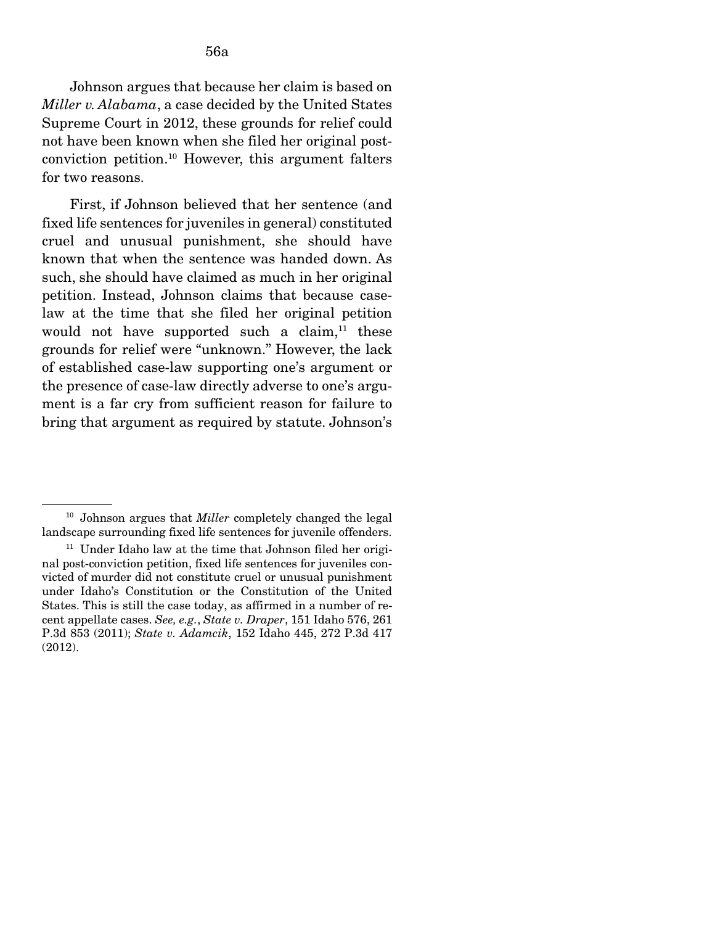Johnson argues that because her claim is based on *Miller v. Alabama*, a case decided by the United States Supreme Court in 2012, these grounds for relief could not have been known when she filed her original postconviction petition.10 However, this argument falters for two reasons.

 First, if Johnson believed that her sentence (and fixed life sentences for juveniles in general) constituted cruel and unusual punishment, she should have known that when the sentence was handed down. As such, she should have claimed as much in her original petition. Instead, Johnson claims that because caselaw at the time that she filed her original petition would not have supported such a claim, $11$  these grounds for relief were "unknown." However, the lack of established case-law supporting one's argument or the presence of case-law directly adverse to one's argument is a far cry from sufficient reason for failure to bring that argument as required by statute. Johnson's

<sup>10</sup> Johnson argues that *Miller* completely changed the legal landscape surrounding fixed life sentences for juvenile offenders.

<sup>&</sup>lt;sup>11</sup> Under Idaho law at the time that Johnson filed her original post-conviction petition, fixed life sentences for juveniles convicted of murder did not constitute cruel or unusual punishment under Idaho's Constitution or the Constitution of the United States. This is still the case today, as affirmed in a number of recent appellate cases. *See, e.g.*, *State v. Draper*, 151 Idaho 576, 261 P.3d 853 (2011); *State v. Adamcik*, 152 Idaho 445, 272 P.3d 417 (2012).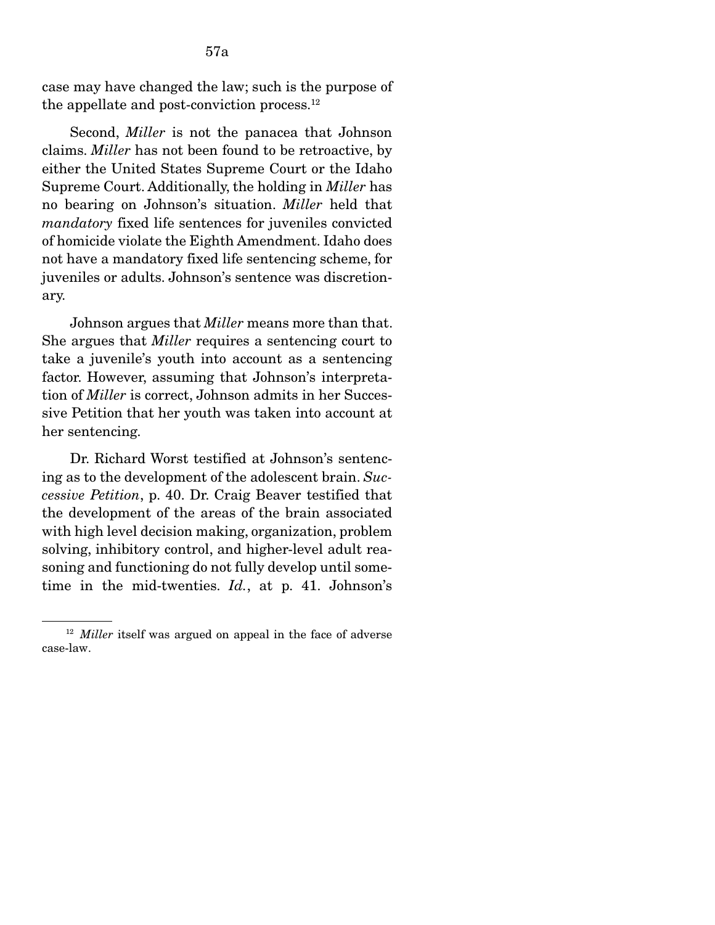case may have changed the law; such is the purpose of the appellate and post-conviction process.<sup>12</sup>

 Second, *Miller* is not the panacea that Johnson claims. *Miller* has not been found to be retroactive, by either the United States Supreme Court or the Idaho Supreme Court. Additionally, the holding in *Miller* has no bearing on Johnson's situation. *Miller* held that *mandatory* fixed life sentences for juveniles convicted of homicide violate the Eighth Amendment. Idaho does not have a mandatory fixed life sentencing scheme, for juveniles or adults. Johnson's sentence was discretionary.

 Johnson argues that *Miller* means more than that. She argues that *Miller* requires a sentencing court to take a juvenile's youth into account as a sentencing factor. However, assuming that Johnson's interpretation of *Miller* is correct, Johnson admits in her Successive Petition that her youth was taken into account at her sentencing.

 Dr. Richard Worst testified at Johnson's sentencing as to the development of the adolescent brain. *Successive Petition*, p. 40. Dr. Craig Beaver testified that the development of the areas of the brain associated with high level decision making, organization, problem solving, inhibitory control, and higher-level adult reasoning and functioning do not fully develop until sometime in the mid-twenties. *Id.*, at p. 41. Johnson's

<sup>&</sup>lt;sup>12</sup> *Miller* itself was argued on appeal in the face of adverse case-law.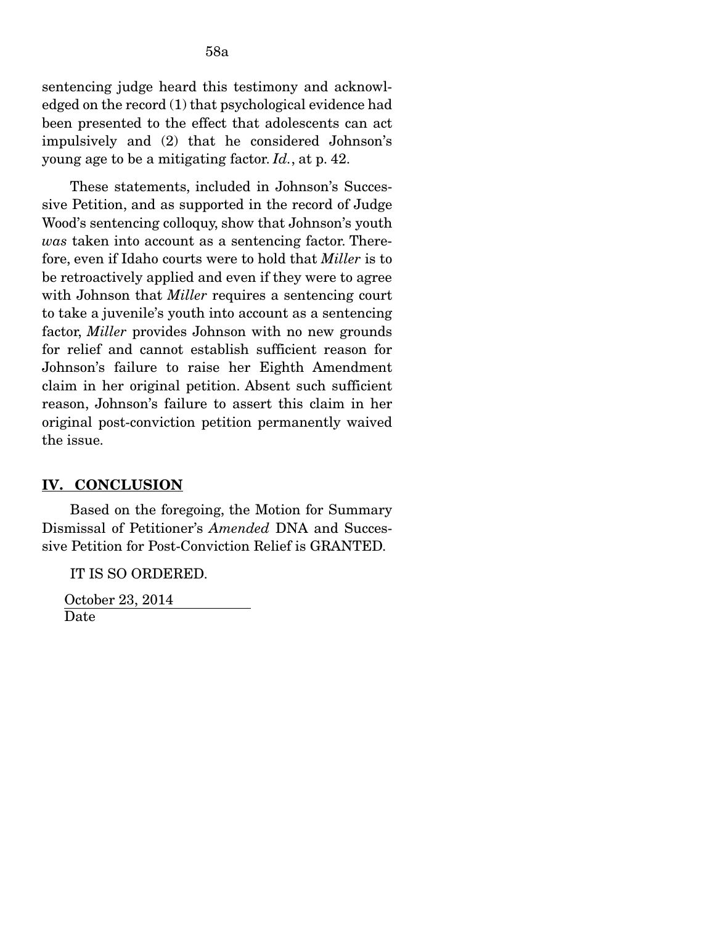sentencing judge heard this testimony and acknowledged on the record (1) that psychological evidence had been presented to the effect that adolescents can act impulsively and (2) that he considered Johnson's young age to be a mitigating factor. *Id.*, at p. 42.

 These statements, included in Johnson's Successive Petition, and as supported in the record of Judge Wood's sentencing colloquy, show that Johnson's youth *was* taken into account as a sentencing factor. Therefore, even if Idaho courts were to hold that *Miller* is to be retroactively applied and even if they were to agree with Johnson that *Miller* requires a sentencing court to take a juvenile's youth into account as a sentencing factor, *Miller* provides Johnson with no new grounds for relief and cannot establish sufficient reason for Johnson's failure to raise her Eighth Amendment claim in her original petition. Absent such sufficient reason, Johnson's failure to assert this claim in her original post-conviction petition permanently waived the issue.

#### IV. CONCLUSION

Based on the foregoing, the Motion for Summary Dismissal of Petitioner's *Amended* DNA and Successive Petition for Post-Conviction Relief is GRANTED.

IT IS SO ORDERED.

 October 23, 2014 Date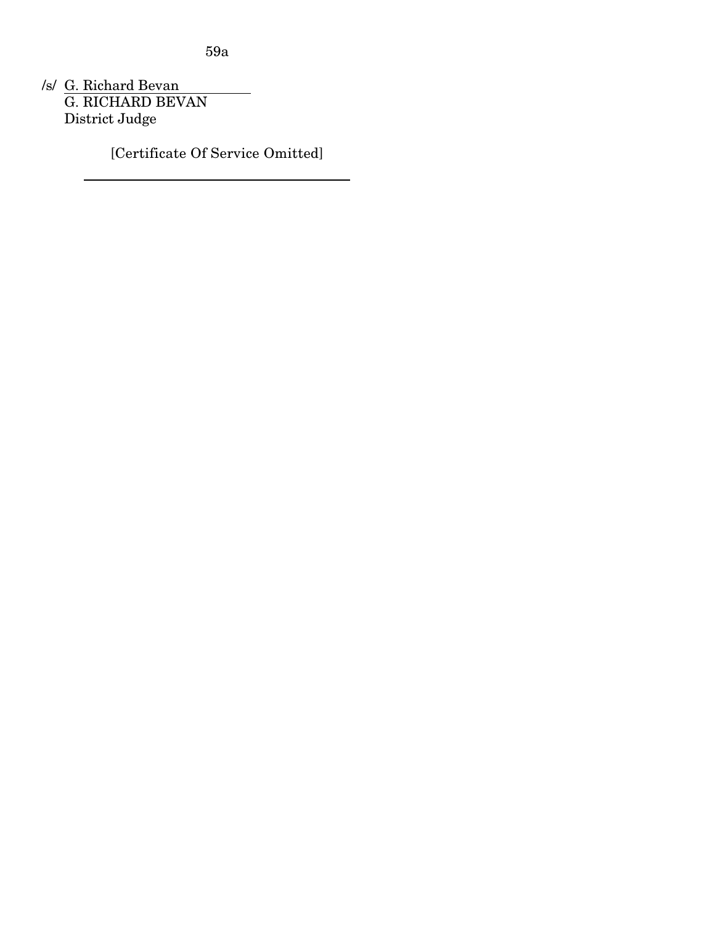59a

/s/ G. Richard Bevan G. RICHARD BEVAN District Judge

[Certificate Of Service Omitted]